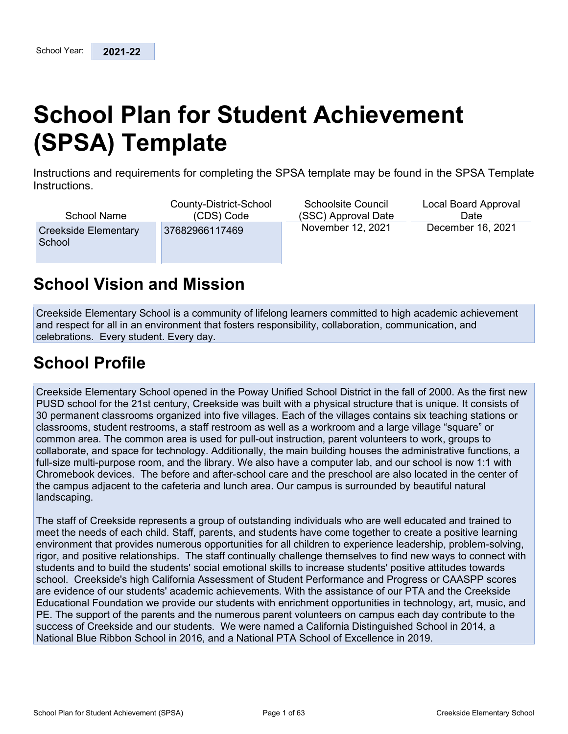# **School Plan for Student Achievement (SPSA) Template**

Instructions and requirements for completing the SPSA template may be found in the SPSA Template Instructions.

| School Name                    | County-District-School | <b>Schoolsite Council</b> | Local Board Approval |
|--------------------------------|------------------------|---------------------------|----------------------|
|                                | (CDS) Code             | (SSC) Approval Date       | Date                 |
| Creekside Elementary<br>School | 37682966117469         | November 12, 2021         | December 16, 2021    |

## **School Vision and Mission**

Creekside Elementary School is a community of lifelong learners committed to high academic achievement and respect for all in an environment that fosters responsibility, collaboration, communication, and celebrations. Every student. Every day.

## **School Profile**

Creekside Elementary School opened in the Poway Unified School District in the fall of 2000. As the first new PUSD school for the 21st century, Creekside was built with a physical structure that is unique. It consists of 30 permanent classrooms organized into five villages. Each of the villages contains six teaching stations or classrooms, student restrooms, a staff restroom as well as a workroom and a large village "square" or common area. The common area is used for pull-out instruction, parent volunteers to work, groups to collaborate, and space for technology. Additionally, the main building houses the administrative functions, a full-size multi-purpose room, and the library. We also have a computer lab, and our school is now 1:1 with Chromebook devices. The before and after-school care and the preschool are also located in the center of the campus adjacent to the cafeteria and lunch area. Our campus is surrounded by beautiful natural landscaping.

The staff of Creekside represents a group of outstanding individuals who are well educated and trained to meet the needs of each child. Staff, parents, and students have come together to create a positive learning environment that provides numerous opportunities for all children to experience leadership, problem-solving, rigor, and positive relationships. The staff continually challenge themselves to find new ways to connect with students and to build the students' social emotional skills to increase students' positive attitudes towards school. Creekside's high California Assessment of Student Performance and Progress or CAASPP scores are evidence of our students' academic achievements. With the assistance of our PTA and the Creekside Educational Foundation we provide our students with enrichment opportunities in technology, art, music, and PE. The support of the parents and the numerous parent volunteers on campus each day contribute to the success of Creekside and our students. We were named a California Distinguished School in 2014, a National Blue Ribbon School in 2016, and a National PTA School of Excellence in 2019.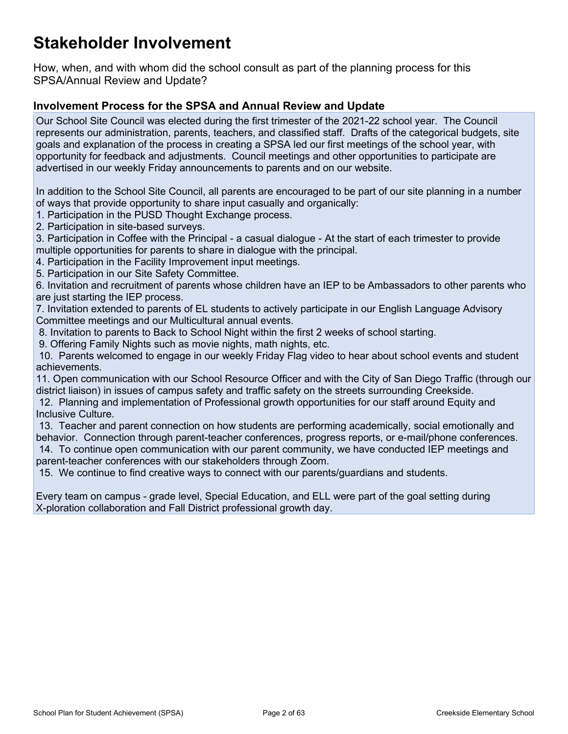## **Stakeholder Involvement**

How, when, and with whom did the school consult as part of the planning process for this SPSA/Annual Review and Update?

#### **Involvement Process for the SPSA and Annual Review and Update**

Our School Site Council was elected during the first trimester of the 2021-22 school year. The Council represents our administration, parents, teachers, and classified staff. Drafts of the categorical budgets, site goals and explanation of the process in creating a SPSA led our first meetings of the school year, with opportunity for feedback and adjustments. Council meetings and other opportunities to participate are advertised in our weekly Friday announcements to parents and on our website.

In addition to the School Site Council, all parents are encouraged to be part of our site planning in a number of ways that provide opportunity to share input casually and organically:

1. Participation in the PUSD Thought Exchange process.

2. Participation in site-based surveys.

3. Participation in Coffee with the Principal - a casual dialogue - At the start of each trimester to provide multiple opportunities for parents to share in dialogue with the principal.

4. Participation in the Facility Improvement input meetings.

5. Participation in our Site Safety Committee.

6. Invitation and recruitment of parents whose children have an IEP to be Ambassadors to other parents who are just starting the IEP process.

7. Invitation extended to parents of EL students to actively participate in our English Language Advisory Committee meetings and our Multicultural annual events.

8. Invitation to parents to Back to School Night within the first 2 weeks of school starting.

9. Offering Family Nights such as movie nights, math nights, etc.

10. Parents welcomed to engage in our weekly Friday Flag video to hear about school events and student achievements.

11. Open communication with our School Resource Officer and with the City of San Diego Traffic (through our district liaison) in issues of campus safety and traffic safety on the streets surrounding Creekside.

12. Planning and implementation of Professional growth opportunities for our staff around Equity and Inclusive Culture.

13. Teacher and parent connection on how students are performing academically, social emotionally and behavior. Connection through parent-teacher conferences, progress reports, or e-mail/phone conferences.

14. To continue open communication with our parent community, we have conducted IEP meetings and parent-teacher conferences with our stakeholders through Zoom.

15. We continue to find creative ways to connect with our parents/guardians and students.

Every team on campus - grade level, Special Education, and ELL were part of the goal setting during X-ploration collaboration and Fall District professional growth day.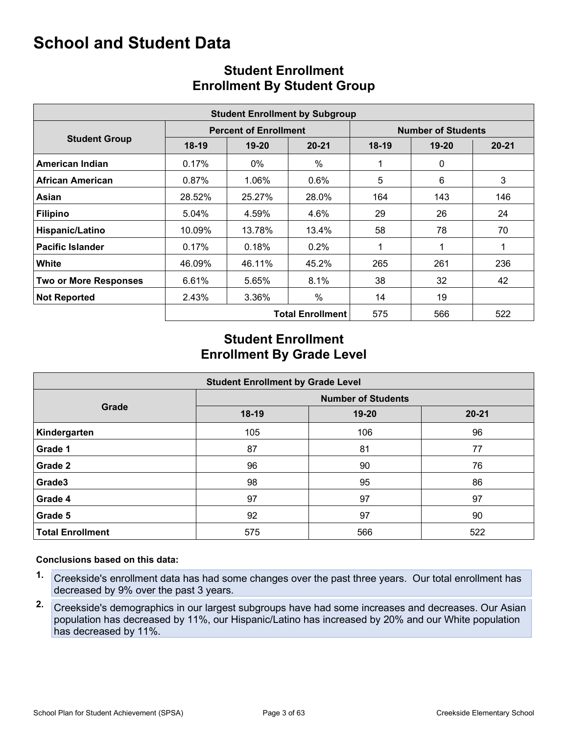## **School and Student Data**

| <b>Student Enrollment by Subgroup</b>        |         |                              |           |                           |              |           |  |  |  |  |  |
|----------------------------------------------|---------|------------------------------|-----------|---------------------------|--------------|-----------|--|--|--|--|--|
|                                              |         | <b>Percent of Enrollment</b> |           | <b>Number of Students</b> |              |           |  |  |  |  |  |
| <b>Student Group</b>                         | $18-19$ | $19 - 20$                    | $20 - 21$ | $18-19$                   | $19 - 20$    | $20 - 21$ |  |  |  |  |  |
| <b>American Indian</b>                       | 0.17%   | $0\%$                        | %         | 1                         | $\mathbf{0}$ |           |  |  |  |  |  |
| <b>African American</b>                      | 0.87%   | 1.06%                        | $0.6\%$   | 5                         | 6            | 3         |  |  |  |  |  |
| Asian                                        | 28.52%  | 25.27%                       | 28.0%     | 164                       | 143          | 146       |  |  |  |  |  |
| <b>Filipino</b>                              | 5.04%   | 4.59%                        | 4.6%      | 29                        | 26           | 24        |  |  |  |  |  |
| Hispanic/Latino                              | 10.09%  | 13.78%                       | 13.4%     | 58                        | 78           | 70        |  |  |  |  |  |
| <b>Pacific Islander</b>                      | 0.17%   | 0.18%                        | 0.2%      |                           |              | 1         |  |  |  |  |  |
| White                                        | 46.09%  | 46.11%                       | 45.2%     | 265                       | 261          | 236       |  |  |  |  |  |
| <b>Two or More Responses</b>                 | 6.61%   | 5.65%                        | 8.1%      | 38                        | 32           | 42        |  |  |  |  |  |
| <b>Not Reported</b>                          | 2.43%   | 3.36%                        | %         | 14                        | 19           |           |  |  |  |  |  |
| 575<br><b>Total Enrollment</b><br>522<br>566 |         |                              |           |                           |              |           |  |  |  |  |  |

## **Student Enrollment Enrollment By Student Group**

## **Student Enrollment Enrollment By Grade Level**

| <b>Student Enrollment by Grade Level</b> |                           |       |           |  |  |  |  |  |  |  |
|------------------------------------------|---------------------------|-------|-----------|--|--|--|--|--|--|--|
|                                          | <b>Number of Students</b> |       |           |  |  |  |  |  |  |  |
| Grade                                    | $18-19$                   | 19-20 | $20 - 21$ |  |  |  |  |  |  |  |
| Kindergarten                             | 105                       | 106   | 96        |  |  |  |  |  |  |  |
| Grade 1                                  | 87                        | 81    | 77        |  |  |  |  |  |  |  |
| Grade 2                                  | 96                        | 90    | 76        |  |  |  |  |  |  |  |
| Grade3                                   | 98                        | 95    | 86        |  |  |  |  |  |  |  |
| Grade 4                                  | 97                        | 97    | 97        |  |  |  |  |  |  |  |
| Grade 5                                  | 92                        | 97    | 90        |  |  |  |  |  |  |  |
| <b>Total Enrollment</b>                  | 575                       | 566   | 522       |  |  |  |  |  |  |  |

#### **Conclusions based on this data:**

- **1.** Creekside's enrollment data has had some changes over the past three years. Our total enrollment has decreased by 9% over the past 3 years.
- **2.** Creekside's demographics in our largest subgroups have had some increases and decreases. Our Asian population has decreased by 11%, our Hispanic/Latino has increased by 20% and our White population has decreased by 11%.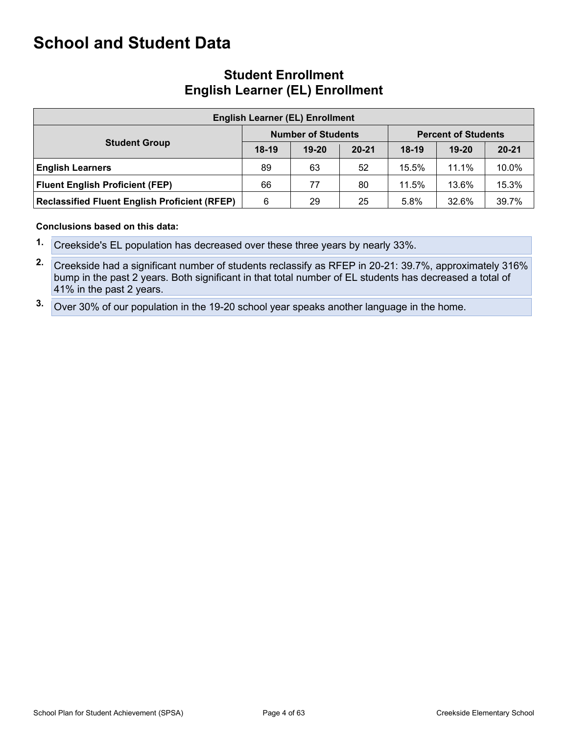## **School and Student Data**

| <b>English Learner (EL) Enrollment</b>               |         |                           |           |                            |           |           |  |  |  |  |
|------------------------------------------------------|---------|---------------------------|-----------|----------------------------|-----------|-----------|--|--|--|--|
|                                                      |         | <b>Number of Students</b> |           | <b>Percent of Students</b> |           |           |  |  |  |  |
| <b>Student Group</b>                                 | $18-19$ | $19 - 20$                 | $20 - 21$ | $18-19$                    | $19 - 20$ | $20 - 21$ |  |  |  |  |
| <b>English Learners</b>                              | 89      | 63                        | 52        | 15.5%                      | 11.1%     | 10.0%     |  |  |  |  |
| <b>Fluent English Proficient (FEP)</b>               | 66      | 77                        | 80        | 11.5%                      | 13.6%     | 15.3%     |  |  |  |  |
| <b>Reclassified Fluent English Proficient (RFEP)</b> | 6       | 29                        | 25        | 5.8%                       | 32.6%     | 39.7%     |  |  |  |  |

## **Student Enrollment English Learner (EL) Enrollment**

**Conclusions based on this data:**

**1.** Creekside's EL population has decreased over these three years by nearly 33%.

**2.** Creekside had a significant number of students reclassify as RFEP in 20-21: 39.7%, approximately 316% bump in the past 2 years. Both significant in that total number of EL students has decreased a total of 41% in the past 2 years.

**3.** Over 30% of our population in the 19-20 school year speaks another language in the home.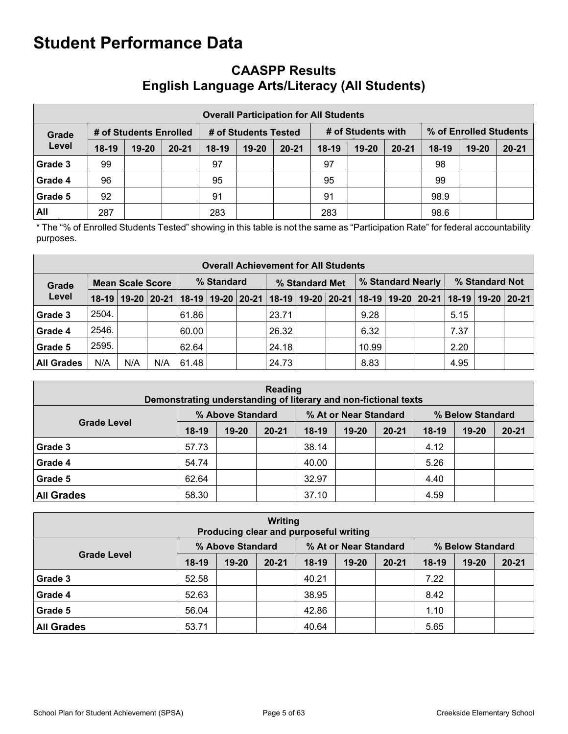## **CAASPP Results English Language Arts/Literacy (All Students)**

|         | <b>Overall Participation for All Students</b> |                        |           |                      |           |           |                    |           |           |                        |       |           |  |
|---------|-----------------------------------------------|------------------------|-----------|----------------------|-----------|-----------|--------------------|-----------|-----------|------------------------|-------|-----------|--|
| Grade   |                                               | # of Students Enrolled |           | # of Students Tested |           |           | # of Students with |           |           | % of Enrolled Students |       |           |  |
| Level   | $18-19$                                       | 19-20                  | $20 - 21$ | $18-19$              | $19 - 20$ | $20 - 21$ | $18-19$            | $19 - 20$ | $20 - 21$ | $18-19$                | 19-20 | $20 - 21$ |  |
| Grade 3 | 99                                            |                        |           | 97                   |           |           | 97                 |           |           | 98                     |       |           |  |
| Grade 4 | 96                                            |                        |           | 95                   |           |           | 95                 |           |           | 99                     |       |           |  |
| Grade 5 | 92                                            |                        |           | 91                   |           |           | 91                 |           |           | 98.9                   |       |           |  |
| All     | 287                                           |                        |           | 283                  |           |           | 283                |           |           | 98.6                   |       |           |  |

\* The "% of Enrolled Students Tested" showing in this table is not the same as "Participation Rate" for federal accountability purposes.

|                   | <b>Overall Achievement for All Students</b> |     |     |            |  |                |                                                                       |  |                   |       |  |                |      |                                               |  |
|-------------------|---------------------------------------------|-----|-----|------------|--|----------------|-----------------------------------------------------------------------|--|-------------------|-------|--|----------------|------|-----------------------------------------------|--|
| Grade             | <b>Mean Scale Score</b>                     |     |     | % Standard |  | % Standard Met |                                                                       |  | % Standard Nearly |       |  | % Standard Not |      |                                               |  |
| Level             |                                             |     |     |            |  |                | 18-19   19-20   20-21   18-19   19-20   20-21   18-19   19-20   20-21 |  |                   |       |  |                |      | 18-19   19-20   20-21   18-19   19-20   20-21 |  |
| Grade 3           | 2504.                                       |     |     | 61.86      |  |                | 23.71                                                                 |  |                   | 9.28  |  |                | 5.15 |                                               |  |
| Grade 4           | 2546.                                       |     |     | 60.00      |  |                | 26.32                                                                 |  |                   | 6.32  |  |                | 7.37 |                                               |  |
| Grade 5           | 2595.                                       |     |     | 62.64      |  |                | 24.18                                                                 |  |                   | 10.99 |  |                | 2.20 |                                               |  |
| <b>All Grades</b> | N/A                                         | N/A | N/A | 61.48      |  |                | 24.73                                                                 |  |                   | 8.83  |  |                | 4.95 |                                               |  |

| <b>Reading</b><br>Demonstrating understanding of literary and non-fictional texts |         |                  |           |                       |           |           |                  |           |           |  |
|-----------------------------------------------------------------------------------|---------|------------------|-----------|-----------------------|-----------|-----------|------------------|-----------|-----------|--|
|                                                                                   |         | % Above Standard |           | % At or Near Standard |           |           | % Below Standard |           |           |  |
| <b>Grade Level</b>                                                                | $18-19$ | $19 - 20$        | $20 - 21$ | 18-19                 | $19 - 20$ | $20 - 21$ | 18-19            | $19 - 20$ | $20 - 21$ |  |
| Grade 3                                                                           | 57.73   |                  |           | 38.14                 |           |           | 4.12             |           |           |  |
| Grade 4                                                                           | 54.74   |                  |           | 40.00                 |           |           | 5.26             |           |           |  |
| Grade 5                                                                           | 62.64   |                  |           | 32.97                 |           |           | 4.40             |           |           |  |
| <b>All Grades</b>                                                                 | 58.30   |                  |           | 37.10                 |           |           | 4.59             |           |           |  |

| <b>Writing</b><br>Producing clear and purposeful writing |         |                  |           |         |                       |           |                  |       |           |  |
|----------------------------------------------------------|---------|------------------|-----------|---------|-----------------------|-----------|------------------|-------|-----------|--|
|                                                          |         | % Above Standard |           |         | % At or Near Standard |           | % Below Standard |       |           |  |
| <b>Grade Level</b>                                       | $18-19$ | $19 - 20$        | $20 - 21$ | $18-19$ | $19 - 20$             | $20 - 21$ | $18-19$          | 19-20 | $20 - 21$ |  |
| Grade 3                                                  | 52.58   |                  |           | 40.21   |                       |           | 7.22             |       |           |  |
| Grade 4                                                  | 52.63   |                  |           | 38.95   |                       |           | 8.42             |       |           |  |
| Grade 5                                                  | 56.04   |                  |           | 42.86   |                       |           | 1.10             |       |           |  |
| <b>All Grades</b>                                        | 53.71   |                  |           | 40.64   |                       |           | 5.65             |       |           |  |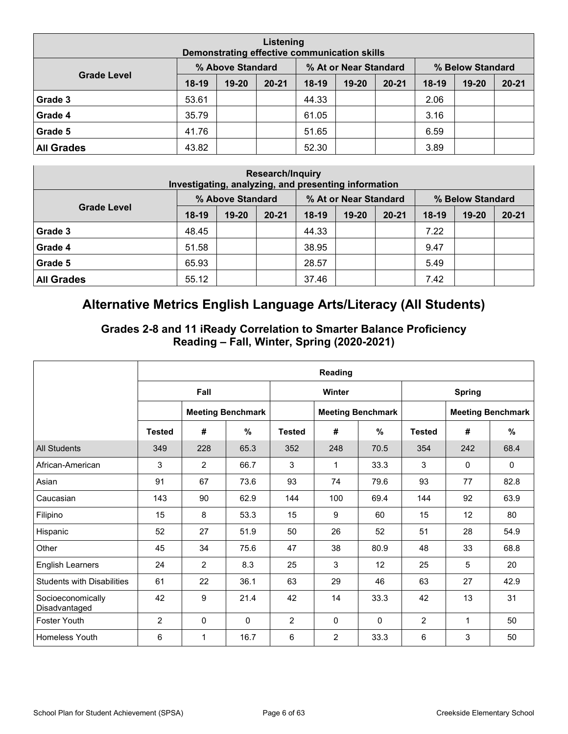| Listening<br>Demonstrating effective communication skills |         |                  |           |       |                       |           |                  |           |           |  |
|-----------------------------------------------------------|---------|------------------|-----------|-------|-----------------------|-----------|------------------|-----------|-----------|--|
|                                                           |         | % Above Standard |           |       | % At or Near Standard |           | % Below Standard |           |           |  |
| <b>Grade Level</b>                                        | $18-19$ | 19-20            | $20 - 21$ | 18-19 | 19-20                 | $20 - 21$ | $18-19$          | $19 - 20$ | $20 - 21$ |  |
| Grade 3                                                   | 53.61   |                  |           | 44.33 |                       |           | 2.06             |           |           |  |
| Grade 4                                                   | 35.79   |                  |           | 61.05 |                       |           | 3.16             |           |           |  |
| Grade 5                                                   | 41.76   |                  |           | 51.65 |                       |           | 6.59             |           |           |  |
| <b>All Grades</b>                                         | 43.82   |                  |           | 52.30 |                       |           | 3.89             |           |           |  |

| <b>Research/Inquiry</b><br>Investigating, analyzing, and presenting information |         |                  |           |                       |           |           |                  |  |  |  |
|---------------------------------------------------------------------------------|---------|------------------|-----------|-----------------------|-----------|-----------|------------------|--|--|--|
|                                                                                 |         | % Above Standard |           | % At or Near Standard |           |           | % Below Standard |  |  |  |
| <b>Grade Level</b>                                                              | $18-19$ | $19 - 20$        | $20 - 21$ | $18-19$               | $19 - 20$ | $20 - 21$ |                  |  |  |  |
| Grade 3                                                                         | 48.45   |                  |           | 44.33                 |           |           | 7.22             |  |  |  |
| Grade 4                                                                         | 51.58   |                  |           | 38.95                 |           |           | 9.47             |  |  |  |
| Grade 5                                                                         | 65.93   |                  |           | 28.57                 |           |           | 5.49             |  |  |  |
| <b>All Grades</b>                                                               | 55.12   |                  |           | 37.46                 |           |           | 7.42             |  |  |  |

## **Alternative Metrics English Language Arts/Literacy (All Students)**

#### **Grades 2-8 and 11 iReady Correlation to Smarter Balance Proficiency Reading – Fall, Winter, Spring (2020-2021)**

|                                    | Reading        |                          |      |                |                |                          |                |                          |      |  |  |
|------------------------------------|----------------|--------------------------|------|----------------|----------------|--------------------------|----------------|--------------------------|------|--|--|
|                                    |                | Fall                     |      |                | Winter         |                          | <b>Spring</b>  |                          |      |  |  |
|                                    |                | <b>Meeting Benchmark</b> |      |                |                | <b>Meeting Benchmark</b> |                | <b>Meeting Benchmark</b> |      |  |  |
|                                    | <b>Tested</b>  | #                        | %    | <b>Tested</b>  | #              | %                        | <b>Tested</b>  | #                        | %    |  |  |
| <b>All Students</b>                | 349            | 228                      | 65.3 | 352            | 248            | 70.5                     | 354            | 242                      | 68.4 |  |  |
| African-American                   | 3              | $\overline{2}$           | 66.7 | 3              | 1              | 33.3                     | 3              | 0                        | 0    |  |  |
| Asian                              | 91             | 67                       | 73.6 | 93             | 74             | 79.6                     | 93             | 77                       | 82.8 |  |  |
| Caucasian                          | 143            | 90                       | 62.9 | 144            | 100            | 69.4                     | 144            | 92                       | 63.9 |  |  |
| Filipino                           | 15             | 8                        | 53.3 | 15             | 9              | 60                       | 15             | 12                       | 80   |  |  |
| Hispanic                           | 52             | 27                       | 51.9 | 50             | 26             | 52                       | 51             | 28                       | 54.9 |  |  |
| Other                              | 45             | 34                       | 75.6 | 47             | 38             | 80.9                     | 48             | 33                       | 68.8 |  |  |
| <b>English Learners</b>            | 24             | $\overline{2}$           | 8.3  | 25             | 3              | 12                       | 25             | 5                        | 20   |  |  |
| <b>Students with Disabilities</b>  | 61             | 22                       | 36.1 | 63             | 29             | 46                       | 63             | 27                       | 42.9 |  |  |
| Socioeconomically<br>Disadvantaged | 42             | 9                        | 21.4 | 42             | 14             | 33.3                     | 42             | 13                       | 31   |  |  |
| <b>Foster Youth</b>                | $\overline{2}$ | $\mathbf 0$              | 0    | $\overline{2}$ | 0              | $\mathbf{0}$             | $\overline{2}$ | 1                        | 50   |  |  |
| Homeless Youth                     | 6              | $\mathbf{1}$             | 16.7 | 6              | $\overline{2}$ | 33.3                     | 6              | 3                        | 50   |  |  |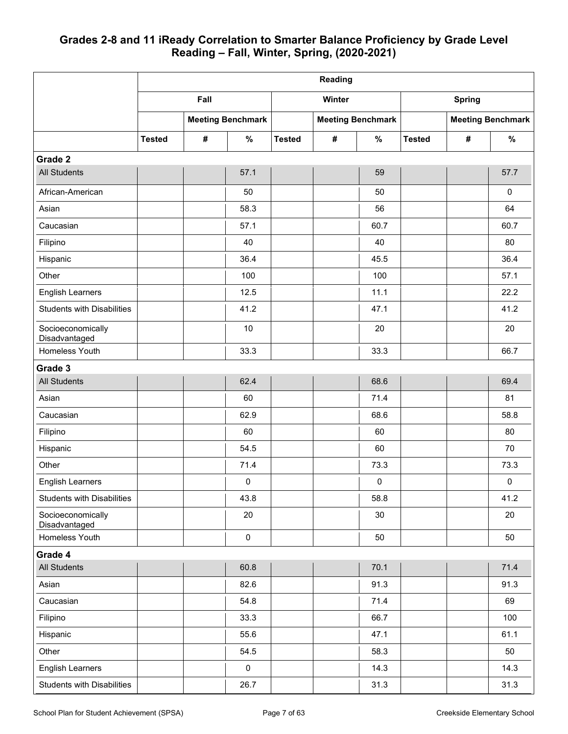#### **Grades 2-8 and 11 iReady Correlation to Smarter Balance Proficiency by Grade Level Reading – Fall, Winter, Spring, (2020-2021)**

|                                    | Reading       |            |                          |               |            |                          |               |               |                          |  |
|------------------------------------|---------------|------------|--------------------------|---------------|------------|--------------------------|---------------|---------------|--------------------------|--|
|                                    |               | Fall       |                          |               | Winter     |                          |               | <b>Spring</b> |                          |  |
|                                    |               |            | <b>Meeting Benchmark</b> |               |            | <b>Meeting Benchmark</b> |               |               | <b>Meeting Benchmark</b> |  |
|                                    | <b>Tested</b> | $\pmb{\#}$ | $\%$                     | <b>Tested</b> | $\pmb{\#}$ | $\%$                     | <b>Tested</b> | #             | $\%$                     |  |
| Grade 2                            |               |            |                          |               |            |                          |               |               |                          |  |
| <b>All Students</b>                |               |            | 57.1                     |               |            | 59                       |               |               | 57.7                     |  |
| African-American                   |               |            | 50                       |               |            | 50                       |               |               | $\pmb{0}$                |  |
| Asian                              |               |            | 58.3                     |               |            | 56                       |               |               | 64                       |  |
| Caucasian                          |               |            | 57.1                     |               |            | 60.7                     |               |               | 60.7                     |  |
| Filipino                           |               |            | 40                       |               |            | 40                       |               |               | 80                       |  |
| Hispanic                           |               |            | 36.4                     |               |            | 45.5                     |               |               | 36.4                     |  |
| Other                              |               |            | 100                      |               |            | 100                      |               |               | 57.1                     |  |
| <b>English Learners</b>            |               |            | 12.5                     |               |            | 11.1                     |               |               | 22.2                     |  |
| <b>Students with Disabilities</b>  |               |            | 41.2                     |               |            | 47.1                     |               |               | 41.2                     |  |
| Socioeconomically<br>Disadvantaged |               |            | 10                       |               |            | 20                       |               |               | 20                       |  |
| Homeless Youth                     |               |            | 33.3                     |               |            | 33.3                     |               |               | 66.7                     |  |
| Grade 3                            |               |            |                          |               |            |                          |               |               |                          |  |
| <b>All Students</b>                |               |            | 62.4                     |               |            | 68.6                     |               |               | 69.4                     |  |
| Asian                              |               |            | 60                       |               |            | 71.4                     |               |               | 81                       |  |
| Caucasian                          |               |            | 62.9                     |               |            | 68.6                     |               |               | 58.8                     |  |
| Filipino                           |               |            | 60                       |               |            | 60                       |               |               | 80                       |  |
| Hispanic                           |               |            | 54.5                     |               |            | 60                       |               |               | 70                       |  |
| Other                              |               |            | 71.4                     |               |            | 73.3                     |               |               | 73.3                     |  |
| <b>English Learners</b>            |               |            | 0                        |               |            | 0                        |               |               | $\pmb{0}$                |  |
| <b>Students with Disabilities</b>  |               |            | 43.8                     |               |            | 58.8                     |               |               | 41.2                     |  |
| Socioeconomically<br>Disadvantaged |               |            | 20                       |               |            | 30                       |               |               | 20                       |  |
| Homeless Youth                     |               |            | $\pmb{0}$                |               |            | 50                       |               |               | 50                       |  |
| Grade 4                            |               |            |                          |               |            |                          |               |               |                          |  |
| <b>All Students</b>                |               |            | 60.8                     |               |            | 70.1                     |               |               | 71.4                     |  |
| Asian                              |               |            | 82.6                     |               |            | 91.3                     |               |               | 91.3                     |  |
| Caucasian                          |               |            | 54.8                     |               |            | 71.4                     |               |               | 69                       |  |
| Filipino                           |               |            | 33.3                     |               |            | 66.7                     |               |               | 100                      |  |
| Hispanic                           |               |            | 55.6                     |               |            | 47.1                     |               |               | 61.1                     |  |
| Other                              |               |            | 54.5                     |               |            | 58.3                     |               |               | 50                       |  |
| English Learners                   |               |            | $\pmb{0}$                |               |            | 14.3                     |               |               | 14.3                     |  |
| Students with Disabilities         |               |            | 26.7                     |               |            | 31.3                     |               |               | 31.3                     |  |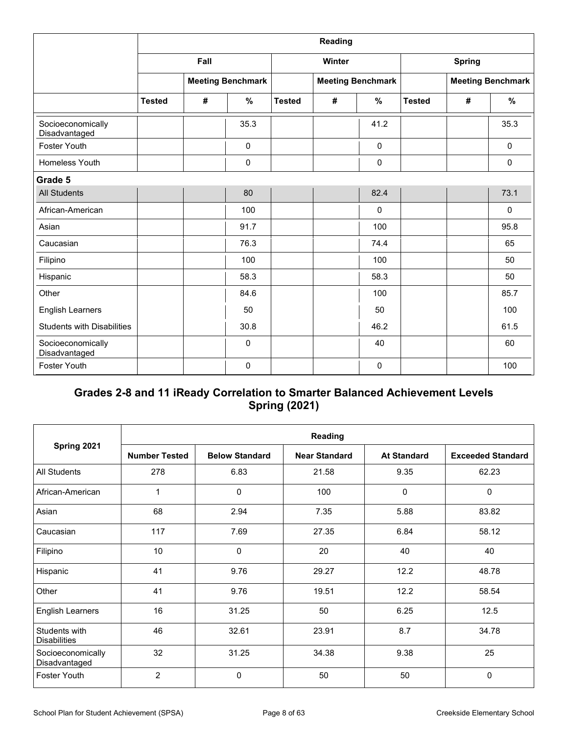|                                    | Reading       |            |                          |               |               |                          |                          |               |             |  |  |
|------------------------------------|---------------|------------|--------------------------|---------------|---------------|--------------------------|--------------------------|---------------|-------------|--|--|
|                                    |               | Fall       |                          |               | <b>Winter</b> |                          |                          | <b>Spring</b> |             |  |  |
|                                    |               |            | <b>Meeting Benchmark</b> |               |               | <b>Meeting Benchmark</b> | <b>Meeting Benchmark</b> |               |             |  |  |
|                                    | <b>Tested</b> | $\pmb{\#}$ | %                        | <b>Tested</b> | #             | %                        | <b>Tested</b>            | #             | %           |  |  |
| Socioeconomically<br>Disadvantaged |               |            | 35.3                     |               |               | 41.2                     |                          |               | 35.3        |  |  |
| <b>Foster Youth</b>                |               |            | $\mathbf 0$              |               |               | $\pmb{0}$                |                          |               | $\mathbf 0$ |  |  |
| Homeless Youth                     |               |            | 0                        |               |               | 0                        |                          |               | $\mathbf 0$ |  |  |
| Grade 5                            |               |            |                          |               |               |                          |                          |               |             |  |  |
| <b>All Students</b>                |               |            | 80                       |               |               | 82.4                     |                          |               | 73.1        |  |  |
| African-American                   |               |            | 100                      |               |               | $\Omega$                 |                          |               | $\pmb{0}$   |  |  |
| Asian                              |               |            | 91.7                     |               |               | 100                      |                          |               | 95.8        |  |  |
| Caucasian                          |               |            | 76.3                     |               |               | 74.4                     |                          |               | 65          |  |  |
| Filipino                           |               |            | 100                      |               |               | 100                      |                          |               | 50          |  |  |
| Hispanic                           |               |            | 58.3                     |               |               | 58.3                     |                          |               | 50          |  |  |
| Other                              |               |            | 84.6                     |               |               | 100                      |                          |               | 85.7        |  |  |
| <b>English Learners</b>            |               |            | 50                       |               |               | 50                       |                          |               | 100         |  |  |
| <b>Students with Disabilities</b>  |               |            | 30.8                     |               |               | 46.2                     |                          |               | 61.5        |  |  |
| Socioeconomically<br>Disadvantaged |               |            | $\mathbf 0$              |               |               | 40                       |                          |               | 60          |  |  |
| <b>Foster Youth</b>                |               |            | $\mathbf{0}$             |               |               | 0                        |                          |               | 100         |  |  |

#### **Grades 2-8 and 11 iReady Correlation to Smarter Balanced Achievement Levels Spring (2021)**

|                                      | Reading              |                       |                      |                    |                          |  |  |  |  |  |  |
|--------------------------------------|----------------------|-----------------------|----------------------|--------------------|--------------------------|--|--|--|--|--|--|
| Spring 2021                          | <b>Number Tested</b> | <b>Below Standard</b> | <b>Near Standard</b> | <b>At Standard</b> | <b>Exceeded Standard</b> |  |  |  |  |  |  |
| All Students                         | 278                  | 6.83                  | 21.58                | 9.35               | 62.23                    |  |  |  |  |  |  |
| African-American                     | $\mathbf{1}$         | $\mathbf{0}$          | 100                  | 0                  | $\mathbf 0$              |  |  |  |  |  |  |
| Asian                                | 68                   | 2.94                  | 7.35                 | 5.88               | 83.82                    |  |  |  |  |  |  |
| Caucasian                            | 117                  | 7.69                  | 27.35                | 6.84               | 58.12                    |  |  |  |  |  |  |
| Filipino                             | 10                   | 0                     | 20                   | 40                 | 40                       |  |  |  |  |  |  |
| Hispanic                             | 41                   | 9.76                  | 29.27                | 12.2               | 48.78                    |  |  |  |  |  |  |
| Other                                | 41                   | 9.76                  | 19.51                | 12.2               | 58.54                    |  |  |  |  |  |  |
| <b>English Learners</b>              | 16                   | 31.25                 | 50                   | 6.25               | 12.5                     |  |  |  |  |  |  |
| Students with<br><b>Disabilities</b> | 46                   | 32.61                 | 23.91                | 8.7                | 34.78                    |  |  |  |  |  |  |
| Socioeconomically<br>Disadvantaged   | 32                   | 31.25                 | 34.38                | 9.38               | 25                       |  |  |  |  |  |  |
| <b>Foster Youth</b>                  | $\overline{2}$       | $\mathbf{0}$          | 50                   | 50                 | $\mathbf 0$              |  |  |  |  |  |  |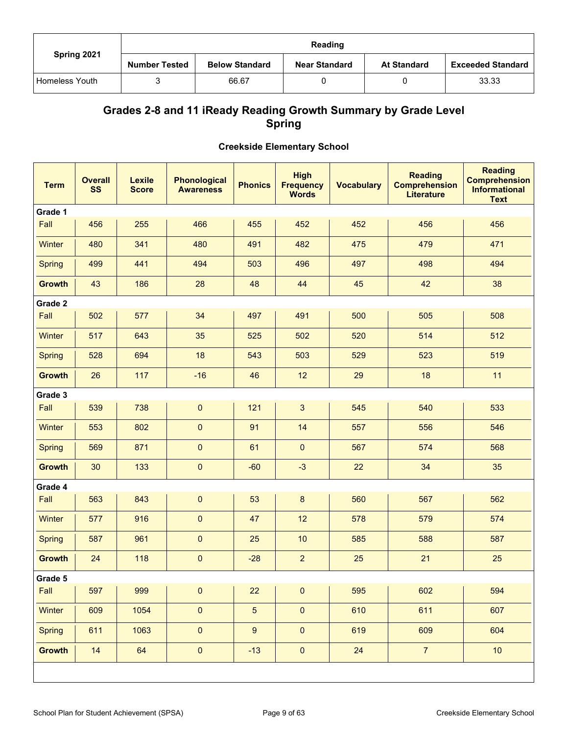|                       | Reading              |                       |                      |                    |                          |  |  |  |  |  |  |
|-----------------------|----------------------|-----------------------|----------------------|--------------------|--------------------------|--|--|--|--|--|--|
| Spring 2021           | <b>Number Tested</b> | <b>Below Standard</b> | <b>Near Standard</b> | <b>At Standard</b> | <b>Exceeded Standard</b> |  |  |  |  |  |  |
| <b>Homeless Youth</b> |                      | 66.67                 |                      |                    | 33.33                    |  |  |  |  |  |  |

### **Grades 2-8 and 11 iReady Reading Growth Summary by Grade Level Spring**

#### **Creekside Elementary School**

| <b>Term</b>   | <b>Overall</b><br><b>SS</b> | <b>Lexile</b><br><b>Score</b> | <b>Phonological</b><br><b>Awareness</b> | <b>Phonics</b>   | <b>High</b><br><b>Frequency</b><br><b>Words</b> | <b>Vocabulary</b> | <b>Reading</b><br><b>Comprehension</b><br>Literature | <b>Reading</b><br><b>Comprehension</b><br><b>Informational</b><br><b>Text</b> |
|---------------|-----------------------------|-------------------------------|-----------------------------------------|------------------|-------------------------------------------------|-------------------|------------------------------------------------------|-------------------------------------------------------------------------------|
| Grade 1       |                             |                               |                                         |                  |                                                 |                   |                                                      |                                                                               |
| Fall          | 456                         | 255                           | 466                                     | 455              | 452                                             | 452               | 456                                                  | 456                                                                           |
| Winter        | 480                         | 341                           | 480                                     | 491              | 482                                             | 475               | 479                                                  | 471                                                                           |
| <b>Spring</b> | 499                         | 441                           | 494                                     | 503              | 496                                             | 497               | 498                                                  | 494                                                                           |
| <b>Growth</b> | 43                          | 186                           | 28                                      | 48               | 44                                              | 45                | 42                                                   | 38                                                                            |
| Grade 2       |                             |                               |                                         |                  |                                                 |                   |                                                      |                                                                               |
| Fall          | 502                         | 577                           | 34                                      | 497              | 491                                             | 500               | 505                                                  | 508                                                                           |
| Winter        | 517                         | 643                           | 35                                      | 525              | 502                                             | 520               | 514                                                  | 512                                                                           |
| <b>Spring</b> | 528                         | 694                           | 18                                      | 543              | 503                                             | 529               | 523                                                  | 519                                                                           |
| <b>Growth</b> | 26                          | 117                           | $-16$                                   | 46               | 12                                              | 29                | 18                                                   | 11                                                                            |
| Grade 3       |                             |                               |                                         |                  |                                                 |                   |                                                      |                                                                               |
| Fall          | 539                         | 738                           | $\pmb{0}$                               | 121              | $\mathbf{3}$                                    | 545               | 540                                                  | 533                                                                           |
| Winter        | 553                         | 802                           | $\pmb{0}$                               | 91               | 14                                              | 557               | 556                                                  | 546                                                                           |
| <b>Spring</b> | 569                         | 871                           | $\pmb{0}$                               | 61               | $\pmb{0}$                                       | 567               | 574                                                  | 568                                                                           |
| <b>Growth</b> | 30                          | 133                           | $\pmb{0}$                               | $-60$            | $-3$                                            | 22                | 34                                                   | 35                                                                            |
| Grade 4       |                             |                               |                                         |                  |                                                 |                   |                                                      |                                                                               |
| Fall          | 563                         | 843                           | $\pmb{0}$                               | 53               | $\bf 8$                                         | 560               | 567                                                  | 562                                                                           |
| Winter        | 577                         | 916                           | $\pmb{0}$                               | 47               | 12                                              | 578               | 579                                                  | 574                                                                           |
| <b>Spring</b> | 587                         | 961                           | $\pmb{0}$                               | 25               | 10                                              | 585               | 588                                                  | 587                                                                           |
| <b>Growth</b> | 24                          | 118                           | $\pmb{0}$                               | $-28$            | $\overline{a}$                                  | 25                | 21                                                   | 25                                                                            |
| Grade 5       |                             |                               |                                         |                  |                                                 |                   |                                                      |                                                                               |
| Fall          | 597                         | 999                           | $\pmb{0}$                               | 22               | $\pmb{0}$                                       | 595               | 602                                                  | 594                                                                           |
| Winter        | 609                         | 1054                          | $\pmb{0}$                               | $5\overline{)}$  | $\pmb{0}$                                       | 610               | 611                                                  | 607                                                                           |
| <b>Spring</b> | 611                         | 1063                          | $\pmb{0}$                               | $\boldsymbol{9}$ | $\pmb{0}$                                       | 619               | 609                                                  | 604                                                                           |
| <b>Growth</b> | 14                          | 64                            | $\pmb{0}$                               | $-13$            | $\pmb{0}$                                       | 24                | $\overline{7}$                                       | 10                                                                            |
|               |                             |                               |                                         |                  |                                                 |                   |                                                      |                                                                               |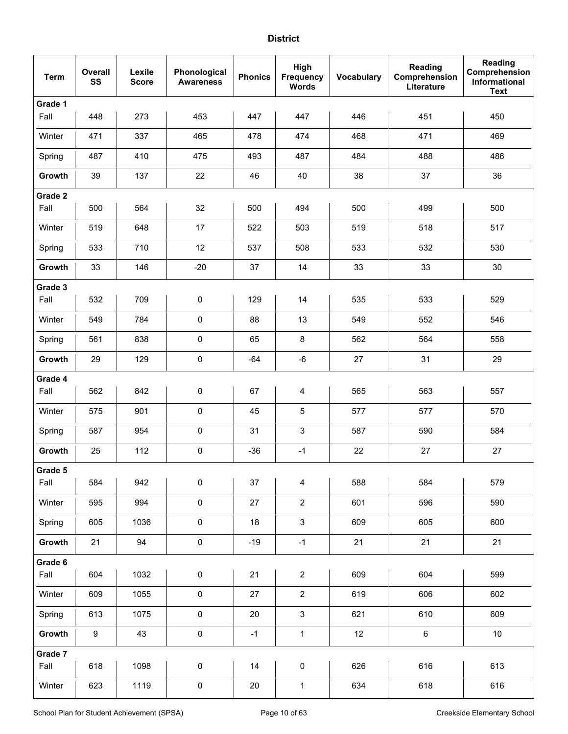#### **District**

| <b>Term</b> | Overall<br>SS | Lexile<br><b>Score</b> | Phonological<br><b>Awareness</b> | <b>Phonics</b> | High<br>Frequency<br><b>Words</b> | Vocabulary | Reading<br>Comprehension<br>Literature | Reading<br>Comprehension<br>Informational<br><b>Text</b> |
|-------------|---------------|------------------------|----------------------------------|----------------|-----------------------------------|------------|----------------------------------------|----------------------------------------------------------|
| Grade 1     |               |                        |                                  |                |                                   |            |                                        |                                                          |
| Fall        | 448           | 273                    | 453                              | 447            | 447                               | 446        | 451                                    | 450                                                      |
| Winter      | 471           | 337                    | 465                              | 478            | 474                               | 468        | 471                                    | 469                                                      |
| Spring      | 487           | 410                    | 475                              | 493            | 487                               | 484        | 488                                    | 486                                                      |
| Growth      | 39            | 137                    | 22                               | 46             | 40                                | 38         | 37                                     | 36                                                       |
| Grade 2     |               |                        |                                  |                |                                   |            |                                        |                                                          |
| Fall        | 500           | 564                    | 32                               | 500            | 494                               | 500        | 499                                    | 500                                                      |
| Winter      | 519           | 648                    | 17                               | 522            | 503                               | 519        | 518                                    | 517                                                      |
| Spring      | 533           | 710                    | 12                               | 537            | 508                               | 533        | 532                                    | 530                                                      |
| Growth      | 33            | 146                    | $-20$                            | 37             | 14                                | 33         | 33                                     | 30                                                       |
| Grade 3     |               |                        |                                  |                |                                   |            |                                        |                                                          |
| Fall        | 532           | 709                    | $\mathbf 0$                      | 129            | 14                                | 535        | 533                                    | 529                                                      |
| Winter      | 549           | 784                    | $\mathsf{O}\xspace$              | 88             | 13                                | 549        | 552                                    | 546                                                      |
| Spring      | 561           | 838                    | $\mathsf 0$                      | 65             | 8                                 | 562        | 564                                    | 558                                                      |
| Growth      | 29            | 129                    | $\pmb{0}$                        | $-64$          | $-6$                              | 27         | 31                                     | 29                                                       |
| Grade 4     |               |                        |                                  |                |                                   |            |                                        |                                                          |
| Fall        | 562           | 842                    | $\pmb{0}$                        | 67             | 4                                 | 565        | 563                                    | 557                                                      |
| Winter      | 575           | 901                    | $\mathsf{O}\xspace$              | 45             | 5                                 | 577        | 577                                    | 570                                                      |
| Spring      | 587           | 954                    | $\pmb{0}$                        | 31             | 3                                 | 587        | 590                                    | 584                                                      |
| Growth      | 25            | 112                    | $\mathsf 0$                      | $-36$          | $-1$                              | 22         | 27                                     | 27                                                       |
| Grade 5     |               |                        |                                  |                |                                   |            |                                        |                                                          |
| Fall        | 584           | 942                    | $\pmb{0}$                        | 37             | 4                                 | 588        | 584                                    | 579                                                      |
| Winter      | 595           | 994                    | $\mathsf{O}\xspace$              | 27             | $\overline{2}$                    | 601        | 596                                    | 590                                                      |
| Spring      | 605           | 1036                   | $\mathsf{O}\xspace$              | 18             | $\mathbf{3}$                      | 609        | 605                                    | 600                                                      |
| Growth      | 21            | 94                     | $\pmb{0}$                        | $-19$          | $-1$                              | 21         | 21                                     | 21                                                       |
| Grade 6     |               |                        |                                  |                |                                   |            |                                        |                                                          |
| Fall        | 604           | 1032                   | $\pmb{0}$                        | 21             | $\overline{c}$                    | 609        | 604                                    | 599                                                      |
| Winter      | 609           | 1055                   | $\mathsf{O}\xspace$              | 27             | $\overline{2}$                    | 619        | 606                                    | 602                                                      |
| Spring      | 613           | 1075                   | $\mathbf 0$                      | 20             | $\mathbf{3}$                      | 621        | 610                                    | 609                                                      |
| Growth      | $9\,$         | 43                     | $\pmb{0}$                        | $-1$           | $\mathbf{1}$                      | 12         | $\,6\,$                                | 10                                                       |
| Grade 7     |               |                        |                                  |                |                                   |            |                                        |                                                          |
| Fall        | 618           | 1098                   | $\pmb{0}$                        | 14             | 0                                 | 626        | 616                                    | 613                                                      |
| Winter      | 623           | 1119                   | $\pmb{0}$                        | 20             | $\mathbf{1}$                      | 634        | 618                                    | 616                                                      |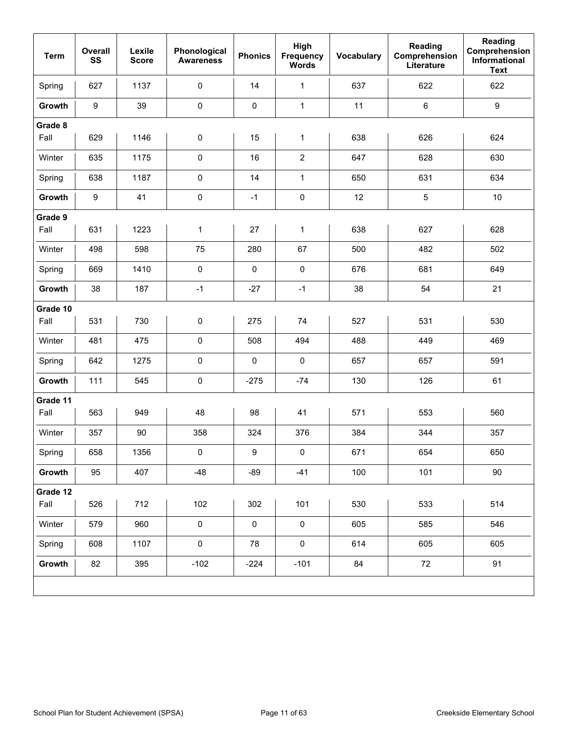| <b>Term</b> | Overall<br>SS    | Lexile<br><b>Score</b> | Phonological<br><b>Awareness</b> | <b>Phonics</b> | High<br>Frequency<br><b>Words</b> | Vocabulary | Reading<br>Comprehension<br>Literature | Reading<br>Comprehension<br>Informational<br><b>Text</b> |
|-------------|------------------|------------------------|----------------------------------|----------------|-----------------------------------|------------|----------------------------------------|----------------------------------------------------------|
| Spring      | 627              | 1137                   | $\mathbf 0$                      | 14             | $\mathbf{1}$                      | 637        | 622                                    | 622                                                      |
| Growth      | $\boldsymbol{9}$ | 39                     | $\pmb{0}$                        | 0              | $\mathbf{1}$                      | 11         | 6                                      | $\boldsymbol{9}$                                         |
| Grade 8     |                  |                        |                                  |                |                                   |            |                                        |                                                          |
| Fall        | 629              | 1146                   | $\pmb{0}$                        | 15             | $\mathbf{1}$                      | 638        | 626                                    | 624                                                      |
| Winter      | 635              | 1175                   | $\pmb{0}$                        | 16             | $\overline{2}$                    | 647        | 628                                    | 630                                                      |
| Spring      | 638              | 1187                   | $\pmb{0}$                        | 14             | $\mathbf{1}$                      | 650        | 631                                    | 634                                                      |
| Growth      | $\boldsymbol{9}$ | 41                     | $\pmb{0}$                        | $-1$           | $\pmb{0}$                         | 12         | $5\,$                                  | 10                                                       |
| Grade 9     |                  |                        |                                  |                |                                   |            |                                        |                                                          |
| Fall        | 631              | 1223                   | $\mathbf{1}$                     | 27             | $\mathbf{1}$                      | 638        | 627                                    | 628                                                      |
| Winter      | 498              | 598                    | 75                               | 280            | 67                                | 500        | 482                                    | 502                                                      |
| Spring      | 669              | 1410                   | $\pmb{0}$                        | $\pmb{0}$      | $\pmb{0}$                         | 676        | 681                                    | 649                                                      |
| Growth      | 38               | 187                    | $-1$                             | $-27$          | $-1$                              | 38         | 54                                     | 21                                                       |
| Grade 10    |                  |                        |                                  |                |                                   |            |                                        |                                                          |
| Fall        | 531              | 730                    | $\pmb{0}$                        | 275            | 74                                | 527        | 531                                    | 530                                                      |
| Winter      | 481              | 475                    | $\pmb{0}$                        | 508            | 494                               | 488        | 449                                    | 469                                                      |
| Spring      | 642              | 1275                   | $\mathbf 0$                      | $\pmb{0}$      | $\pmb{0}$                         | 657        | 657                                    | 591                                                      |
| Growth      | 111              | 545                    | $\pmb{0}$                        | $-275$         | $-74$                             | 130        | 126                                    | 61                                                       |
| Grade 11    |                  |                        |                                  |                |                                   |            |                                        |                                                          |
| Fall        | 563              | 949                    | 48                               | 98             | 41                                | 571        | 553                                    | 560                                                      |
| Winter      | 357              | 90                     | 358                              | 324            | 376                               | 384        | 344                                    | 357                                                      |
| Spring      | 658              | 1356                   | $\pmb{0}$                        | 9              | $\pmb{0}$                         | 671        | 654                                    | 650                                                      |
| Growth      | 95               | 407                    | $-48$                            | $-89$          | $-41$                             | 100        | 101                                    | 90                                                       |
| Grade 12    |                  |                        |                                  |                |                                   |            |                                        |                                                          |
| Fall        | 526              | 712                    | 102                              | 302            | 101                               | 530        | 533                                    | 514                                                      |
| Winter      | 579              | 960                    | $\pmb{0}$                        | $\pmb{0}$      | $\pmb{0}$                         | 605        | 585                                    | 546                                                      |
| Spring      | 608              | 1107                   | $\mathsf{O}\xspace$              | 78             | $\mathsf{O}\xspace$               | 614        | 605                                    | 605                                                      |
| Growth      | 82               | 395                    | $-102$                           | $-224$         | $-101$                            | 84         | 72                                     | 91                                                       |
|             |                  |                        |                                  |                |                                   |            |                                        |                                                          |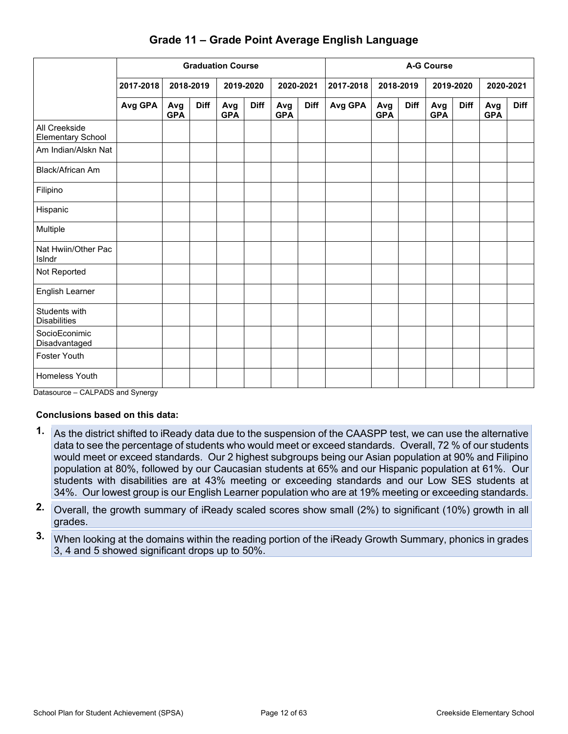|                                           |           | <b>Graduation Course</b> |             |                   |             |                   |             | <b>A-G Course</b> |                   |             |                        |             |                   |             |
|-------------------------------------------|-----------|--------------------------|-------------|-------------------|-------------|-------------------|-------------|-------------------|-------------------|-------------|------------------------|-------------|-------------------|-------------|
|                                           | 2017-2018 |                          | 2018-2019   |                   | 2019-2020   | 2020-2021         |             | 2017-2018         |                   | 2018-2019   | 2020-2021<br>2019-2020 |             |                   |             |
|                                           | Avg GPA   | Avg<br><b>GPA</b>        | <b>Diff</b> | Avg<br><b>GPA</b> | <b>Diff</b> | Avg<br><b>GPA</b> | <b>Diff</b> | Avg GPA           | Avg<br><b>GPA</b> | <b>Diff</b> | Avg<br><b>GPA</b>      | <b>Diff</b> | Avg<br><b>GPA</b> | <b>Diff</b> |
| All Creekside<br><b>Elementary School</b> |           |                          |             |                   |             |                   |             |                   |                   |             |                        |             |                   |             |
| Am Indian/Alskn Nat                       |           |                          |             |                   |             |                   |             |                   |                   |             |                        |             |                   |             |
| <b>Black/African Am</b>                   |           |                          |             |                   |             |                   |             |                   |                   |             |                        |             |                   |             |
| Filipino                                  |           |                          |             |                   |             |                   |             |                   |                   |             |                        |             |                   |             |
| Hispanic                                  |           |                          |             |                   |             |                   |             |                   |                   |             |                        |             |                   |             |
| Multiple                                  |           |                          |             |                   |             |                   |             |                   |                   |             |                        |             |                   |             |
| Nat Hwiin/Other Pac<br>Islndr             |           |                          |             |                   |             |                   |             |                   |                   |             |                        |             |                   |             |
| Not Reported                              |           |                          |             |                   |             |                   |             |                   |                   |             |                        |             |                   |             |
| English Learner                           |           |                          |             |                   |             |                   |             |                   |                   |             |                        |             |                   |             |
| Students with<br><b>Disabilities</b>      |           |                          |             |                   |             |                   |             |                   |                   |             |                        |             |                   |             |
| SocioEconimic<br>Disadvantaged            |           |                          |             |                   |             |                   |             |                   |                   |             |                        |             |                   |             |
| <b>Foster Youth</b>                       |           |                          |             |                   |             |                   |             |                   |                   |             |                        |             |                   |             |
| Homeless Youth                            |           |                          |             |                   |             |                   |             |                   |                   |             |                        |             |                   |             |

#### **Grade 11 – Grade Point Average English Language**

Datasource – CALPADS and Synergy

#### **Conclusions based on this data:**

- **1.** As the district shifted to iReady data due to the suspension of the CAASPP test, we can use the alternative data to see the percentage of students who would meet or exceed standards. Overall, 72 % of our students would meet or exceed standards. Our 2 highest subgroups being our Asian population at 90% and Filipino population at 80%, followed by our Caucasian students at 65% and our Hispanic population at 61%. Our students with disabilities are at 43% meeting or exceeding standards and our Low SES students at 34%. Our lowest group is our English Learner population who are at 19% meeting or exceeding standards.
- **2.** Overall, the growth summary of iReady scaled scores show small (2%) to significant (10%) growth in all grades.
- **3.** When looking at the domains within the reading portion of the iReady Growth Summary, phonics in grades 3, 4 and 5 showed significant drops up to 50%.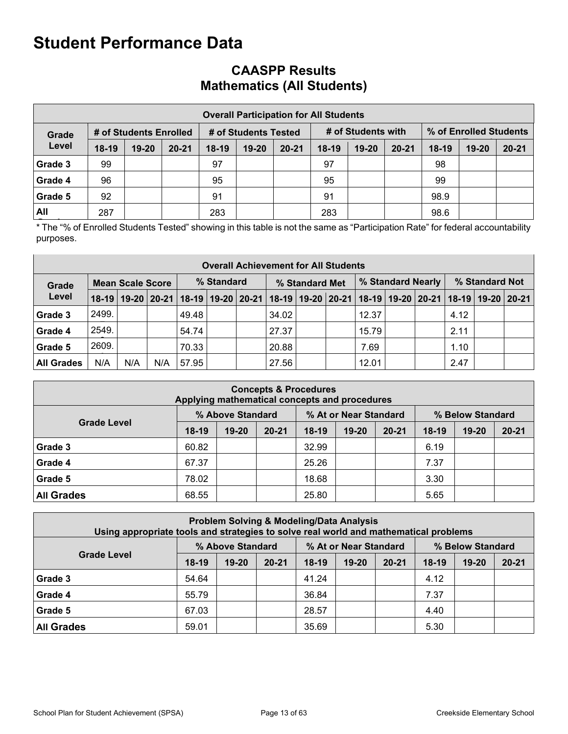## **CAASPP Results Mathematics (All Students)**

|         | <b>Overall Participation for All Students</b> |                        |           |         |                      |           |         |                    |           |                        |           |           |  |
|---------|-----------------------------------------------|------------------------|-----------|---------|----------------------|-----------|---------|--------------------|-----------|------------------------|-----------|-----------|--|
| Grade   |                                               | # of Students Enrolled |           |         | # of Students Tested |           |         | # of Students with |           | % of Enrolled Students |           |           |  |
| Level   | $18-19$                                       | $19 - 20$              | $20 - 21$ | $18-19$ | $19 - 20$            | $20 - 21$ | $18-19$ | $19 - 20$          | $20 - 21$ | $18-19$                | $19 - 20$ | $20 - 21$ |  |
| Grade 3 | 99                                            |                        |           | 97      |                      |           | 97      |                    |           | 98                     |           |           |  |
| Grade 4 | 96                                            |                        |           | 95      |                      |           | 95      |                    |           | 99                     |           |           |  |
| Grade 5 | 92                                            |                        |           | 91      |                      |           | 91      |                    |           | 98.9                   |           |           |  |
| All     | 287                                           |                        |           | 283     |                      |           | 283     |                    |           | 98.6                   |           |           |  |

\* The "% of Enrolled Students Tested" showing in this table is not the same as "Participation Rate" for federal accountability purposes.

|                   | <b>Overall Achievement for All Students</b> |                         |     |            |  |  |                |  |  |                                                                                                                       |  |  |                |  |  |
|-------------------|---------------------------------------------|-------------------------|-----|------------|--|--|----------------|--|--|-----------------------------------------------------------------------------------------------------------------------|--|--|----------------|--|--|
| Grade             |                                             | <b>Mean Scale Score</b> |     | % Standard |  |  | % Standard Met |  |  | % Standard Nearly                                                                                                     |  |  | % Standard Not |  |  |
| Level             |                                             |                         |     |            |  |  |                |  |  | 18-19   19-20   20-21   18-19   19-20   20-21   18-19   19-20   20-21   18-19   19-20   20-21   18-19   19-20   20-21 |  |  |                |  |  |
| Grade 3           | 2499.                                       |                         |     | 49.48      |  |  | 34.02          |  |  | 12.37                                                                                                                 |  |  | 4.12           |  |  |
| <b>Grade 4</b>    | 2549.                                       |                         |     | 54.74      |  |  | 27.37          |  |  | 15.79                                                                                                                 |  |  | 2.11           |  |  |
| <b>Grade 5</b>    | 2609.                                       |                         |     | 70.33      |  |  | 20.88          |  |  | 7.69                                                                                                                  |  |  | 1.10           |  |  |
| <b>All Grades</b> | N/A                                         | N/A                     | N/A | 57.95      |  |  | 27.56          |  |  | 12.01                                                                                                                 |  |  | 2.47           |  |  |

| <b>Concepts &amp; Procedures</b><br>Applying mathematical concepts and procedures |         |                  |           |         |                       |           |                  |           |           |  |  |  |
|-----------------------------------------------------------------------------------|---------|------------------|-----------|---------|-----------------------|-----------|------------------|-----------|-----------|--|--|--|
|                                                                                   |         | % Above Standard |           |         | % At or Near Standard |           | % Below Standard |           |           |  |  |  |
| <b>Grade Level</b>                                                                | $18-19$ | $19 - 20$        | $20 - 21$ | $18-19$ | $19 - 20$             | $20 - 21$ | $18-19$          | $19 - 20$ | $20 - 21$ |  |  |  |
| Grade 3                                                                           | 60.82   |                  |           | 32.99   |                       |           | 6.19             |           |           |  |  |  |
| Grade 4                                                                           | 67.37   |                  |           | 25.26   |                       |           | 7.37             |           |           |  |  |  |
| Grade 5                                                                           | 78.02   |                  |           | 18.68   |                       |           | 3.30             |           |           |  |  |  |
| <b>All Grades</b>                                                                 | 68.55   |                  |           | 25.80   |                       |           | 5.65             |           |           |  |  |  |

|                    | <b>Problem Solving &amp; Modeling/Data Analysis</b><br>Using appropriate tools and strategies to solve real world and mathematical problems |                  |           |         |                       |           |                  |           |           |  |  |  |  |
|--------------------|---------------------------------------------------------------------------------------------------------------------------------------------|------------------|-----------|---------|-----------------------|-----------|------------------|-----------|-----------|--|--|--|--|
|                    |                                                                                                                                             | % Above Standard |           |         | % At or Near Standard |           | % Below Standard |           |           |  |  |  |  |
| <b>Grade Level</b> | $18-19$                                                                                                                                     | $19 - 20$        | $20 - 21$ | $18-19$ | $19 - 20$             | $20 - 21$ | $18-19$          | $19 - 20$ | $20 - 21$ |  |  |  |  |
| Grade 3            | 54.64                                                                                                                                       |                  |           | 41.24   |                       |           | 4.12             |           |           |  |  |  |  |
| Grade 4            | 55.79                                                                                                                                       |                  |           | 36.84   |                       |           | 7.37             |           |           |  |  |  |  |
| Grade 5            | 67.03                                                                                                                                       |                  |           | 28.57   |                       |           | 4.40             |           |           |  |  |  |  |
| <b>All Grades</b>  | 59.01                                                                                                                                       |                  |           | 35.69   |                       |           | 5.30             |           |           |  |  |  |  |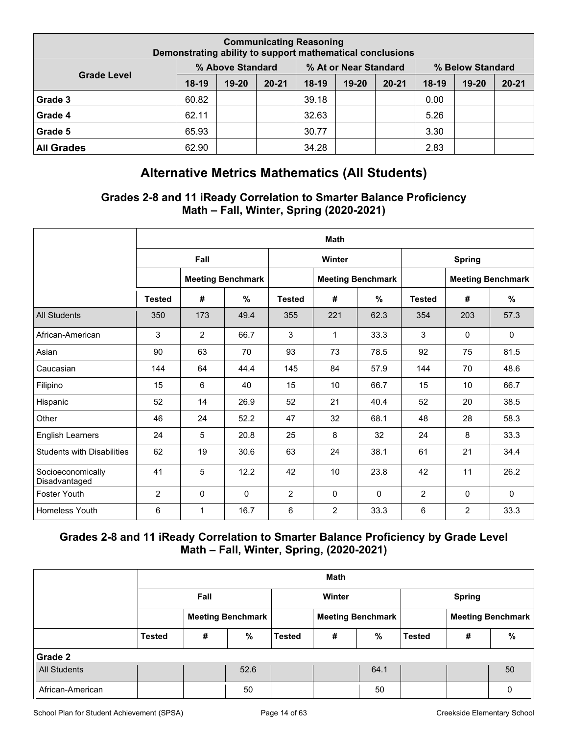| <b>Communicating Reasoning</b><br>Demonstrating ability to support mathematical conclusions |         |                  |           |         |                       |           |                  |           |           |  |  |  |
|---------------------------------------------------------------------------------------------|---------|------------------|-----------|---------|-----------------------|-----------|------------------|-----------|-----------|--|--|--|
|                                                                                             |         | % Above Standard |           |         | % At or Near Standard |           | % Below Standard |           |           |  |  |  |
| <b>Grade Level</b>                                                                          | $18-19$ | $19 - 20$        | $20 - 21$ | $18-19$ | $19 - 20$             | $20 - 21$ | $18-19$          | $19 - 20$ | $20 - 21$ |  |  |  |
| Grade 3                                                                                     | 60.82   |                  |           | 39.18   |                       |           | 0.00             |           |           |  |  |  |
| Grade 4                                                                                     | 62.11   |                  |           | 32.63   |                       |           | 5.26             |           |           |  |  |  |
| Grade 5                                                                                     | 65.93   |                  |           | 30.77   |                       |           | 3.30             |           |           |  |  |  |
| <b>All Grades</b>                                                                           | 62.90   |                  |           | 34.28   |                       |           | 2.83             |           |           |  |  |  |

## **Alternative Metrics Mathematics (All Students)**

### **Grades 2-8 and 11 iReady Correlation to Smarter Balance Proficiency Math – Fall, Winter, Spring (2020-2021)**

|                                    |                | <b>Math</b> |                          |                |                |                          |                |                |                          |  |  |
|------------------------------------|----------------|-------------|--------------------------|----------------|----------------|--------------------------|----------------|----------------|--------------------------|--|--|
|                                    |                | Fall        |                          |                | Winter         |                          |                | <b>Spring</b>  |                          |  |  |
|                                    |                |             | <b>Meeting Benchmark</b> |                |                | <b>Meeting Benchmark</b> |                |                | <b>Meeting Benchmark</b> |  |  |
|                                    | <b>Tested</b>  | #           | %                        | <b>Tested</b>  | #              | $\frac{9}{6}$            | <b>Tested</b>  | #              | %                        |  |  |
| <b>All Students</b>                | 350            | 173         | 49.4                     | 355            | 221            | 62.3                     | 354            | 203            | 57.3                     |  |  |
| African-American                   | 3              | 2           | 66.7                     | 3              | 1              | 33.3                     | 3              | 0              | $\mathbf 0$              |  |  |
| Asian                              | 90             | 63          | 70                       | 93             | 73             | 78.5                     | 92             | 75             | 81.5                     |  |  |
| Caucasian                          | 144            | 64          | 44.4                     | 145            | 84             | 57.9                     | 144            | 70             | 48.6                     |  |  |
| Filipino                           | 15             | 6           | 40                       | 15             | 10             | 66.7                     | 15             | 10             | 66.7                     |  |  |
| Hispanic                           | 52             | 14          | 26.9                     | 52             | 21             | 40.4                     | 52             | 20             | 38.5                     |  |  |
| Other                              | 46             | 24          | 52.2                     | 47             | 32             | 68.1                     | 48             | 28             | 58.3                     |  |  |
| <b>English Learners</b>            | 24             | 5           | 20.8                     | 25             | 8              | 32                       | 24             | 8              | 33.3                     |  |  |
| <b>Students with Disabilities</b>  | 62             | 19          | 30.6                     | 63             | 24             | 38.1                     | 61             | 21             | 34.4                     |  |  |
| Socioeconomically<br>Disadvantaged | 41             | 5           | 12.2                     | 42             | 10             | 23.8                     | 42             | 11             | 26.2                     |  |  |
| <b>Foster Youth</b>                | $\overline{2}$ | $\mathbf 0$ | $\mathbf{0}$             | $\overline{2}$ | $\Omega$       | $\mathbf{0}$             | $\overline{2}$ | $\mathbf{0}$   | 0                        |  |  |
| <b>Homeless Youth</b>              | 6              | 1           | 16.7                     | 6              | $\overline{2}$ | 33.3                     | 6              | $\overline{c}$ | 33.3                     |  |  |

### **Grades 2-8 and 11 iReady Correlation to Smarter Balance Proficiency by Grade Level Math – Fall, Winter, Spring, (2020-2021)**

|                     |               | <b>Math</b> |                          |               |                          |      |               |               |                          |  |  |  |  |
|---------------------|---------------|-------------|--------------------------|---------------|--------------------------|------|---------------|---------------|--------------------------|--|--|--|--|
|                     |               | Fall        |                          |               | Winter                   |      |               | <b>Spring</b> |                          |  |  |  |  |
|                     |               |             | <b>Meeting Benchmark</b> |               | <b>Meeting Benchmark</b> |      |               |               | <b>Meeting Benchmark</b> |  |  |  |  |
|                     | <b>Tested</b> | #           | %                        | <b>Tested</b> | #                        | $\%$ | <b>Tested</b> | #             | $\%$                     |  |  |  |  |
| Grade 2             |               |             |                          |               |                          |      |               |               |                          |  |  |  |  |
| <b>All Students</b> |               |             | 52.6                     |               |                          | 64.1 |               |               | 50                       |  |  |  |  |
| African-American    |               |             | 50                       |               |                          | 50   |               |               | 0                        |  |  |  |  |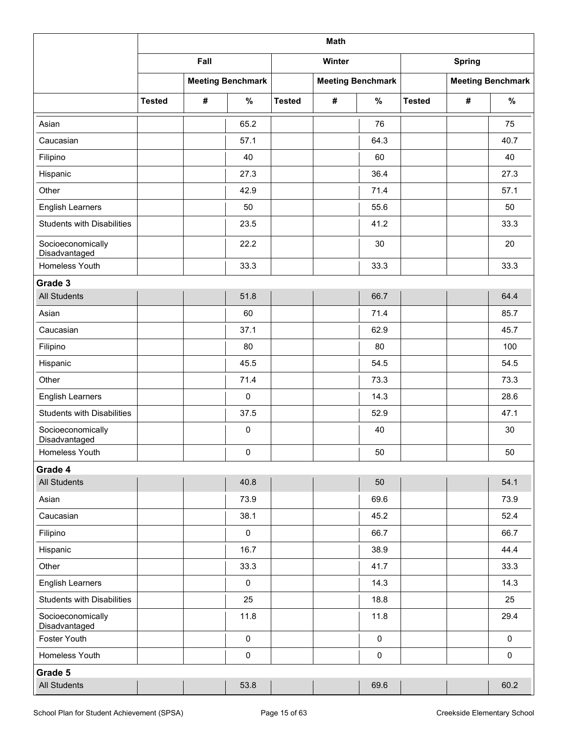|                                    |               |      |                          |               | <b>Math</b> |                          |               |               |                          |
|------------------------------------|---------------|------|--------------------------|---------------|-------------|--------------------------|---------------|---------------|--------------------------|
|                                    |               | Fall |                          |               | Winter      |                          |               | <b>Spring</b> |                          |
|                                    |               |      | <b>Meeting Benchmark</b> |               |             | <b>Meeting Benchmark</b> |               |               | <b>Meeting Benchmark</b> |
|                                    | <b>Tested</b> | $\#$ | $\%$                     | <b>Tested</b> | #           | $\%$                     | <b>Tested</b> | $\#$          | $\%$                     |
| Asian                              |               |      | 65.2                     |               |             | 76                       |               |               | 75                       |
| Caucasian                          |               |      | 57.1                     |               |             | 64.3                     |               |               | 40.7                     |
| Filipino                           |               |      | 40                       |               |             | 60                       |               |               | 40                       |
| Hispanic                           |               |      | 27.3                     |               |             | 36.4                     |               |               | 27.3                     |
| Other                              |               |      | 42.9                     |               |             | 71.4                     |               |               | 57.1                     |
| <b>English Learners</b>            |               |      | 50                       |               |             | 55.6                     |               |               | 50                       |
| <b>Students with Disabilities</b>  |               |      | 23.5                     |               |             | 41.2                     |               |               | 33.3                     |
| Socioeconomically<br>Disadvantaged |               |      | 22.2                     |               |             | 30                       |               |               | 20                       |
| Homeless Youth                     |               |      | 33.3                     |               |             | 33.3                     |               |               | 33.3                     |
| Grade 3                            |               |      |                          |               |             |                          |               |               |                          |
| <b>All Students</b>                |               |      | 51.8                     |               |             | 66.7                     |               |               | 64.4                     |
| Asian                              |               |      | 60                       |               |             | 71.4                     |               |               | 85.7                     |
| Caucasian                          |               |      | 37.1                     |               |             | 62.9                     |               |               | 45.7                     |
| Filipino                           |               |      | 80                       |               |             | 80                       |               |               | 100                      |
| Hispanic                           |               |      | 45.5                     |               |             | 54.5                     |               |               | 54.5                     |
| Other                              |               |      | 71.4                     |               |             | 73.3                     |               |               | 73.3                     |
| <b>English Learners</b>            |               |      | $\mathbf 0$              |               |             | 14.3                     |               |               | 28.6                     |
| <b>Students with Disabilities</b>  |               |      | 37.5                     |               |             | 52.9                     |               |               | 47.1                     |
| Socioeconomically<br>Disadvantaged |               |      | $\pmb{0}$                |               |             | 40                       |               |               | 30                       |
| Homeless Youth                     |               |      | $\pmb{0}$                |               |             | 50                       |               |               | 50                       |
| Grade 4                            |               |      |                          |               |             |                          |               |               |                          |
| <b>All Students</b>                |               |      | 40.8                     |               |             | 50                       |               |               | 54.1                     |
| Asian                              |               |      | 73.9                     |               |             | 69.6                     |               |               | 73.9                     |
| Caucasian                          |               |      | 38.1                     |               |             | 45.2                     |               |               | 52.4                     |
| Filipino                           |               |      | $\pmb{0}$                |               |             | 66.7                     |               |               | 66.7                     |
| Hispanic                           |               |      | 16.7                     |               |             | 38.9                     |               |               | 44.4                     |
| Other                              |               |      | 33.3                     |               |             | 41.7                     |               |               | 33.3                     |
| <b>English Learners</b>            |               |      | $\pmb{0}$                |               |             | 14.3                     |               |               | 14.3                     |
| <b>Students with Disabilities</b>  |               |      | 25                       |               |             | 18.8                     |               |               | 25                       |
| Socioeconomically<br>Disadvantaged |               |      | 11.8                     |               |             | 11.8                     |               |               | 29.4                     |
| Foster Youth                       |               |      | $\pmb{0}$                |               |             | $\mathbf 0$              |               |               | $\mathbf 0$              |
| Homeless Youth                     |               |      | $\pmb{0}$                |               |             | $\mathsf 0$              |               |               | $\mathsf{O}\xspace$      |
| Grade 5                            |               |      |                          |               |             |                          |               |               |                          |
| <b>All Students</b>                |               |      | 53.8                     |               |             | 69.6                     |               |               | 60.2                     |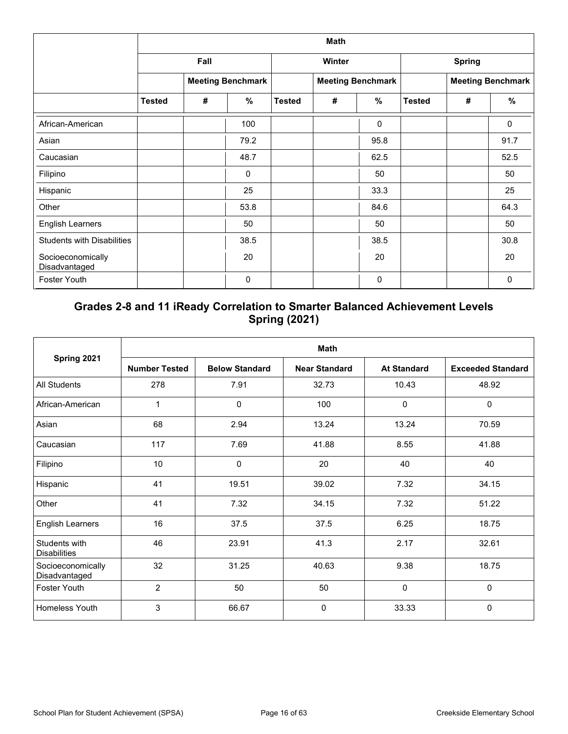|                                    |               | <b>Math</b> |                          |               |                          |               |               |                          |              |  |  |  |
|------------------------------------|---------------|-------------|--------------------------|---------------|--------------------------|---------------|---------------|--------------------------|--------------|--|--|--|
|                                    |               | Fall        |                          |               | Winter                   |               |               | <b>Spring</b>            |              |  |  |  |
|                                    |               |             | <b>Meeting Benchmark</b> |               | <b>Meeting Benchmark</b> |               |               | <b>Meeting Benchmark</b> |              |  |  |  |
|                                    | <b>Tested</b> | #           | $\%$                     | <b>Tested</b> | #                        | $\frac{9}{6}$ | <b>Tested</b> | #                        | %            |  |  |  |
| African-American                   |               |             | 100                      |               |                          | 0             |               |                          | $\mathbf{0}$ |  |  |  |
| Asian                              |               |             | 79.2                     |               |                          | 95.8          |               |                          | 91.7         |  |  |  |
| Caucasian                          |               |             | 48.7                     |               |                          | 62.5          |               |                          | 52.5         |  |  |  |
| Filipino                           |               |             | $\mathbf{0}$             |               |                          | 50            |               |                          | 50           |  |  |  |
| Hispanic                           |               |             | 25                       |               |                          | 33.3          |               |                          | 25           |  |  |  |
| Other                              |               |             | 53.8                     |               |                          | 84.6          |               |                          | 64.3         |  |  |  |
| <b>English Learners</b>            |               |             | 50                       |               |                          | 50            |               |                          | 50           |  |  |  |
| <b>Students with Disabilities</b>  |               |             | 38.5                     |               |                          | 38.5          |               |                          | 30.8         |  |  |  |
| Socioeconomically<br>Disadvantaged |               |             | 20                       |               |                          | 20            |               |                          | 20           |  |  |  |
| Foster Youth                       |               |             | 0                        |               |                          | 0             |               |                          | $\Omega$     |  |  |  |

### **Grades 2-8 and 11 iReady Correlation to Smarter Balanced Achievement Levels Spring (2021)**

|                                      |                      |                       | <b>Math</b>          |                    |                          |
|--------------------------------------|----------------------|-----------------------|----------------------|--------------------|--------------------------|
| Spring 2021                          | <b>Number Tested</b> | <b>Below Standard</b> | <b>Near Standard</b> | <b>At Standard</b> | <b>Exceeded Standard</b> |
| <b>All Students</b>                  | 278                  | 7.91                  | 32.73                | 10.43              | 48.92                    |
| African-American                     | $\mathbf 1$          | $\mathbf 0$           | 100                  | $\mathbf 0$        | $\mathbf 0$              |
| Asian                                | 68                   | 2.94                  | 13.24                | 13.24              | 70.59                    |
| Caucasian                            | 117                  | 7.69                  | 41.88                | 8.55               | 41.88                    |
| Filipino                             | 10                   | 0                     | 20                   | 40                 | 40                       |
| Hispanic                             | 41                   | 19.51                 | 39.02                | 7.32               | 34.15                    |
| Other                                | 41                   | 7.32                  | 34.15                | 7.32               | 51.22                    |
| <b>English Learners</b>              | 16                   | 37.5                  | 37.5                 | 6.25               | 18.75                    |
| Students with<br><b>Disabilities</b> | 46                   | 23.91                 | 41.3                 | 2.17               | 32.61                    |
| Socioeconomically<br>Disadvantaged   | 32                   | 31.25                 | 40.63                | 9.38               | 18.75                    |
| <b>Foster Youth</b>                  | $\overline{2}$       | 50                    | 50                   | $\mathbf 0$        | $\mathbf{0}$             |
| Homeless Youth                       | 3                    | 66.67                 | $\mathbf 0$          | 33.33              | $\mathbf 0$              |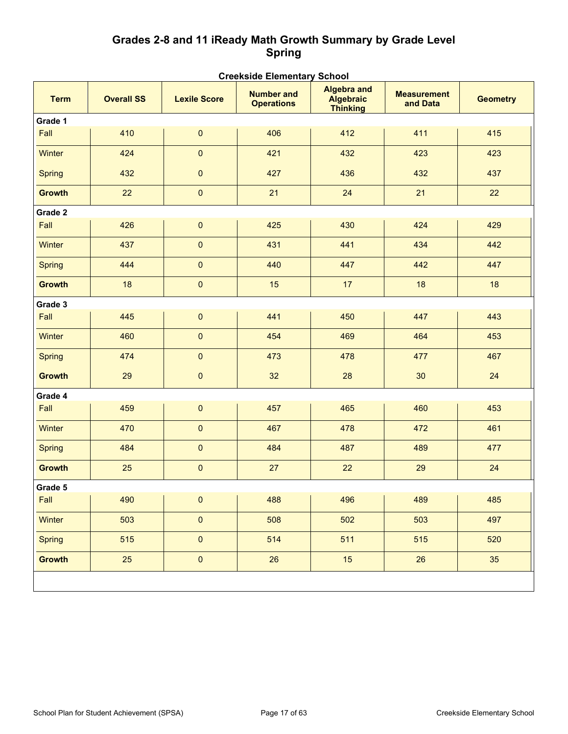#### **Grades 2-8 and 11 iReady Math Growth Summary by Grade Level Spring**

| <b>Term</b>   | <b>Overall SS</b>               | <b>Lexile Score</b>                     | <b>Number and</b><br><b>Operations</b> | <b>Algebra and</b><br><b>Algebraic</b><br><b>Thinking</b> | <b>Measurement</b><br>and Data | <b>Geometry</b> |
|---------------|---------------------------------|-----------------------------------------|----------------------------------------|-----------------------------------------------------------|--------------------------------|-----------------|
| Grade 1       |                                 |                                         |                                        |                                                           |                                |                 |
| Fall          | 410                             | $\pmb{0}$                               | 406                                    | 412                                                       | 411                            | 415             |
| Winter        | 424                             | $\pmb{0}$                               | 421                                    | 432                                                       | 423                            | 423             |
| <b>Spring</b> | 432                             | $\pmb{0}$                               | 427                                    | 436                                                       | 432                            | 437             |
| <b>Growth</b> | 22                              | $\pmb{0}$                               | 21                                     | 24                                                        | 21                             | 22              |
| Grade 2       |                                 |                                         |                                        |                                                           |                                |                 |
| Fall          | 426                             | $\pmb{0}$                               | 425                                    | 430                                                       | 424                            | 429             |
| <b>Winter</b> | 437                             | $\pmb{0}$                               | 431                                    | 441                                                       | 434                            | 442             |
| <b>Spring</b> | 444                             | $\pmb{0}$                               | 440                                    | 447                                                       | 442                            | 447             |
| <b>Growth</b> | 18                              | $\pmb{0}$                               | 15                                     | 17                                                        | 18                             | 18              |
| Grade 3       |                                 |                                         |                                        |                                                           |                                |                 |
| Fall          | 445                             | 0                                       | 441                                    | 450                                                       | 447                            | 443             |
| Winter        | 460                             | $\pmb{0}$                               | 454                                    | 469                                                       | 464                            | 453             |
| <b>Spring</b> | 474                             | $\pmb{0}$                               | 473                                    | 478                                                       | 477                            | 467             |
| <b>Growth</b> | 29                              | $\pmb{0}$                               | 32                                     | 28                                                        | 30                             | 24              |
| Grade 4       |                                 |                                         |                                        |                                                           |                                |                 |
| Fall          | 459                             | $\pmb{0}$                               | 457                                    | 465                                                       | 460                            | 453             |
| Winter        | 470                             | $\pmb{0}$                               | 467                                    | 478                                                       | 472                            | 461             |
| <b>Spring</b> | 484                             | $\pmb{0}$                               | 484                                    | 487                                                       | 489                            | 477             |
| <b>Growth</b> | 25                              | $\pmb{0}$                               | 27                                     | 22                                                        | 29                             | 24              |
| Grade 5       |                                 |                                         |                                        |                                                           |                                |                 |
| Fall          | 490<br><b>Contract Contract</b> | $\mathbf{L}$<br>$\overline{\mathbf{0}}$ |                                        | 488   496   489                                           |                                | $-1$<br>485     |
| Winter        | 503                             | $\pmb{0}$                               | 508                                    | 502                                                       | 503                            | 497             |
| <b>Spring</b> | 515                             | $\mathbf 0$                             | 514                                    | 511                                                       | 515                            | 520             |
| <b>Growth</b> | 25                              | $\pmb{0}$                               | 26                                     | 15                                                        | 26                             | 35 <sub>5</sub> |
|               |                                 |                                         |                                        |                                                           |                                |                 |

#### **Creekside Elementary School**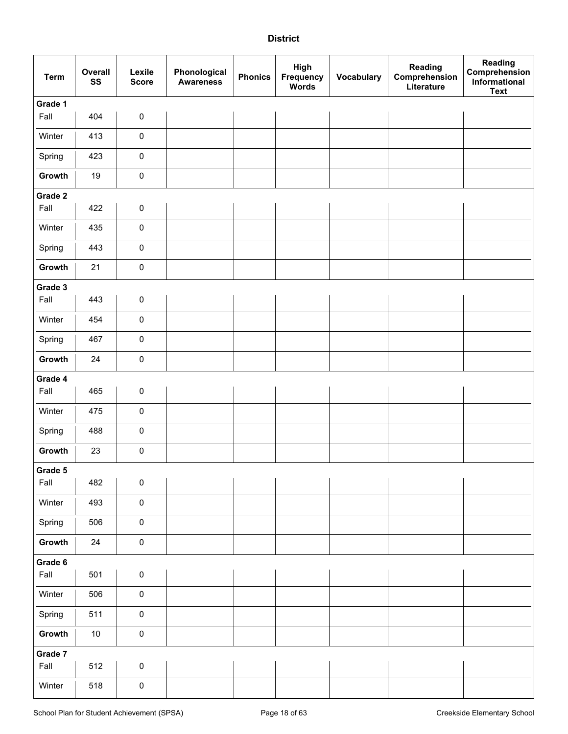#### **District**

| <b>Term</b> | Overall<br>SS | Lexile<br><b>Score</b> | Phonological<br><b>Awareness</b> | <b>Phonics</b> | High<br>Frequency<br><b>Words</b> | <b>Vocabulary</b> | Reading<br>Comprehension<br>Literature | Reading<br>Comprehension<br>Informational<br><b>Text</b> |
|-------------|---------------|------------------------|----------------------------------|----------------|-----------------------------------|-------------------|----------------------------------------|----------------------------------------------------------|
| Grade 1     |               |                        |                                  |                |                                   |                   |                                        |                                                          |
| Fall        | 404           | $\pmb{0}$              |                                  |                |                                   |                   |                                        |                                                          |
| Winter      | 413           | $\pmb{0}$              |                                  |                |                                   |                   |                                        |                                                          |
| Spring      | 423           | $\pmb{0}$              |                                  |                |                                   |                   |                                        |                                                          |
| Growth      | 19            | $\pmb{0}$              |                                  |                |                                   |                   |                                        |                                                          |
| Grade 2     |               |                        |                                  |                |                                   |                   |                                        |                                                          |
| Fall        | 422           | $\pmb{0}$              |                                  |                |                                   |                   |                                        |                                                          |
| Winter      | 435           | $\pmb{0}$              |                                  |                |                                   |                   |                                        |                                                          |
| Spring      | 443           | $\pmb{0}$              |                                  |                |                                   |                   |                                        |                                                          |
| Growth      | 21            | $\pmb{0}$              |                                  |                |                                   |                   |                                        |                                                          |
| Grade 3     |               |                        |                                  |                |                                   |                   |                                        |                                                          |
| Fall        | 443           | $\pmb{0}$              |                                  |                |                                   |                   |                                        |                                                          |
| Winter      | 454           | $\pmb{0}$              |                                  |                |                                   |                   |                                        |                                                          |
| Spring      | 467           | $\pmb{0}$              |                                  |                |                                   |                   |                                        |                                                          |
| Growth      | 24            | $\pmb{0}$              |                                  |                |                                   |                   |                                        |                                                          |
| Grade 4     |               |                        |                                  |                |                                   |                   |                                        |                                                          |
| Fall        | 465           | $\pmb{0}$              |                                  |                |                                   |                   |                                        |                                                          |
| Winter      | 475           | $\pmb{0}$              |                                  |                |                                   |                   |                                        |                                                          |
| Spring      | 488           | $\pmb{0}$              |                                  |                |                                   |                   |                                        |                                                          |
| Growth      | 23            | $\pmb{0}$              |                                  |                |                                   |                   |                                        |                                                          |
| Grade 5     |               |                        |                                  |                |                                   |                   |                                        |                                                          |
| Fall        | 482           | $\pmb{0}$              |                                  |                |                                   |                   |                                        |                                                          |
| Winter      | 493           | $\pmb{0}$              |                                  |                |                                   |                   |                                        |                                                          |
| Spring      | 506           | $\pmb{0}$              |                                  |                |                                   |                   |                                        |                                                          |
| Growth      | 24            | $\pmb{0}$              |                                  |                |                                   |                   |                                        |                                                          |
| Grade 6     |               |                        |                                  |                |                                   |                   |                                        |                                                          |
| Fall        | 501           | $\pmb{0}$              |                                  |                |                                   |                   |                                        |                                                          |
| Winter      | 506           | $\pmb{0}$              |                                  |                |                                   |                   |                                        |                                                          |
| Spring      | 511           | $\pmb{0}$              |                                  |                |                                   |                   |                                        |                                                          |
| Growth      | $10$          | $\pmb{0}$              |                                  |                |                                   |                   |                                        |                                                          |
| Grade 7     |               |                        |                                  |                |                                   |                   |                                        |                                                          |
| Fall        | 512           | $\pmb{0}$              |                                  |                |                                   |                   |                                        |                                                          |
| Winter      | 518           | $\pmb{0}$              |                                  |                |                                   |                   |                                        |                                                          |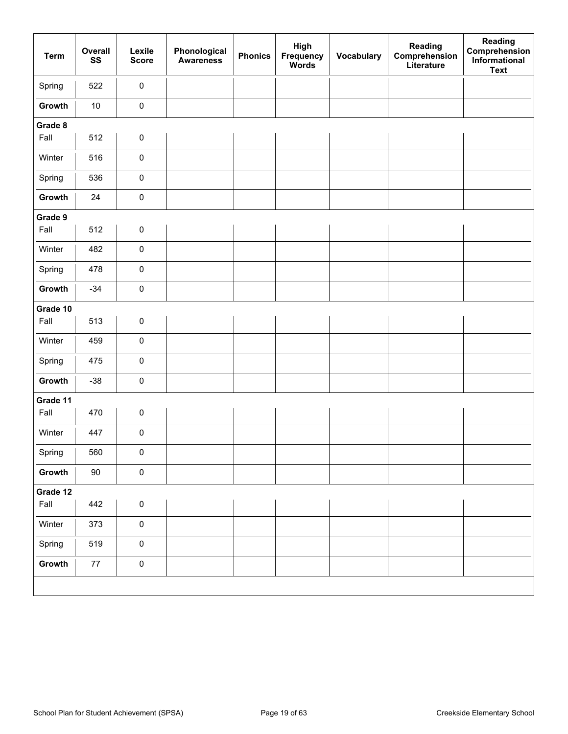| <b>Term</b> | Overall<br>SS | Lexile<br><b>Score</b> | Phonological<br><b>Awareness</b> | <b>Phonics</b> | High<br>Frequency<br>Words | Vocabulary | Reading<br>Comprehension<br>Literature | Reading<br>Comprehension<br>Informational<br><b>Text</b> |
|-------------|---------------|------------------------|----------------------------------|----------------|----------------------------|------------|----------------------------------------|----------------------------------------------------------|
| Spring      | 522           | $\pmb{0}$              |                                  |                |                            |            |                                        |                                                          |
| Growth      | $10\,$        | $\pmb{0}$              |                                  |                |                            |            |                                        |                                                          |
| Grade 8     |               |                        |                                  |                |                            |            |                                        |                                                          |
| Fall        | 512           | $\pmb{0}$              |                                  |                |                            |            |                                        |                                                          |
| Winter      | 516           | $\pmb{0}$              |                                  |                |                            |            |                                        |                                                          |
| Spring      | 536           | $\pmb{0}$              |                                  |                |                            |            |                                        |                                                          |
| Growth      | 24            | $\pmb{0}$              |                                  |                |                            |            |                                        |                                                          |
| Grade 9     |               |                        |                                  |                |                            |            |                                        |                                                          |
| Fall        | 512           | $\pmb{0}$              |                                  |                |                            |            |                                        |                                                          |
| Winter      | 482           | $\pmb{0}$              |                                  |                |                            |            |                                        |                                                          |
| Spring      | 478           | $\pmb{0}$              |                                  |                |                            |            |                                        |                                                          |
| Growth      | $-34$         | $\pmb{0}$              |                                  |                |                            |            |                                        |                                                          |
| Grade 10    |               |                        |                                  |                |                            |            |                                        |                                                          |
| Fall        | 513           | $\pmb{0}$              |                                  |                |                            |            |                                        |                                                          |
| Winter      | 459           | $\pmb{0}$              |                                  |                |                            |            |                                        |                                                          |
| Spring      | 475           | $\pmb{0}$              |                                  |                |                            |            |                                        |                                                          |
| Growth      | $-38$         | $\pmb{0}$              |                                  |                |                            |            |                                        |                                                          |
| Grade 11    |               |                        |                                  |                |                            |            |                                        |                                                          |
| Fall        | 470           | $\pmb{0}$              |                                  |                |                            |            |                                        |                                                          |
| Winter      | 447           | $\pmb{0}$              |                                  |                |                            |            |                                        |                                                          |
| Spring      | 560           | 0                      |                                  |                |                            |            |                                        |                                                          |
| Growth      | $90\,$        | $\pmb{0}$              |                                  |                |                            |            |                                        |                                                          |
| Grade 12    |               |                        |                                  |                |                            |            |                                        |                                                          |
| Fall        | 442           | $\pmb{0}$              |                                  |                |                            |            |                                        |                                                          |
| Winter      | 373           | $\pmb{0}$              |                                  |                |                            |            |                                        |                                                          |
| Spring      | 519           | $\pmb{0}$              |                                  |                |                            |            |                                        |                                                          |
| Growth      | $77\,$        | $\pmb{0}$              |                                  |                |                            |            |                                        |                                                          |
|             |               |                        |                                  |                |                            |            |                                        |                                                          |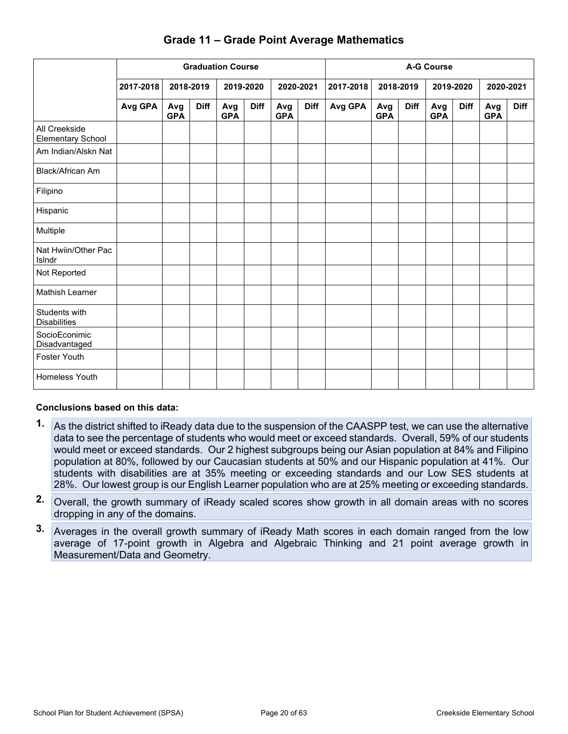|                                           |           | <b>Graduation Course</b> |             |                   |             |                   |             |           | <b>A-G Course</b> |             |                   |             |                   |             |
|-------------------------------------------|-----------|--------------------------|-------------|-------------------|-------------|-------------------|-------------|-----------|-------------------|-------------|-------------------|-------------|-------------------|-------------|
|                                           | 2017-2018 | 2018-2019                |             |                   | 2019-2020   | 2020-2021         |             | 2017-2018 |                   | 2018-2019   | 2019-2020         |             |                   | 2020-2021   |
|                                           | Avg GPA   | Avg<br><b>GPA</b>        | <b>Diff</b> | Avg<br><b>GPA</b> | <b>Diff</b> | Avg<br><b>GPA</b> | <b>Diff</b> | Avg GPA   | Avg<br><b>GPA</b> | <b>Diff</b> | Avg<br><b>GPA</b> | <b>Diff</b> | Avg<br><b>GPA</b> | <b>Diff</b> |
| All Creekside<br><b>Elementary School</b> |           |                          |             |                   |             |                   |             |           |                   |             |                   |             |                   |             |
| Am Indian/Alskn Nat                       |           |                          |             |                   |             |                   |             |           |                   |             |                   |             |                   |             |
| Black/African Am                          |           |                          |             |                   |             |                   |             |           |                   |             |                   |             |                   |             |
| Filipino                                  |           |                          |             |                   |             |                   |             |           |                   |             |                   |             |                   |             |
| Hispanic                                  |           |                          |             |                   |             |                   |             |           |                   |             |                   |             |                   |             |
| Multiple                                  |           |                          |             |                   |             |                   |             |           |                   |             |                   |             |                   |             |
| Nat Hwiin/Other Pac<br>Islndr             |           |                          |             |                   |             |                   |             |           |                   |             |                   |             |                   |             |
| Not Reported                              |           |                          |             |                   |             |                   |             |           |                   |             |                   |             |                   |             |
| <b>Mathish Learner</b>                    |           |                          |             |                   |             |                   |             |           |                   |             |                   |             |                   |             |
| Students with<br><b>Disabilities</b>      |           |                          |             |                   |             |                   |             |           |                   |             |                   |             |                   |             |
| SocioEconimic<br>Disadvantaged            |           |                          |             |                   |             |                   |             |           |                   |             |                   |             |                   |             |
| Foster Youth                              |           |                          |             |                   |             |                   |             |           |                   |             |                   |             |                   |             |
| Homeless Youth                            |           |                          |             |                   |             |                   |             |           |                   |             |                   |             |                   |             |

#### **Grade 11 – Grade Point Average Mathematics**

#### **Conclusions based on this data:**

- **1.** As the district shifted to iReady data due to the suspension of the CAASPP test, we can use the alternative data to see the percentage of students who would meet or exceed standards. Overall, 59% of our students would meet or exceed standards. Our 2 highest subgroups being our Asian population at 84% and Filipino population at 80%, followed by our Caucasian students at 50% and our Hispanic population at 41%. Our students with disabilities are at 35% meeting or exceeding standards and our Low SES students at 28%. Our lowest group is our English Learner population who are at 25% meeting or exceeding standards.
- **2.** Overall, the growth summary of iReady scaled scores show growth in all domain areas with no scores dropping in any of the domains.
- **3.** Averages in the overall growth summary of iReady Math scores in each domain ranged from the low average of 17-point growth in Algebra and Algebraic Thinking and 21 point average growth in Measurement/Data and Geometry.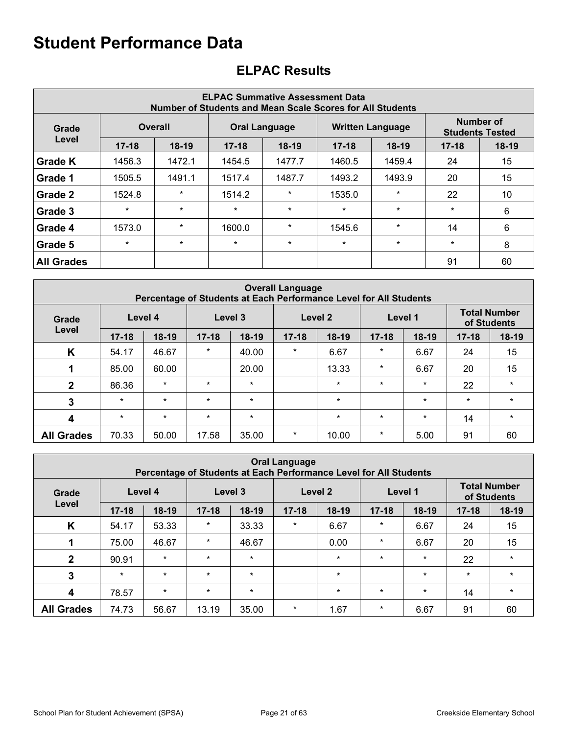| <b>ELPAC Summative Assessment Data</b><br>Number of Students and Mean Scale Scores for All Students |           |         |           |                      |           |                         |                                     |         |  |  |  |  |  |
|-----------------------------------------------------------------------------------------------------|-----------|---------|-----------|----------------------|-----------|-------------------------|-------------------------------------|---------|--|--|--|--|--|
| Grade                                                                                               |           | Overall |           | <b>Oral Language</b> |           | <b>Written Language</b> | Number of<br><b>Students Tested</b> |         |  |  |  |  |  |
| Level                                                                                               | $17 - 18$ | $18-19$ | $17 - 18$ | $18-19$              | $17 - 18$ | $18-19$                 | $17 - 18$                           | $18-19$ |  |  |  |  |  |
| <b>Grade K</b>                                                                                      | 1456.3    | 1472.1  | 1454.5    | 1477.7               | 1460.5    | 1459.4                  | 24                                  | 15      |  |  |  |  |  |
| Grade 1                                                                                             | 1505.5    | 1491.1  | 1517.4    | 1487.7               | 1493.2    | 1493.9                  | 20                                  | 15      |  |  |  |  |  |
| Grade 2                                                                                             | 1524.8    | $\star$ | 1514.2    | $\ast$               | 1535.0    | $\star$                 | 22                                  | 10      |  |  |  |  |  |
| Grade 3                                                                                             | $\star$   | $\star$ | $\star$   | $\star$              | $\star$   | $\star$                 | $\star$                             | 6       |  |  |  |  |  |
| Grade 4                                                                                             | 1573.0    | $\star$ | 1600.0    | $\ast$               | 1545.6    | $\star$                 | 14                                  | 6       |  |  |  |  |  |
| Grade 5                                                                                             | $\star$   | $\star$ | $\star$   | $\star$              | $\star$   | $\star$                 | $\star$                             | 8       |  |  |  |  |  |
| <b>All Grades</b>                                                                                   |           |         |           |                      |           |                         | 91                                  | 60      |  |  |  |  |  |

## **ELPAC Results**

|                   | <b>Overall Language</b><br>Percentage of Students at Each Performance Level for All Students |         |           |         |           |         |           |         |                                    |         |  |  |  |  |
|-------------------|----------------------------------------------------------------------------------------------|---------|-----------|---------|-----------|---------|-----------|---------|------------------------------------|---------|--|--|--|--|
| Grade             | Level 4                                                                                      |         | Level 3   |         |           | Level 2 |           | Level 1 | <b>Total Number</b><br>of Students |         |  |  |  |  |
| Level             | $17 - 18$                                                                                    | 18-19   | $17 - 18$ | $18-19$ | $17 - 18$ | $18-19$ | $17 - 18$ | $18-19$ | $17 - 18$                          | 18-19   |  |  |  |  |
| K                 | 54.17                                                                                        | 46.67   | $^\star$  | 40.00   | $\ast$    | 6.67    | $^\star$  | 6.67    | 24                                 | 15      |  |  |  |  |
|                   | 85.00                                                                                        | 60.00   |           | 20.00   |           | 13.33   | $\ast$    | 6.67    | 20                                 | 15      |  |  |  |  |
| $\mathbf{2}$      | 86.36                                                                                        | $\star$ | $\star$   | $\star$ |           | $\star$ | $\star$   | $\ast$  | 22                                 | $\star$ |  |  |  |  |
| 3                 | $\ast$                                                                                       | $\star$ | $\star$   | $\star$ |           | $\star$ |           | $\ast$  | $\star$                            | $\star$ |  |  |  |  |
| 4                 | $\star$                                                                                      | $\star$ | $\star$   | $\star$ |           | $\star$ | $\star$   | $\star$ | 14                                 | $\star$ |  |  |  |  |
| <b>All Grades</b> | 70.33                                                                                        | 50.00   | 17.58     | 35.00   | $\star$   | 10.00   | $\star$   | 5.00    | 91                                 | 60      |  |  |  |  |

|                   | <b>Oral Language</b><br>Percentage of Students at Each Performance Level for All Students |         |           |         |           |         |           |         |                                    |         |  |  |  |  |  |
|-------------------|-------------------------------------------------------------------------------------------|---------|-----------|---------|-----------|---------|-----------|---------|------------------------------------|---------|--|--|--|--|--|
| Grade             |                                                                                           | Level 4 | Level 3   |         | Level 2   |         | Level 1   |         | <b>Total Number</b><br>of Students |         |  |  |  |  |  |
| Level             | $17 - 18$                                                                                 | $18-19$ | $17 - 18$ | $18-19$ | $17 - 18$ | $18-19$ | $17 - 18$ | $18-19$ | $17 - 18$                          | 18-19   |  |  |  |  |  |
| K                 | 54.17                                                                                     | 53.33   | $\ast$    | 33.33   | $\ast$    | 6.67    | $\star$   | 6.67    | 24                                 | 15      |  |  |  |  |  |
|                   | 75.00                                                                                     | 46.67   | $\ast$    | 46.67   |           | 0.00    | $\star$   | 6.67    | 20                                 | 15      |  |  |  |  |  |
| $\mathbf{2}$      | 90.91                                                                                     | $\star$ | $\star$   | $\ast$  |           | $\star$ | $\star$   | $\ast$  | 22                                 | $\star$ |  |  |  |  |  |
| 3                 | $\star$                                                                                   | $\star$ | $\star$   | $\star$ |           | $\star$ |           | $\ast$  | $\star$                            | $\star$ |  |  |  |  |  |
| 4                 | 78.57                                                                                     | $\ast$  | $\ast$    | $\star$ |           | $\star$ | $\star$   | $\ast$  | 14                                 | $\star$ |  |  |  |  |  |
| <b>All Grades</b> | 74.73                                                                                     | 56.67   | 13.19     | 35.00   | $\ast$    | 1.67    | $\star$   | 6.67    | 91                                 | 60      |  |  |  |  |  |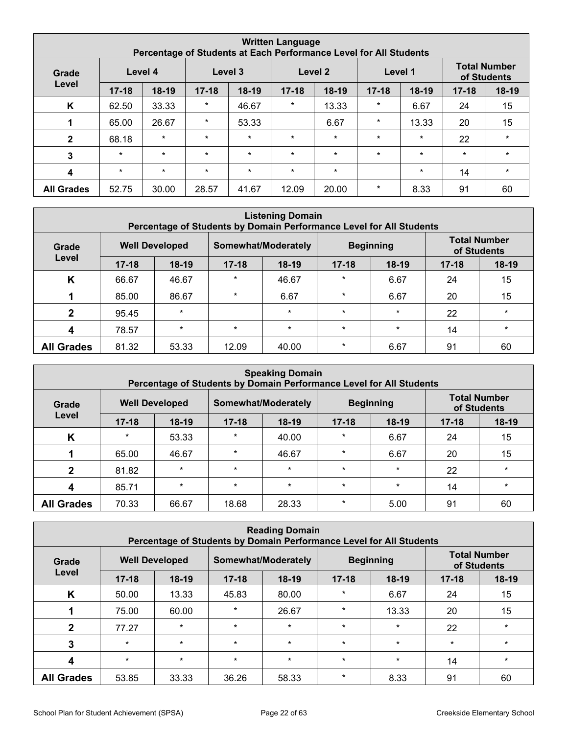|                         | <b>Written Language</b><br>Percentage of Students at Each Performance Level for All Students |         |           |         |           |                    |           |         |           |                                    |
|-------------------------|----------------------------------------------------------------------------------------------|---------|-----------|---------|-----------|--------------------|-----------|---------|-----------|------------------------------------|
| Grade                   |                                                                                              | Level 4 |           | Level 3 |           | Level 2<br>Level 1 |           |         |           | <b>Total Number</b><br>of Students |
| Level                   | $17 - 18$                                                                                    | $18-19$ | $17 - 18$ | $18-19$ | $17 - 18$ | $18-19$            | $17 - 18$ | $18-19$ | $17 - 18$ | $18-19$                            |
| K                       | 62.50                                                                                        | 33.33   | $^\star$  | 46.67   | $\ast$    | 13.33              | $\ast$    | 6.67    | 24        | 15                                 |
|                         | 65.00                                                                                        | 26.67   | $\star$   | 53.33   |           | 6.67               | $\star$   | 13.33   | 20        | 15                                 |
| $\mathbf{2}$            | 68.18                                                                                        | $\star$ | $\star$   | $\star$ | $\star$   | $\star$            | $\star$   | $\ast$  | 22        | $\star$                            |
| 3                       | $\star$                                                                                      | $\star$ | $\star$   | $\star$ | $\star$   | $\star$            | $\star$   | $\star$ | $\star$   | $\star$                            |
| $\overline{\mathbf{4}}$ | $\star$                                                                                      | $\star$ | $\star$   | $\star$ | $\star$   | $\ast$             |           | $\star$ | 14        | $\star$                            |
| <b>All Grades</b>       | 52.75                                                                                        | 30.00   | 28.57     | 41.67   | 12.09     | 20.00              | $\star$   | 8.33    | 91        | 60                                 |

|                   | <b>Listening Domain</b><br>Percentage of Students by Domain Performance Level for All Students |                                                                  |           |         |           |                                    |           |         |
|-------------------|------------------------------------------------------------------------------------------------|------------------------------------------------------------------|-----------|---------|-----------|------------------------------------|-----------|---------|
| Grade             |                                                                                                | <b>Well Developed</b><br>Somewhat/Moderately<br><b>Beginning</b> |           |         |           | <b>Total Number</b><br>of Students |           |         |
| Level             | $17 - 18$                                                                                      | $18-19$                                                          | $17 - 18$ | $18-19$ | $17 - 18$ | $18-19$                            | $17 - 18$ | $18-19$ |
| K                 | 66.67                                                                                          | 46.67                                                            | $\star$   | 46.67   | $\ast$    | 6.67                               | 24        | 15      |
|                   | 85.00                                                                                          | 86.67                                                            | $\ast$    | 6.67    | $\star$   | 6.67                               | 20        | 15      |
| $\mathbf 2$       | 95.45                                                                                          | $\star$                                                          |           | $\star$ | $\star$   | $\star$                            | 22        | $\star$ |
| Δ                 | 78.57                                                                                          | $\star$                                                          | $\star$   | $\star$ | $\star$   | $\star$                            | 14        | $\star$ |
| <b>All Grades</b> | 81.32                                                                                          | 53.33                                                            | 12.09     | 40.00   | $\star$   | 6.67                               | 91        | 60      |

| <b>Speaking Domain</b><br>Percentage of Students by Domain Performance Level for All Students |           |                                              |           |         |           |                  |             |                     |
|-----------------------------------------------------------------------------------------------|-----------|----------------------------------------------|-----------|---------|-----------|------------------|-------------|---------------------|
| Grade                                                                                         |           | <b>Well Developed</b><br>Somewhat/Moderately |           |         |           | <b>Beginning</b> | of Students | <b>Total Number</b> |
| Level                                                                                         | $17 - 18$ | $18-19$                                      | $17 - 18$ | $18-19$ | $17 - 18$ | $18-19$          | $17 - 18$   | $18-19$             |
| K                                                                                             | $\star$   | 53.33                                        | $\ast$    | 40.00   | $\ast$    | 6.67             | 24          | 15                  |
|                                                                                               | 65.00     | 46.67                                        | $\star$   | 46.67   | $\star$   | 6.67             | 20          | 15                  |
| 2                                                                                             | 81.82     | $\star$                                      | $\star$   | $\star$ | $\star$   | $\star$          | 22          | $\star$             |
| 4                                                                                             | 85.71     | $\star$                                      | $\star$   | $\star$ | $\star$   | $\star$          | 14          | $\star$             |
| <b>All Grades</b>                                                                             | 70.33     | 66.67                                        | 18.68     | 28.33   | $\ast$    | 5.00             | 91          | 60                  |

|                   | <b>Reading Domain</b><br>Percentage of Students by Domain Performance Level for All Students |                                                                  |           |         |           |                                    |           |         |
|-------------------|----------------------------------------------------------------------------------------------|------------------------------------------------------------------|-----------|---------|-----------|------------------------------------|-----------|---------|
| Grade             |                                                                                              | <b>Well Developed</b><br>Somewhat/Moderately<br><b>Beginning</b> |           |         |           | <b>Total Number</b><br>of Students |           |         |
| Level             | $17 - 18$                                                                                    | $18-19$                                                          | $17 - 18$ | $18-19$ | $17 - 18$ | $18-19$                            | $17 - 18$ | $18-19$ |
| K                 | 50.00                                                                                        | 13.33                                                            | 45.83     | 80.00   | $\ast$    | 6.67                               | 24        | 15      |
|                   | 75.00                                                                                        | 60.00                                                            | $\star$   | 26.67   | $\star$   | 13.33                              | 20        | 15      |
| $\mathbf{2}$      | 77.27                                                                                        | $\star$                                                          | $\star$   | $\star$ | $\star$   | $\star$                            | 22        | $\star$ |
| 3                 | $\star$                                                                                      | $\star$                                                          | $\star$   | $\star$ | $\star$   | $\star$                            | $\star$   | $\star$ |
| 4                 | $\star$                                                                                      | $\star$                                                          | $\star$   | $\star$ | $\star$   | $\star$                            | 14        | $\star$ |
| <b>All Grades</b> | 53.85                                                                                        | 33.33                                                            | 36.26     | 58.33   | $\ast$    | 8.33                               | 91        | 60      |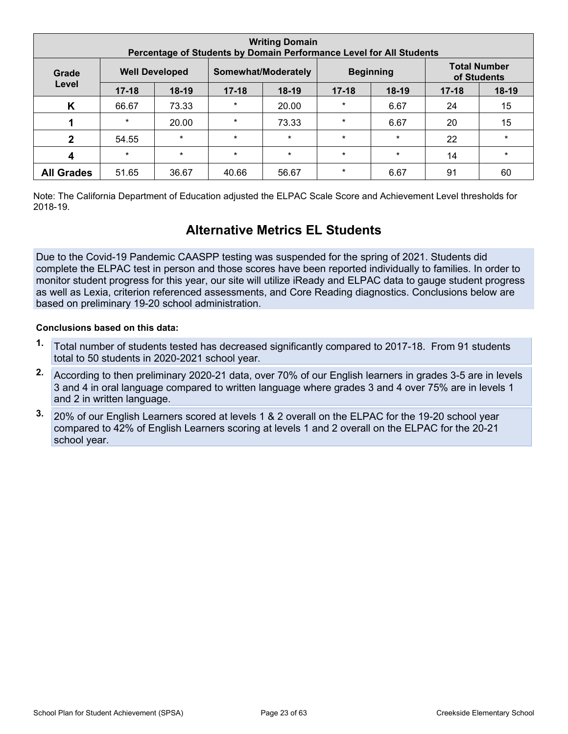|                   | <b>Writing Domain</b><br>Percentage of Students by Domain Performance Level for All Students |         |           |                     |           |                  |           |                                    |
|-------------------|----------------------------------------------------------------------------------------------|---------|-----------|---------------------|-----------|------------------|-----------|------------------------------------|
| Grade             | <b>Well Developed</b>                                                                        |         |           | Somewhat/Moderately |           | <b>Beginning</b> |           | <b>Total Number</b><br>of Students |
| Level             | $17 - 18$                                                                                    | $18-19$ | $17 - 18$ | $18-19$             | $17 - 18$ | $18-19$          | $17 - 18$ | $18-19$                            |
| K                 | 66.67                                                                                        | 73.33   | $\star$   | 20.00               | $\ast$    | 6.67             | 24        | 15                                 |
|                   | $\star$                                                                                      | 20.00   | $\star$   | 73.33               | $\star$   | 6.67             | 20        | 15                                 |
| $\mathbf{2}$      | 54.55                                                                                        | $\star$ | $\star$   | $\star$             | $\star$   | $\star$          | 22        | $\ast$                             |
| 4                 | $\star$                                                                                      | $\star$ | $\star$   | $\star$             | $\star$   | $\star$          | 14        | $\star$                            |
| <b>All Grades</b> | 51.65                                                                                        | 36.67   | 40.66     | 56.67               | $\star$   | 6.67             | 91        | 60                                 |

Note: The California Department of Education adjusted the ELPAC Scale Score and Achievement Level thresholds for 2018-19.

## **Alternative Metrics EL Students**

Due to the Covid-19 Pandemic CAASPP testing was suspended for the spring of 2021. Students did complete the ELPAC test in person and those scores have been reported individually to families. In order to monitor student progress for this year, our site will utilize iReady and ELPAC data to gauge student progress as well as Lexia, criterion referenced assessments, and Core Reading diagnostics. Conclusions below are based on preliminary 19-20 school administration.

#### **Conclusions based on this data:**

- **1.** Total number of students tested has decreased significantly compared to 2017-18. From 91 students total to 50 students in 2020-2021 school year.
- **2.** According to then preliminary 2020-21 data, over 70% of our English learners in grades 3-5 are in levels 3 and 4 in oral language compared to written language where grades 3 and 4 over 75% are in levels 1 and 2 in written language.
- **3.** 20% of our English Learners scored at levels 1 & 2 overall on the ELPAC for the 19-20 school year compared to 42% of English Learners scoring at levels 1 and 2 overall on the ELPAC for the 20-21 school year.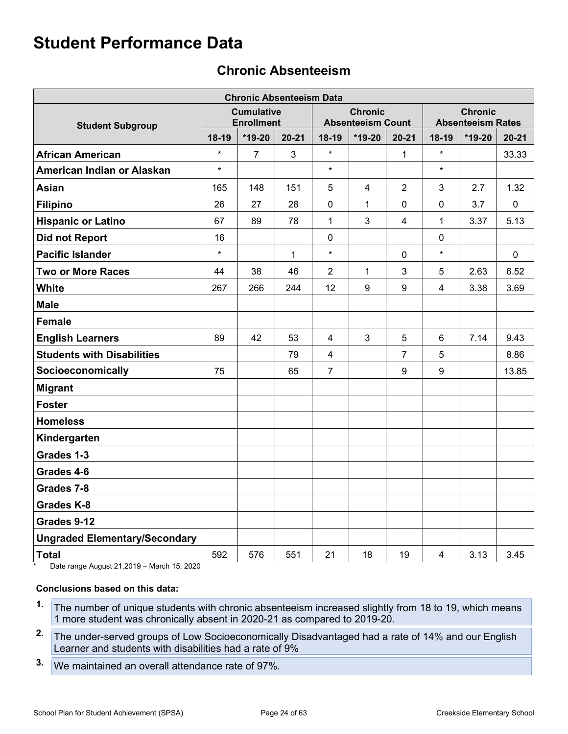## **Chronic Absenteeism**

| <b>Chronic Absenteeism Data</b>      |                                        |                |                                            |                |              |                                            |             |        |              |
|--------------------------------------|----------------------------------------|----------------|--------------------------------------------|----------------|--------------|--------------------------------------------|-------------|--------|--------------|
| <b>Student Subgroup</b>              | <b>Cumulative</b><br><b>Enrollment</b> |                | <b>Chronic</b><br><b>Absenteeism Count</b> |                |              | <b>Chronic</b><br><b>Absenteeism Rates</b> |             |        |              |
|                                      | $18-19$                                | *19-20         | $20 - 21$                                  | 18-19          | $*19-20$     | $20 - 21$                                  | $18-19$     | *19-20 | $20 - 21$    |
| <b>African American</b>              | $\star$                                | $\overline{7}$ | 3                                          | $\star$        |              | 1                                          | $\star$     |        | 33.33        |
| American Indian or Alaskan           | $\star$                                |                |                                            | $\star$        |              |                                            | $\star$     |        |              |
| <b>Asian</b>                         | 165                                    | 148            | 151                                        | 5              | 4            | $\overline{2}$                             | 3           | 2.7    | 1.32         |
| <b>Filipino</b>                      | 26                                     | 27             | 28                                         | 0              | $\mathbf{1}$ | $\mathbf 0$                                | $\mathbf 0$ | 3.7    | 0            |
| <b>Hispanic or Latino</b>            | 67                                     | 89             | 78                                         | 1              | 3            | 4                                          | 1           | 3.37   | 5.13         |
| <b>Did not Report</b>                | 16                                     |                |                                            | $\pmb{0}$      |              |                                            | $\mathbf 0$ |        |              |
| <b>Pacific Islander</b>              | $\star$                                |                | $\mathbf{1}$                               | $\star$        |              | $\Omega$                                   | $\star$     |        | $\mathbf{0}$ |
| <b>Two or More Races</b>             | 44                                     | 38             | 46                                         | $\overline{2}$ | $\mathbf{1}$ | 3                                          | 5           | 2.63   | 6.52         |
| <b>White</b>                         | 267                                    | 266            | 244                                        | 12             | 9            | 9                                          | 4           | 3.38   | 3.69         |
| <b>Male</b>                          |                                        |                |                                            |                |              |                                            |             |        |              |
| <b>Female</b>                        |                                        |                |                                            |                |              |                                            |             |        |              |
| <b>English Learners</b>              | 89                                     | 42             | 53                                         | $\overline{4}$ | 3            | 5                                          | 6           | 7.14   | 9.43         |
| <b>Students with Disabilities</b>    |                                        |                | 79                                         | 4              |              | $\overline{7}$                             | 5           |        | 8.86         |
| Socioeconomically                    | 75                                     |                | 65                                         | 7              |              | 9                                          | 9           |        | 13.85        |
| <b>Migrant</b>                       |                                        |                |                                            |                |              |                                            |             |        |              |
| <b>Foster</b>                        |                                        |                |                                            |                |              |                                            |             |        |              |
| <b>Homeless</b>                      |                                        |                |                                            |                |              |                                            |             |        |              |
| Kindergarten                         |                                        |                |                                            |                |              |                                            |             |        |              |
| Grades 1-3                           |                                        |                |                                            |                |              |                                            |             |        |              |
| Grades 4-6                           |                                        |                |                                            |                |              |                                            |             |        |              |
| Grades 7-8                           |                                        |                |                                            |                |              |                                            |             |        |              |
| <b>Grades K-8</b>                    |                                        |                |                                            |                |              |                                            |             |        |              |
| Grades 9-12                          |                                        |                |                                            |                |              |                                            |             |        |              |
| <b>Ungraded Elementary/Secondary</b> |                                        |                |                                            |                |              |                                            |             |        |              |
| <b>Total</b>                         | 592                                    | 576            | 551                                        | 21             | 18           | 19                                         | 4           | 3.13   | 3.45         |

Date range August 21,2019 – March 15, 2020

#### **Conclusions based on this data:**

- **1.** The number of unique students with chronic absenteeism increased slightly from 18 to 19, which means 1 more student was chronically absent in 2020-21 as compared to 2019-20.
- **2.** The under-served groups of Low Socioeconomically Disadvantaged had a rate of 14% and our English Learner and students with disabilities had a rate of 9%
- **3.** We maintained an overall attendance rate of 97%.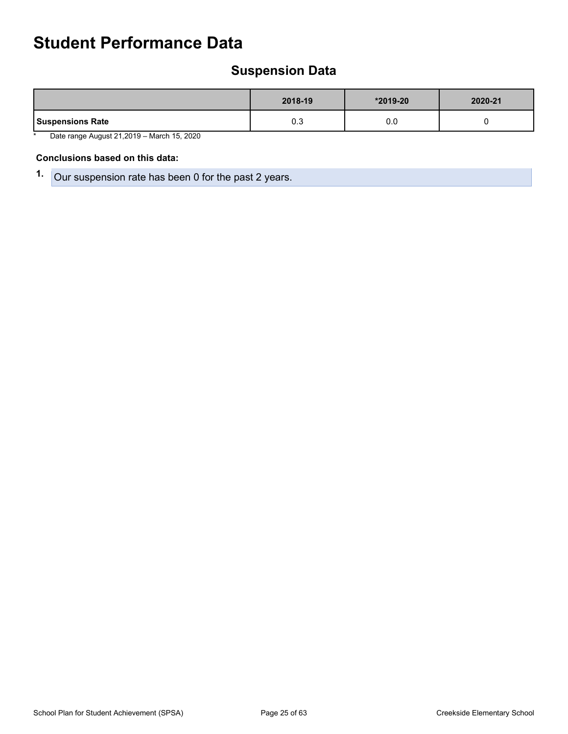## **Suspension Data**

|                         | 2018-19 | *2019-20 | 2020-21 |
|-------------------------|---------|----------|---------|
| <b>Suspensions Rate</b> | 0.3     | $_{0.0}$ |         |

\* Date range August 21,2019 – March 15, 2020

#### **Conclusions based on this data:**

**1.** Our suspension rate has been 0 for the past 2 years.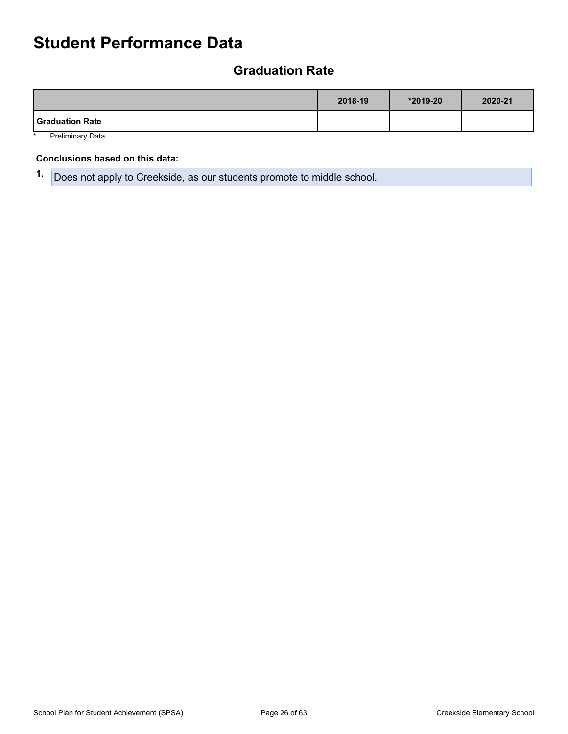## **Graduation Rate**

|                                                                               | 2018-19 | *2019-20 | 2020-21 |
|-------------------------------------------------------------------------------|---------|----------|---------|
| <b>Graduation Rate</b><br>$\sim$ $\sim$ $\sim$ $\sim$ $\sim$<br>$\sim$ $\sim$ |         |          |         |

\* Preliminary Data

#### **Conclusions based on this data:**

**1.** Does not apply to Creekside, as our students promote to middle school.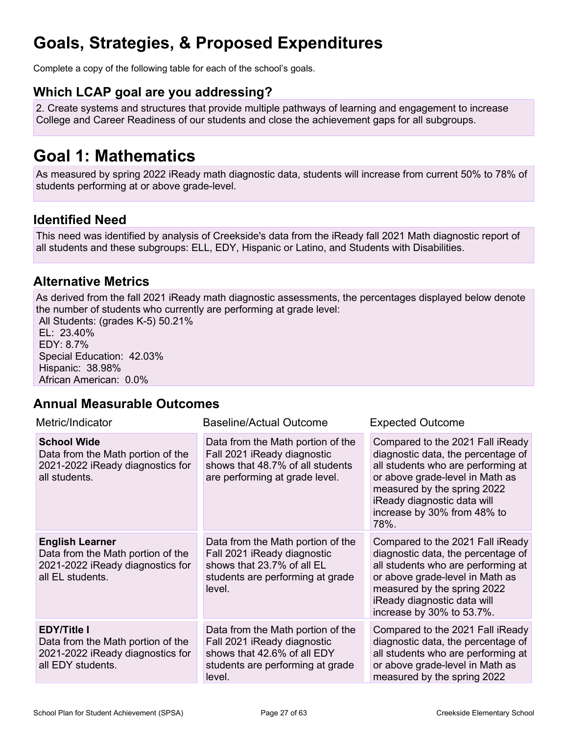## **Goals, Strategies, & Proposed Expenditures**

Complete a copy of the following table for each of the school's goals.

## **Which LCAP goal are you addressing?**

2. Create systems and structures that provide multiple pathways of learning and engagement to increase College and Career Readiness of our students and close the achievement gaps for all subgroups.

## **Goal 1: Mathematics**

As measured by spring 2022 iReady math diagnostic data, students will increase from current 50% to 78% of students performing at or above grade-level.

### **Identified Need**

This need was identified by analysis of Creekside's data from the iReady fall 2021 Math diagnostic report of all students and these subgroups: ELL, EDY, Hispanic or Latino, and Students with Disabilities.

### **Alternative Metrics**

As derived from the fall 2021 iReady math diagnostic assessments, the percentages displayed below denote the number of students who currently are performing at grade level:

All Students: (grades K-5) 50.21% EL: 23.40% EDY: 8.7% Special Education: 42.03% Hispanic: 38.98% African American: 0.0%

## **Annual Measurable Outcomes**

| Metric/Indicator                                                                                                    | <b>Baseline/Actual Outcome</b>                                                                                                                | <b>Expected Outcome</b>                                                                                                                                                                                                                              |
|---------------------------------------------------------------------------------------------------------------------|-----------------------------------------------------------------------------------------------------------------------------------------------|------------------------------------------------------------------------------------------------------------------------------------------------------------------------------------------------------------------------------------------------------|
| <b>School Wide</b><br>Data from the Math portion of the<br>2021-2022 iReady diagnostics for<br>all students.        | Data from the Math portion of the<br>Fall 2021 iReady diagnostic<br>shows that 48.7% of all students<br>are performing at grade level.        | Compared to the 2021 Fall iReady<br>diagnostic data, the percentage of<br>all students who are performing at<br>or above grade-level in Math as<br>measured by the spring 2022<br>iReady diagnostic data will<br>increase by 30% from 48% to<br>78%. |
| <b>English Learner</b><br>Data from the Math portion of the<br>2021-2022 iReady diagnostics for<br>all EL students. | Data from the Math portion of the<br>Fall 2021 iReady diagnostic<br>shows that 23.7% of all EL<br>students are performing at grade<br>level.  | Compared to the 2021 Fall iReady<br>diagnostic data, the percentage of<br>all students who are performing at<br>or above grade-level in Math as<br>measured by the spring 2022<br>iReady diagnostic data will<br>increase by 30% to 53.7%.           |
| <b>EDY/Title I</b><br>Data from the Math portion of the<br>2021-2022 iReady diagnostics for<br>all EDY students.    | Data from the Math portion of the<br>Fall 2021 iReady diagnostic<br>shows that 42.6% of all EDY<br>students are performing at grade<br>level. | Compared to the 2021 Fall iReady<br>diagnostic data, the percentage of<br>all students who are performing at<br>or above grade-level in Math as<br>measured by the spring 2022                                                                       |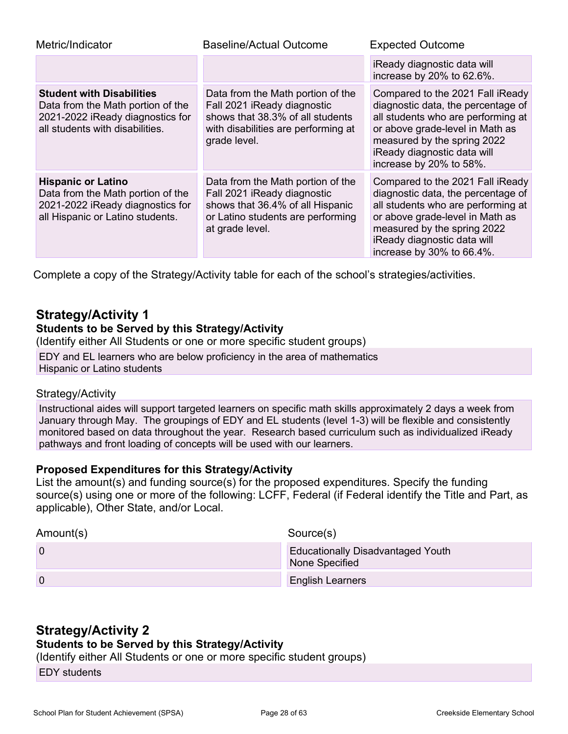| Metric/Indicator                                                                                                                             | <b>Baseline/Actual Outcome</b>                                                                                                                               | <b>Expected Outcome</b>                                                                                                                                                                                                                    |
|----------------------------------------------------------------------------------------------------------------------------------------------|--------------------------------------------------------------------------------------------------------------------------------------------------------------|--------------------------------------------------------------------------------------------------------------------------------------------------------------------------------------------------------------------------------------------|
|                                                                                                                                              |                                                                                                                                                              | iReady diagnostic data will<br>increase by 20% to 62.6%.                                                                                                                                                                                   |
| <b>Student with Disabilities</b><br>Data from the Math portion of the<br>2021-2022 iReady diagnostics for<br>all students with disabilities. | Data from the Math portion of the<br>Fall 2021 iReady diagnostic<br>shows that 38.3% of all students<br>with disabilities are performing at<br>grade level.  | Compared to the 2021 Fall iReady<br>diagnostic data, the percentage of<br>all students who are performing at<br>or above grade-level in Math as<br>measured by the spring 2022<br>iReady diagnostic data will<br>increase by 20% to 58%.   |
| <b>Hispanic or Latino</b><br>Data from the Math portion of the<br>2021-2022 iReady diagnostics for<br>all Hispanic or Latino students.       | Data from the Math portion of the<br>Fall 2021 iReady diagnostic<br>shows that 36.4% of all Hispanic<br>or Latino students are performing<br>at grade level. | Compared to the 2021 Fall iReady<br>diagnostic data, the percentage of<br>all students who are performing at<br>or above grade-level in Math as<br>measured by the spring 2022<br>iReady diagnostic data will<br>increase by 30% to 66.4%. |

Complete a copy of the Strategy/Activity table for each of the school's strategies/activities.

### **Strategy/Activity 1**

#### **Students to be Served by this Strategy/Activity**

(Identify either All Students or one or more specific student groups) EDY and EL learners who are below proficiency in the area of mathematics Hispanic or Latino students

#### Strategy/Activity

Instructional aides will support targeted learners on specific math skills approximately 2 days a week from January through May. The groupings of EDY and EL students (level 1-3) will be flexible and consistently monitored based on data throughout the year. Research based curriculum such as individualized iReady pathways and front loading of concepts will be used with our learners.

#### **Proposed Expenditures for this Strategy/Activity**

List the amount(s) and funding source(s) for the proposed expenditures. Specify the funding source(s) using one or more of the following: LCFF, Federal (if Federal identify the Title and Part, as applicable), Other State, and/or Local.

| Amount(s) | Source(s)                                                  |
|-----------|------------------------------------------------------------|
| 0         | <b>Educationally Disadvantaged Youth</b><br>None Specified |
|           | <b>English Learners</b>                                    |

#### **Strategy/Activity 2 Students to be Served by this Strategy/Activity**

(Identify either All Students or one or more specific student groups)

EDY students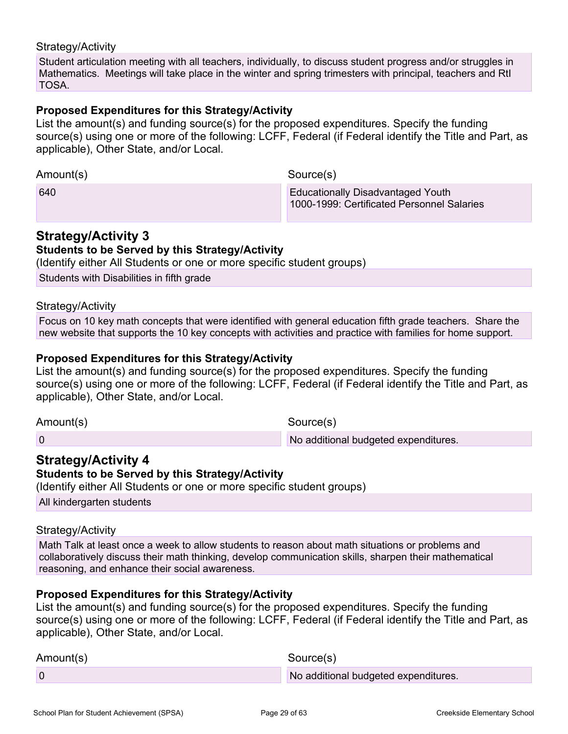#### Strategy/Activity

Student articulation meeting with all teachers, individually, to discuss student progress and/or struggles in Mathematics. Meetings will take place in the winter and spring trimesters with principal, teachers and RtI TOSA.

#### **Proposed Expenditures for this Strategy/Activity**

List the amount(s) and funding source(s) for the proposed expenditures. Specify the funding source(s) using one or more of the following: LCFF, Federal (if Federal identify the Title and Part, as applicable), Other State, and/or Local.

Amount(s) Source(s)

640 Educationally Disadvantaged Youth 1000-1999: Certificated Personnel Salaries

#### **Strategy/Activity 3**

#### **Students to be Served by this Strategy/Activity**

(Identify either All Students or one or more specific student groups)

Students with Disabilities in fifth grade

#### Strategy/Activity

Focus on 10 key math concepts that were identified with general education fifth grade teachers. Share the new website that supports the 10 key concepts with activities and practice with families for home support.

#### **Proposed Expenditures for this Strategy/Activity**

List the amount(s) and funding source(s) for the proposed expenditures. Specify the funding source(s) using one or more of the following: LCFF, Federal (if Federal identify the Title and Part, as applicable), Other State, and/or Local.

Amount(s) Source(s)

0 No additional budgeted expenditures.

#### **Strategy/Activity 4**

#### **Students to be Served by this Strategy/Activity**

(Identify either All Students or one or more specific student groups)

All kindergarten students

#### Strategy/Activity

Math Talk at least once a week to allow students to reason about math situations or problems and collaboratively discuss their math thinking, develop communication skills, sharpen their mathematical reasoning, and enhance their social awareness.

#### **Proposed Expenditures for this Strategy/Activity**

List the amount(s) and funding source(s) for the proposed expenditures. Specify the funding source(s) using one or more of the following: LCFF, Federal (if Federal identify the Title and Part, as applicable), Other State, and/or Local.

| Amount(s) | Source(s)                            |
|-----------|--------------------------------------|
|           | No additional budgeted expenditures. |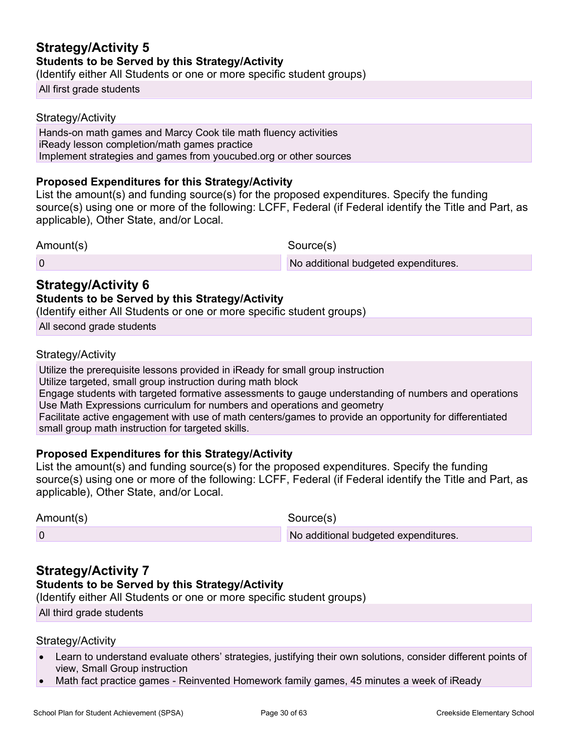### **Strategy/Activity 5 Students to be Served by this Strategy/Activity**

(Identify either All Students or one or more specific student groups)

All first grade students

#### Strategy/Activity

Hands-on math games and Marcy Cook tile math fluency activities iReady lesson completion/math games practice Implement strategies and games from youcubed.org or other sources

#### **Proposed Expenditures for this Strategy/Activity**

List the amount(s) and funding source(s) for the proposed expenditures. Specify the funding source(s) using one or more of the following: LCFF, Federal (if Federal identify the Title and Part, as applicable), Other State, and/or Local.

Amount(s) Source(s)

0 No additional budgeted expenditures.

### **Strategy/Activity 6**

#### **Students to be Served by this Strategy/Activity**

(Identify either All Students or one or more specific student groups)

All second grade students

#### Strategy/Activity

Utilize the prerequisite lessons provided in iReady for small group instruction Utilize targeted, small group instruction during math block Engage students with targeted formative assessments to gauge understanding of numbers and operations Use Math Expressions curriculum for numbers and operations and geometry Facilitate active engagement with use of math centers/games to provide an opportunity for differentiated small group math instruction for targeted skills.

#### **Proposed Expenditures for this Strategy/Activity**

List the amount(s) and funding source(s) for the proposed expenditures. Specify the funding source(s) using one or more of the following: LCFF, Federal (if Federal identify the Title and Part, as applicable), Other State, and/or Local.

| Amount(s) | Source(s)                            |
|-----------|--------------------------------------|
|           | No additional budgeted expenditures. |

## **Strategy/Activity 7**

#### **Students to be Served by this Strategy/Activity**

(Identify either All Students or one or more specific student groups)

All third grade students

#### Strategy/Activity

- Learn to understand evaluate others' strategies, justifying their own solutions, consider different points of view, Small Group instruction
- Math fact practice games Reinvented Homework family games, 45 minutes a week of iReady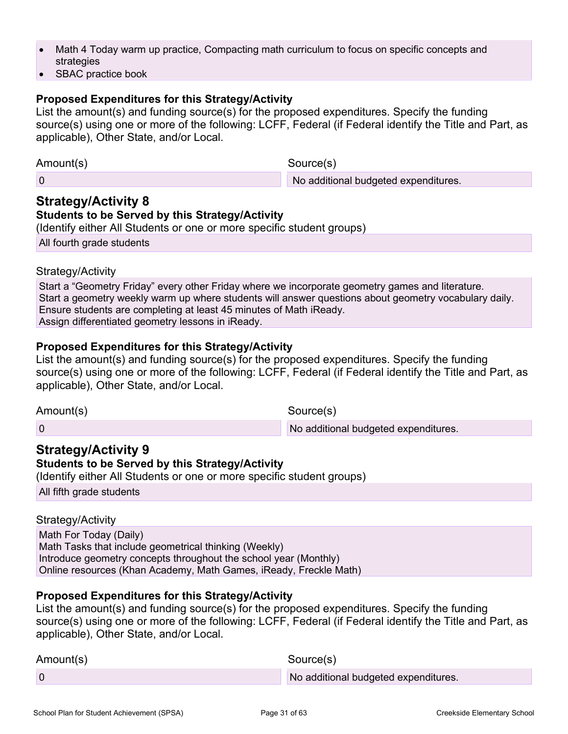- Math 4 Today warm up practice, Compacting math curriculum to focus on specific concepts and strategies
- SBAC practice book

#### **Proposed Expenditures for this Strategy/Activity**

List the amount(s) and funding source(s) for the proposed expenditures. Specify the funding source(s) using one or more of the following: LCFF, Federal (if Federal identify the Title and Part, as applicable), Other State, and/or Local.

| Amount(s) |  |
|-----------|--|
|-----------|--|

Source(s)

0 No additional budgeted expenditures.

### **Strategy/Activity 8**

#### **Students to be Served by this Strategy/Activity**

All fourth grade students

#### Strategy/Activity

Start a "Geometry Friday" every other Friday where we incorporate geometry games and literature. Start a geometry weekly warm up where students will answer questions about geometry vocabulary daily. Ensure students are completing at least 45 minutes of Math iReady. Assign differentiated geometry lessons in iReady.

#### **Proposed Expenditures for this Strategy/Activity**

List the amount(s) and funding source(s) for the proposed expenditures. Specify the funding source(s) using one or more of the following: LCFF, Federal (if Federal identify the Title and Part, as applicable), Other State, and/or Local.

Amount(s) Source(s)

0 No additional budgeted expenditures.

## **Strategy/Activity 9**

#### **Students to be Served by this Strategy/Activity**

(Identify either All Students or one or more specific student groups)

All fifth grade students

#### Strategy/Activity

Math For Today (Daily) Math Tasks that include geometrical thinking (Weekly) Introduce geometry concepts throughout the school year (Monthly) Online resources (Khan Academy, Math Games, iReady, Freckle Math)

#### **Proposed Expenditures for this Strategy/Activity**

List the amount(s) and funding source(s) for the proposed expenditures. Specify the funding source(s) using one or more of the following: LCFF, Federal (if Federal identify the Title and Part, as applicable), Other State, and/or Local.

| Amount(s) | Source(s)                            |
|-----------|--------------------------------------|
|           | No additional budgeted expenditures. |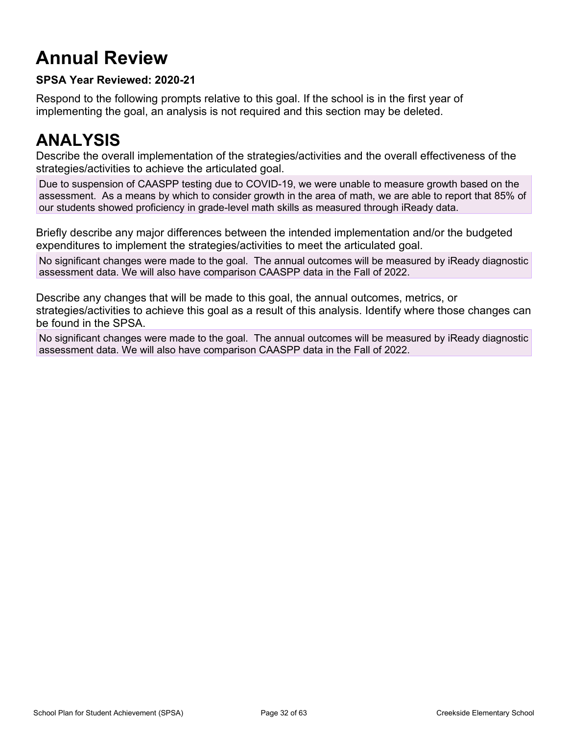# **Annual Review**

### **SPSA Year Reviewed: 2020-21**

Respond to the following prompts relative to this goal. If the school is in the first year of implementing the goal, an analysis is not required and this section may be deleted.

## **ANALYSIS**

Describe the overall implementation of the strategies/activities and the overall effectiveness of the strategies/activities to achieve the articulated goal.

Due to suspension of CAASPP testing due to COVID-19, we were unable to measure growth based on the assessment. As a means by which to consider growth in the area of math, we are able to report that 85% of our students showed proficiency in grade-level math skills as measured through iReady data.

Briefly describe any major differences between the intended implementation and/or the budgeted expenditures to implement the strategies/activities to meet the articulated goal.

No significant changes were made to the goal. The annual outcomes will be measured by iReady diagnostic assessment data. We will also have comparison CAASPP data in the Fall of 2022.

Describe any changes that will be made to this goal, the annual outcomes, metrics, or strategies/activities to achieve this goal as a result of this analysis. Identify where those changes can be found in the SPSA.

No significant changes were made to the goal. The annual outcomes will be measured by iReady diagnostic assessment data. We will also have comparison CAASPP data in the Fall of 2022.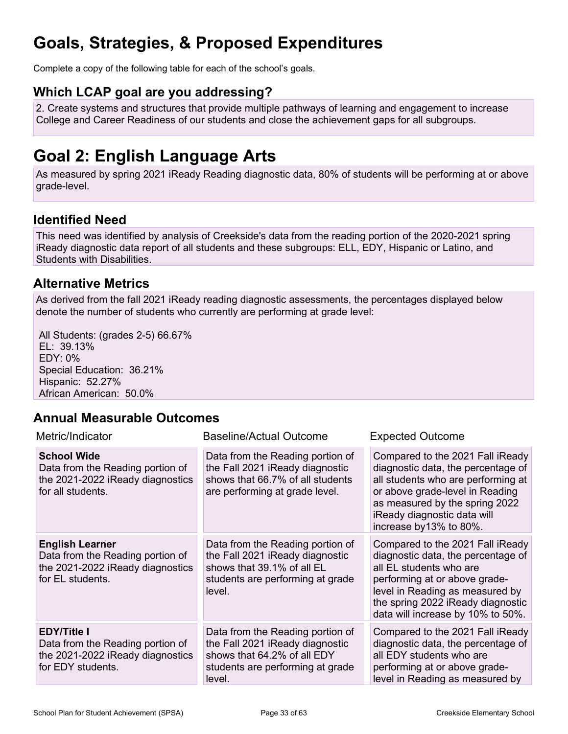## **Goals, Strategies, & Proposed Expenditures**

Complete a copy of the following table for each of the school's goals.

### **Which LCAP goal are you addressing?**

2. Create systems and structures that provide multiple pathways of learning and engagement to increase College and Career Readiness of our students and close the achievement gaps for all subgroups.

## **Goal 2: English Language Arts**

As measured by spring 2021 iReady Reading diagnostic data, 80% of students will be performing at or above grade-level.

### **Identified Need**

This need was identified by analysis of Creekside's data from the reading portion of the 2020-2021 spring iReady diagnostic data report of all students and these subgroups: ELL, EDY, Hispanic or Latino, and Students with Disabilities.

### **Alternative Metrics**

As derived from the fall 2021 iReady reading diagnostic assessments, the percentages displayed below denote the number of students who currently are performing at grade level:

All Students: (grades 2-5) 66.67% EL: 39.13% EDY: 0% Special Education: 36.21% Hispanic: 52.27% African American: 50.0%

### **Annual Measurable Outcomes**

| Metric/Indicator                                                                                                   | <b>Baseline/Actual Outcome</b>                                                                                                                   | <b>Expected Outcome</b>                                                                                                                                                                                                                         |
|--------------------------------------------------------------------------------------------------------------------|--------------------------------------------------------------------------------------------------------------------------------------------------|-------------------------------------------------------------------------------------------------------------------------------------------------------------------------------------------------------------------------------------------------|
| <b>School Wide</b><br>Data from the Reading portion of<br>the 2021-2022 iReady diagnostics<br>for all students.    | Data from the Reading portion of<br>the Fall 2021 iReady diagnostic<br>shows that 66.7% of all students<br>are performing at grade level.        | Compared to the 2021 Fall iReady<br>diagnostic data, the percentage of<br>all students who are performing at<br>or above grade-level in Reading<br>as measured by the spring 2022<br>iReady diagnostic data will<br>increase by 13% to 80%.     |
| <b>English Learner</b><br>Data from the Reading portion of<br>the 2021-2022 iReady diagnostics<br>for EL students. | Data from the Reading portion of<br>the Fall 2021 iReady diagnostic<br>shows that 39.1% of all EL<br>students are performing at grade<br>level.  | Compared to the 2021 Fall iReady<br>diagnostic data, the percentage of<br>all EL students who are<br>performing at or above grade-<br>level in Reading as measured by<br>the spring 2022 iReady diagnostic<br>data will increase by 10% to 50%. |
| <b>EDY/Title I</b><br>Data from the Reading portion of<br>the 2021-2022 iReady diagnostics<br>for EDY students.    | Data from the Reading portion of<br>the Fall 2021 iReady diagnostic<br>shows that 64.2% of all EDY<br>students are performing at grade<br>level. | Compared to the 2021 Fall iReady<br>diagnostic data, the percentage of<br>all EDY students who are<br>performing at or above grade-<br>level in Reading as measured by                                                                          |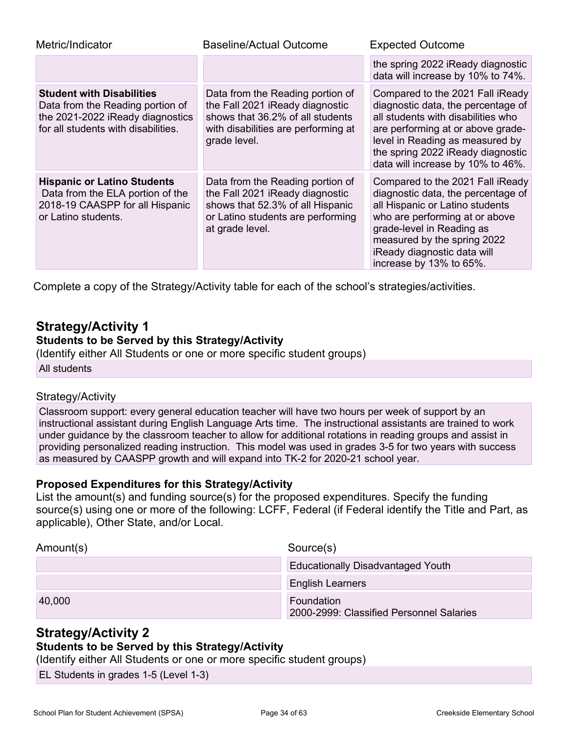| Metric/Indicator                                                                                                                                | <b>Baseline/Actual Outcome</b>                                                                                                                                  | <b>Expected Outcome</b>                                                                                                                                                                                                                                           |
|-------------------------------------------------------------------------------------------------------------------------------------------------|-----------------------------------------------------------------------------------------------------------------------------------------------------------------|-------------------------------------------------------------------------------------------------------------------------------------------------------------------------------------------------------------------------------------------------------------------|
|                                                                                                                                                 |                                                                                                                                                                 | the spring 2022 iReady diagnostic<br>data will increase by 10% to 74%.                                                                                                                                                                                            |
| <b>Student with Disabilities</b><br>Data from the Reading portion of<br>the 2021-2022 iReady diagnostics<br>for all students with disabilities. | Data from the Reading portion of<br>the Fall 2021 iReady diagnostic<br>shows that 36.2% of all students<br>with disabilities are performing at<br>grade level.  | Compared to the 2021 Fall iReady<br>diagnostic data, the percentage of<br>all students with disabilities who<br>are performing at or above grade-<br>level in Reading as measured by<br>the spring 2022 iReady diagnostic<br>data will increase by 10% to 46%.    |
| <b>Hispanic or Latino Students</b><br>Data from the ELA portion of the<br>2018-19 CAASPP for all Hispanic<br>or Latino students.                | Data from the Reading portion of<br>the Fall 2021 iReady diagnostic<br>shows that 52.3% of all Hispanic<br>or Latino students are performing<br>at grade level. | Compared to the 2021 Fall iReady<br>diagnostic data, the percentage of<br>all Hispanic or Latino students<br>who are performing at or above<br>grade-level in Reading as<br>measured by the spring 2022<br>iReady diagnostic data will<br>increase by 13% to 65%. |

Complete a copy of the Strategy/Activity table for each of the school's strategies/activities.

### **Strategy/Activity 1**

#### **Students to be Served by this Strategy/Activity**

(Identify either All Students or one or more specific student groups) All students

#### Strategy/Activity

Classroom support: every general education teacher will have two hours per week of support by an instructional assistant during English Language Arts time. The instructional assistants are trained to work under guidance by the classroom teacher to allow for additional rotations in reading groups and assist in providing personalized reading instruction. This model was used in grades 3-5 for two years with success as measured by CAASPP growth and will expand into TK-2 for 2020-21 school year.

#### **Proposed Expenditures for this Strategy/Activity**

List the amount(s) and funding source(s) for the proposed expenditures. Specify the funding source(s) using one or more of the following: LCFF, Federal (if Federal identify the Title and Part, as applicable), Other State, and/or Local.

| Amount(s) | Source(s)                                              |  |
|-----------|--------------------------------------------------------|--|
|           | <b>Educationally Disadvantaged Youth</b>               |  |
|           | <b>English Learners</b>                                |  |
| 40,000    | Foundation<br>2000-2999: Classified Personnel Salaries |  |

## **Strategy/Activity 2**

### **Students to be Served by this Strategy/Activity**

(Identify either All Students or one or more specific student groups)

EL Students in grades 1-5 (Level 1-3)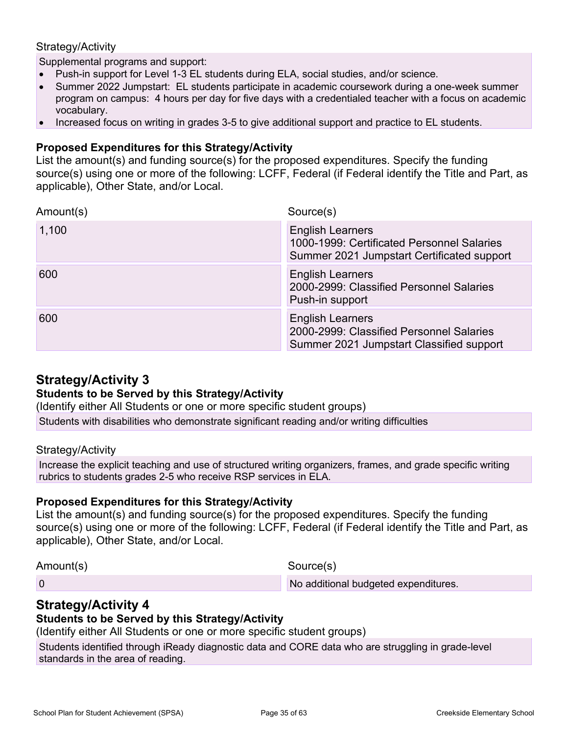#### Strategy/Activity

Supplemental programs and support:

- Push-in support for Level 1-3 EL students during ELA, social studies, and/or science.
- Summer 2022 Jumpstart: EL students participate in academic coursework during a one-week summer program on campus: 4 hours per day for five days with a credentialed teacher with a focus on academic vocabulary.
- Increased focus on writing in grades 3-5 to give additional support and practice to EL students.

#### **Proposed Expenditures for this Strategy/Activity**

List the amount(s) and funding source(s) for the proposed expenditures. Specify the funding source(s) using one or more of the following: LCFF, Federal (if Federal identify the Title and Part, as applicable), Other State, and/or Local.

| Amount(s) | Source(s)                                                                                                           |
|-----------|---------------------------------------------------------------------------------------------------------------------|
| 1,100     | <b>English Learners</b><br>1000-1999: Certificated Personnel Salaries<br>Summer 2021 Jumpstart Certificated support |
| 600       | <b>English Learners</b><br>2000-2999: Classified Personnel Salaries<br>Push-in support                              |
| 600       | <b>English Learners</b><br>2000-2999: Classified Personnel Salaries<br>Summer 2021 Jumpstart Classified support     |

## **Strategy/Activity 3**

#### **Students to be Served by this Strategy/Activity**

(Identify either All Students or one or more specific student groups)

Students with disabilities who demonstrate significant reading and/or writing difficulties

#### Strategy/Activity

Increase the explicit teaching and use of structured writing organizers, frames, and grade specific writing rubrics to students grades 2-5 who receive RSP services in ELA.

#### **Proposed Expenditures for this Strategy/Activity**

List the amount(s) and funding source(s) for the proposed expenditures. Specify the funding source(s) using one or more of the following: LCFF, Federal (if Federal identify the Title and Part, as applicable), Other State, and/or Local.

Amount(s) Source(s)

0 No additional budgeted expenditures.

### **Strategy/Activity 4**

#### **Students to be Served by this Strategy/Activity**

(Identify either All Students or one or more specific student groups)

Students identified through iReady diagnostic data and CORE data who are struggling in grade-level standards in the area of reading.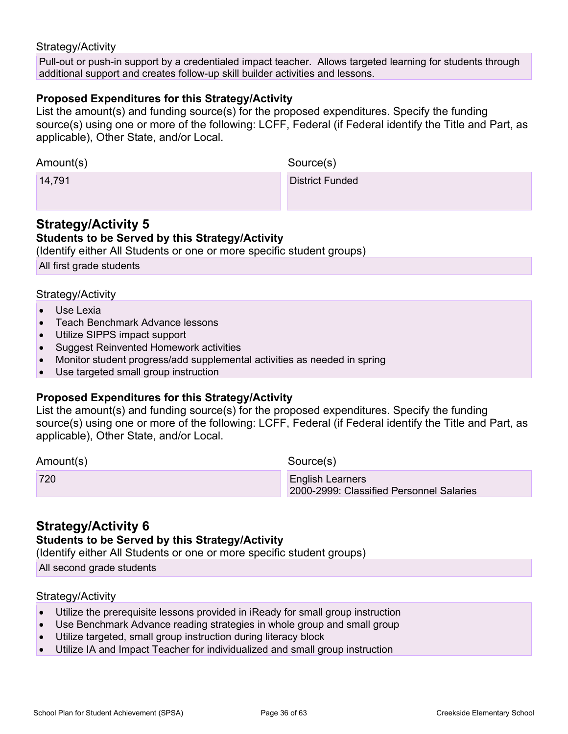#### Strategy/Activity

Pull-out or push-in support by a credentialed impact teacher. Allows targeted learning for students through additional support and creates follow-up skill builder activities and lessons.

#### **Proposed Expenditures for this Strategy/Activity**

List the amount(s) and funding source(s) for the proposed expenditures. Specify the funding source(s) using one or more of the following: LCFF, Federal (if Federal identify the Title and Part, as applicable), Other State, and/or Local.

| Amount(s) | Source(s)              |
|-----------|------------------------|
| 14,791    | <b>District Funded</b> |

### **Strategy/Activity 5**

#### **Students to be Served by this Strategy/Activity**

(Identify either All Students or one or more specific student groups)

All first grade students

#### Strategy/Activity

- Use Lexia
- Teach Benchmark Advance lessons
- Utilize SIPPS impact support
- Suggest Reinvented Homework activities
- Monitor student progress/add supplemental activities as needed in spring
- Use targeted small group instruction

#### **Proposed Expenditures for this Strategy/Activity**

List the amount(s) and funding source(s) for the proposed expenditures. Specify the funding source(s) using one or more of the following: LCFF, Federal (if Federal identify the Title and Part, as applicable), Other State, and/or Local.

Amount(s) Source(s)

720 English Learners 2000-2999: Classified Personnel Salaries

#### **Strategy/Activity 6**

#### **Students to be Served by this Strategy/Activity**

(Identify either All Students or one or more specific student groups)

All second grade students

#### Strategy/Activity

- Utilize the prerequisite lessons provided in iReady for small group instruction
- Use Benchmark Advance reading strategies in whole group and small group
- Utilize targeted, small group instruction during literacy block
- Utilize IA and Impact Teacher for individualized and small group instruction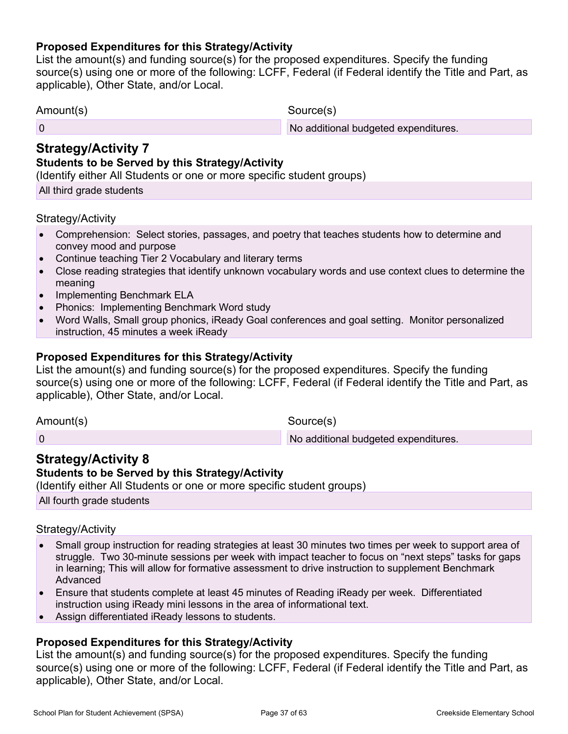#### **Proposed Expenditures for this Strategy/Activity**

List the amount(s) and funding source(s) for the proposed expenditures. Specify the funding source(s) using one or more of the following: LCFF, Federal (if Federal identify the Title and Part, as applicable), Other State, and/or Local.

| Amount(s) | 30urce(s).<br>$    -$ |
|-----------|-----------------------|
|           |                       |

0 **No additional budgeted expenditures.** 

## **Strategy/Activity 7**

#### **Students to be Served by this Strategy/Activity**

(Identify either All Students or one or more specific student groups)

All third grade students

#### Strategy/Activity

- Comprehension: Select stories, passages, and poetry that teaches students how to determine and convey mood and purpose
- Continue teaching Tier 2 Vocabulary and literary terms
- Close reading strategies that identify unknown vocabulary words and use context clues to determine the meaning
- Implementing Benchmark ELA
- Phonics: Implementing Benchmark Word study
- Word Walls, Small group phonics, iReady Goal conferences and goal setting. Monitor personalized instruction, 45 minutes a week iReady

#### **Proposed Expenditures for this Strategy/Activity**

List the amount(s) and funding source(s) for the proposed expenditures. Specify the funding source(s) using one or more of the following: LCFF, Federal (if Federal identify the Title and Part, as applicable), Other State, and/or Local.

Amount(s) Source(s)

0 No additional budgeted expenditures.

### **Strategy/Activity 8**

#### **Students to be Served by this Strategy/Activity**

(Identify either All Students or one or more specific student groups)

All fourth grade students

#### Strategy/Activity

- Small group instruction for reading strategies at least 30 minutes two times per week to support area of struggle. Two 30-minute sessions per week with impact teacher to focus on "next steps" tasks for gaps in learning; This will allow for formative assessment to drive instruction to supplement Benchmark Advanced
- Ensure that students complete at least 45 minutes of Reading iReady per week. Differentiated instruction using iReady mini lessons in the area of informational text.
- Assign differentiated iReady lessons to students.

#### **Proposed Expenditures for this Strategy/Activity**

List the amount(s) and funding source(s) for the proposed expenditures. Specify the funding source(s) using one or more of the following: LCFF, Federal (if Federal identify the Title and Part, as applicable), Other State, and/or Local.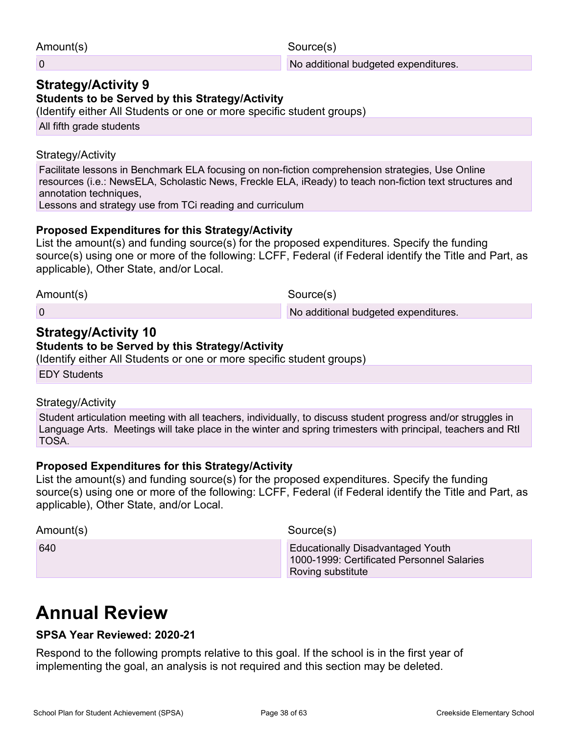Amount(s) Source(s)

0 **No additional budgeted expenditures.** 

### **Strategy/Activity 9**

### **Students to be Served by this Strategy/Activity**

(Identify either All Students or one or more specific student groups)

All fifth grade students

#### Strategy/Activity

Facilitate lessons in Benchmark ELA focusing on non-fiction comprehension strategies, Use Online resources (i.e.: NewsELA, Scholastic News, Freckle ELA, iReady) to teach non-fiction text structures and annotation techniques,

Lessons and strategy use from TCi reading and curriculum

#### **Proposed Expenditures for this Strategy/Activity**

List the amount(s) and funding source(s) for the proposed expenditures. Specify the funding source(s) using one or more of the following: LCFF, Federal (if Federal identify the Title and Part, as applicable), Other State, and/or Local.

Amount(s) Source(s)

0 **No additional budgeted expenditures.** 

## **Strategy/Activity 10**

## **Students to be Served by this Strategy/Activity**

(Identify either All Students or one or more specific student groups)

EDY Students

#### Strategy/Activity

Student articulation meeting with all teachers, individually, to discuss student progress and/or struggles in Language Arts. Meetings will take place in the winter and spring trimesters with principal, teachers and RtI TOSA.

#### **Proposed Expenditures for this Strategy/Activity**

List the amount(s) and funding source(s) for the proposed expenditures. Specify the funding source(s) using one or more of the following: LCFF, Federal (if Federal identify the Title and Part, as applicable), Other State, and/or Local.

| Amount(s) | Source(s)                                                                                                   |
|-----------|-------------------------------------------------------------------------------------------------------------|
| 640       | Educationally Disadvantaged Youth<br>1000-1999: Certificated Personnel Salaries<br><b>Roving substitute</b> |

# **Annual Review**

## **SPSA Year Reviewed: 2020-21**

Respond to the following prompts relative to this goal. If the school is in the first year of implementing the goal, an analysis is not required and this section may be deleted.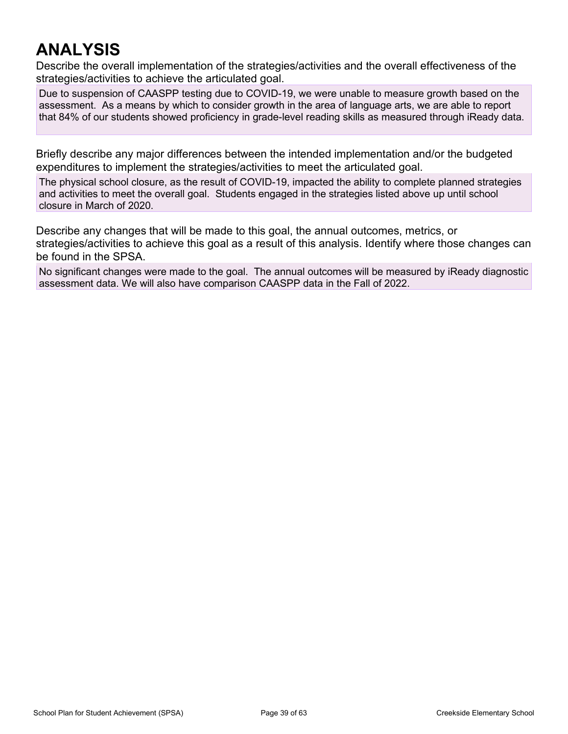## **ANALYSIS**

Describe the overall implementation of the strategies/activities and the overall effectiveness of the strategies/activities to achieve the articulated goal.

Due to suspension of CAASPP testing due to COVID-19, we were unable to measure growth based on the assessment. As a means by which to consider growth in the area of language arts, we are able to report that 84% of our students showed proficiency in grade-level reading skills as measured through iReady data.

Briefly describe any major differences between the intended implementation and/or the budgeted expenditures to implement the strategies/activities to meet the articulated goal.

The physical school closure, as the result of COVID-19, impacted the ability to complete planned strategies and activities to meet the overall goal. Students engaged in the strategies listed above up until school closure in March of 2020.

Describe any changes that will be made to this goal, the annual outcomes, metrics, or strategies/activities to achieve this goal as a result of this analysis. Identify where those changes can be found in the SPSA.

No significant changes were made to the goal. The annual outcomes will be measured by iReady diagnostic assessment data. We will also have comparison CAASPP data in the Fall of 2022.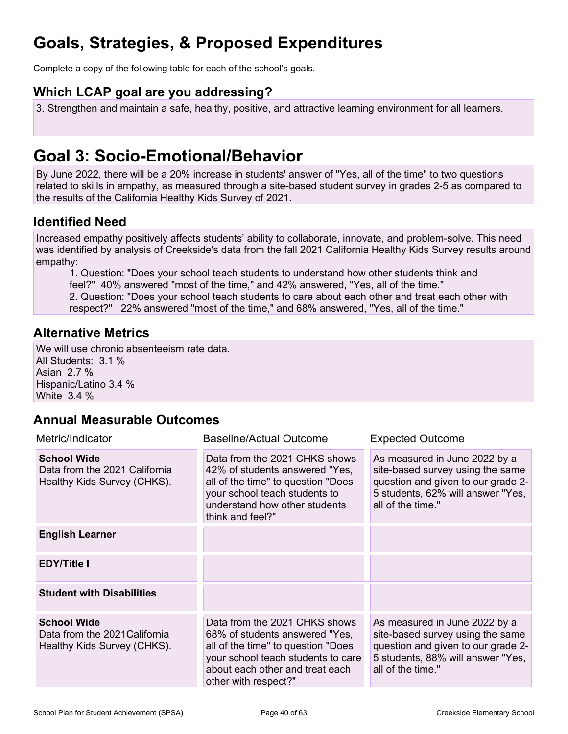## **Goals, Strategies, & Proposed Expenditures**

Complete a copy of the following table for each of the school's goals.

### **Which LCAP goal are you addressing?**

3. Strengthen and maintain a safe, healthy, positive, and attractive learning environment for all learners.

## **Goal 3: Socio-Emotional/Behavior**

By June 2022, there will be a 20% increase in students' answer of "Yes, all of the time" to two questions related to skills in empathy, as measured through a site-based student survey in grades 2-5 as compared to the results of the California Healthy Kids Survey of 2021.

## **Identified Need**

Increased empathy positively affects students' ability to collaborate, innovate, and problem-solve. This need was identified by analysis of Creekside's data from the fall 2021 California Healthy Kids Survey results around empathy:

1. Question: "Does your school teach students to understand how other students think and feel?" 40% answered "most of the time," and 42% answered, "Yes, all of the time."

2. Question: "Does your school teach students to care about each other and treat each other with respect?" 22% answered "most of the time," and 68% answered, "Yes, all of the time."

### **Alternative Metrics**

We will use chronic absenteeism rate data. All Students: 3.1 % Asian 2.7 % Hispanic/Latino 3.4 % White 3.4 %

## **Annual Measurable Outcomes**

| Metric/Indicator                                                                   | <b>Baseline/Actual Outcome</b>                                                                                                                                                                         | <b>Expected Outcome</b>                                                                                                                                           |
|------------------------------------------------------------------------------------|--------------------------------------------------------------------------------------------------------------------------------------------------------------------------------------------------------|-------------------------------------------------------------------------------------------------------------------------------------------------------------------|
| <b>School Wide</b><br>Data from the 2021 California<br>Healthy Kids Survey (CHKS). | Data from the 2021 CHKS shows<br>42% of students answered "Yes,<br>all of the time" to question "Does<br>your school teach students to<br>understand how other students<br>think and feel?"            | As measured in June 2022 by a<br>site-based survey using the same<br>question and given to our grade 2-<br>5 students, 62% will answer "Yes,<br>all of the time." |
| <b>English Learner</b>                                                             |                                                                                                                                                                                                        |                                                                                                                                                                   |
| <b>EDY/Title I</b>                                                                 |                                                                                                                                                                                                        |                                                                                                                                                                   |
| <b>Student with Disabilities</b>                                                   |                                                                                                                                                                                                        |                                                                                                                                                                   |
| <b>School Wide</b><br>Data from the 2021 California<br>Healthy Kids Survey (CHKS). | Data from the 2021 CHKS shows<br>68% of students answered "Yes,<br>all of the time" to question "Does<br>your school teach students to care<br>about each other and treat each<br>other with respect?" | As measured in June 2022 by a<br>site-based survey using the same<br>question and given to our grade 2-<br>5 students, 88% will answer "Yes,<br>all of the time." |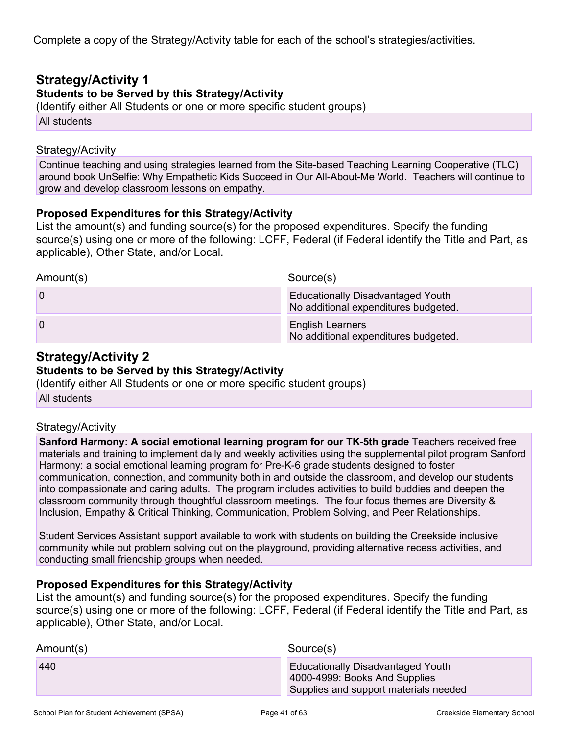Complete a copy of the Strategy/Activity table for each of the school's strategies/activities.

### **Strategy/Activity 1 Students to be Served by this Strategy/Activity**

(Identify either All Students or one or more specific student groups) All students

#### Strategy/Activity

Continue teaching and using strategies learned from the Site-based Teaching Learning Cooperative (TLC) around book UnSelfie: Why Empathetic Kids Succeed in Our All-About-Me World. Teachers will continue to grow and develop classroom lessons on empathy.

#### **Proposed Expenditures for this Strategy/Activity**

List the amount(s) and funding source(s) for the proposed expenditures. Specify the funding source(s) using one or more of the following: LCFF, Federal (if Federal identify the Title and Part, as applicable), Other State, and/or Local.

| Amount(s) | Source(s)                                                                        |
|-----------|----------------------------------------------------------------------------------|
| 0         | <b>Educationally Disadvantaged Youth</b><br>No additional expenditures budgeted. |
| $\Omega$  | <b>English Learners</b><br>No additional expenditures budgeted.                  |

### **Strategy/Activity 2**

#### **Students to be Served by this Strategy/Activity**

(Identify either All Students or one or more specific student groups)

All students

#### Strategy/Activity

**Sanford Harmony: A social emotional learning program for our TK-5th grade** Teachers received free materials and training to implement daily and weekly activities using the supplemental pilot program Sanford Harmony: a social emotional learning program for Pre-K-6 grade students designed to foster communication, connection, and community both in and outside the classroom, and develop our students into compassionate and caring adults. The program includes activities to build buddies and deepen the classroom community through thoughtful classroom meetings. The four focus themes are Diversity & Inclusion, Empathy & Critical Thinking, Communication, Problem Solving, and Peer Relationships.

Student Services Assistant support available to work with students on building the Creekside inclusive community while out problem solving out on the playground, providing alternative recess activities, and conducting small friendship groups when needed.

#### **Proposed Expenditures for this Strategy/Activity**

List the amount(s) and funding source(s) for the proposed expenditures. Specify the funding source(s) using one or more of the following: LCFF, Federal (if Federal identify the Title and Part, as applicable), Other State, and/or Local.

| Amount(s) | Source(s)                                                                                                          |
|-----------|--------------------------------------------------------------------------------------------------------------------|
| 440       | <b>Educationally Disadvantaged Youth</b><br>4000-4999: Books And Supplies<br>Supplies and support materials needed |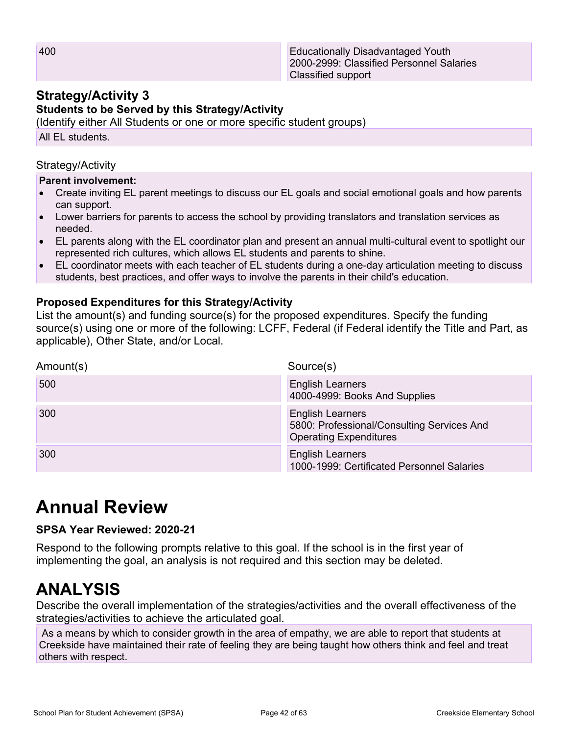### **Strategy/Activity 3**

#### **Students to be Served by this Strategy/Activity**

(Identify either All Students or one or more specific student groups)

All EL students.

#### Strategy/Activity

#### **Parent involvement:**

- Create inviting EL parent meetings to discuss our EL goals and social emotional goals and how parents can support.
- Lower barriers for parents to access the school by providing translators and translation services as needed.
- EL parents along with the EL coordinator plan and present an annual multi-cultural event to spotlight our represented rich cultures, which allows EL students and parents to shine.
- EL coordinator meets with each teacher of EL students during a one-day articulation meeting to discuss students, best practices, and offer ways to involve the parents in their child's education.

#### **Proposed Expenditures for this Strategy/Activity**

List the amount(s) and funding source(s) for the proposed expenditures. Specify the funding source(s) using one or more of the following: LCFF, Federal (if Federal identify the Title and Part, as applicable), Other State, and/or Local.

| Amount(s) | Source(s)                                                                                              |
|-----------|--------------------------------------------------------------------------------------------------------|
| 500       | <b>English Learners</b><br>4000-4999: Books And Supplies                                               |
| 300       | <b>English Learners</b><br>5800: Professional/Consulting Services And<br><b>Operating Expenditures</b> |
| 300       | <b>English Learners</b><br>1000-1999: Certificated Personnel Salaries                                  |

## **Annual Review**

#### **SPSA Year Reviewed: 2020-21**

Respond to the following prompts relative to this goal. If the school is in the first year of implementing the goal, an analysis is not required and this section may be deleted.

## **ANALYSIS**

Describe the overall implementation of the strategies/activities and the overall effectiveness of the strategies/activities to achieve the articulated goal.

As a means by which to consider growth in the area of empathy, we are able to report that students at Creekside have maintained their rate of feeling they are being taught how others think and feel and treat others with respect.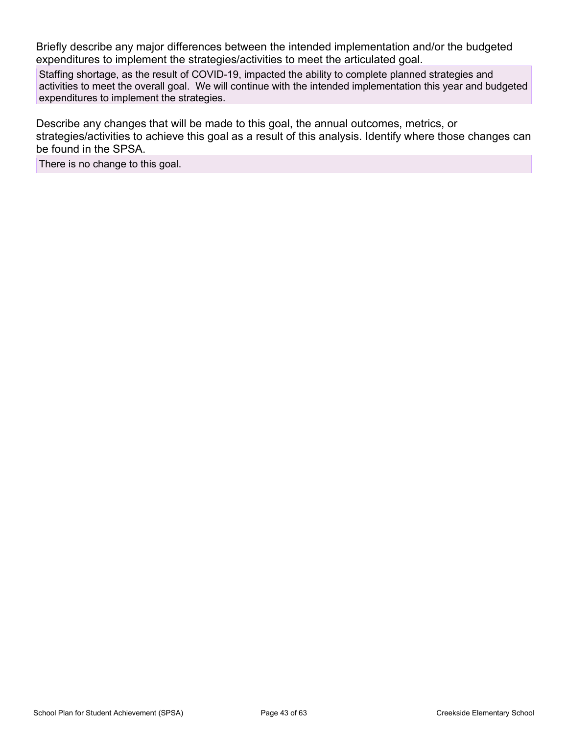Briefly describe any major differences between the intended implementation and/or the budgeted expenditures to implement the strategies/activities to meet the articulated goal.

Staffing shortage, as the result of COVID-19, impacted the ability to complete planned strategies and activities to meet the overall goal. We will continue with the intended implementation this year and budgeted expenditures to implement the strategies.

Describe any changes that will be made to this goal, the annual outcomes, metrics, or strategies/activities to achieve this goal as a result of this analysis. Identify where those changes can be found in the SPSA.

There is no change to this goal.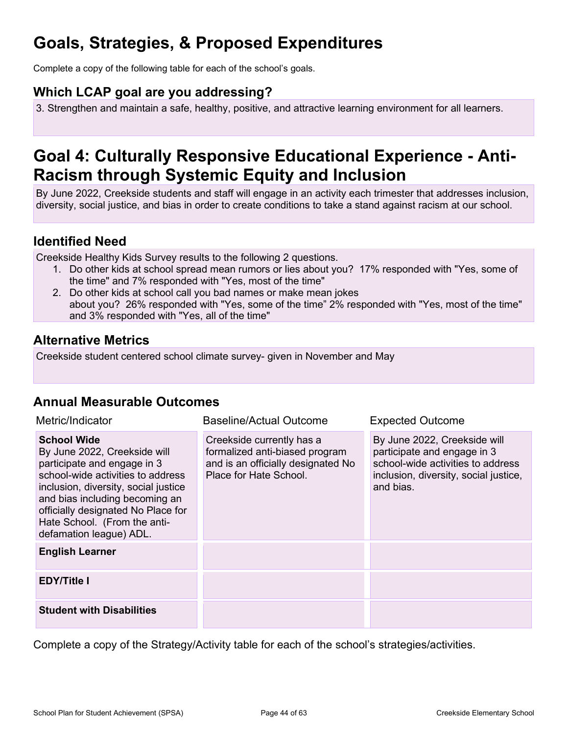## **Goals, Strategies, & Proposed Expenditures**

Complete a copy of the following table for each of the school's goals.

## **Which LCAP goal are you addressing?**

3. Strengthen and maintain a safe, healthy, positive, and attractive learning environment for all learners.

## **Goal 4: Culturally Responsive Educational Experience - Anti-Racism through Systemic Equity and Inclusion**

By June 2022, Creekside students and staff will engage in an activity each trimester that addresses inclusion, diversity, social justice, and bias in order to create conditions to take a stand against racism at our school.

## **Identified Need**

Creekside Healthy Kids Survey results to the following 2 questions.

- 1. Do other kids at school spread mean rumors or lies about you? 17% responded with "Yes, some of the time" and 7% responded with "Yes, most of the time"
- 2. Do other kids at school call you bad names or make mean jokes about you? 26% responded with "Yes, some of the time" 2% responded with "Yes, most of the time" and 3% responded with "Yes, all of the time"

## **Alternative Metrics**

Creekside student centered school climate survey- given in November and May

### **Annual Measurable Outcomes**

| Metric/Indicator                                                                                                                                                                                                                                                                                  | <b>Baseline/Actual Outcome</b>                                                                                              | <b>Expected Outcome</b>                                                                                                                                |
|---------------------------------------------------------------------------------------------------------------------------------------------------------------------------------------------------------------------------------------------------------------------------------------------------|-----------------------------------------------------------------------------------------------------------------------------|--------------------------------------------------------------------------------------------------------------------------------------------------------|
| <b>School Wide</b><br>By June 2022, Creekside will<br>participate and engage in 3<br>school-wide activities to address<br>inclusion, diversity, social justice<br>and bias including becoming an<br>officially designated No Place for<br>Hate School. (From the anti-<br>defamation league) ADL. | Creekside currently has a<br>formalized anti-biased program<br>and is an officially designated No<br>Place for Hate School. | By June 2022, Creekside will<br>participate and engage in 3<br>school-wide activities to address<br>inclusion, diversity, social justice,<br>and bias. |
| <b>English Learner</b>                                                                                                                                                                                                                                                                            |                                                                                                                             |                                                                                                                                                        |
| <b>EDY/Title I</b>                                                                                                                                                                                                                                                                                |                                                                                                                             |                                                                                                                                                        |
| <b>Student with Disabilities</b>                                                                                                                                                                                                                                                                  |                                                                                                                             |                                                                                                                                                        |

Complete a copy of the Strategy/Activity table for each of the school's strategies/activities.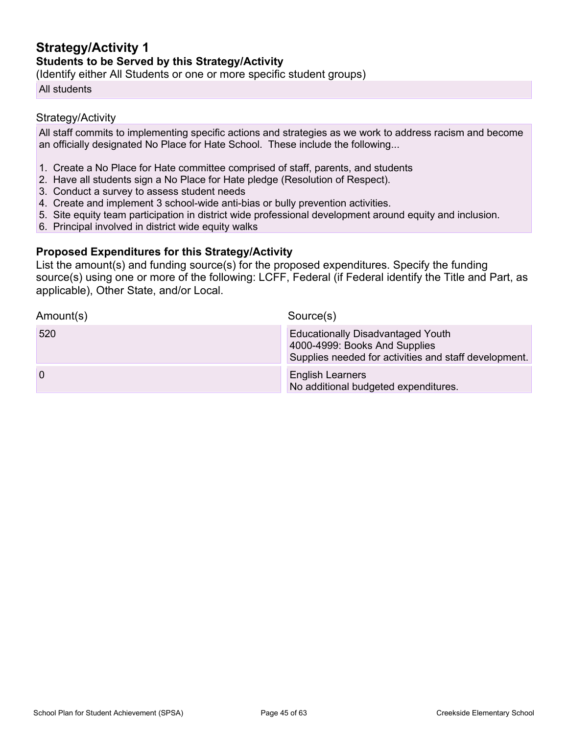## **Strategy/Activity 1 Students to be Served by this Strategy/Activity**

(Identify either All Students or one or more specific student groups)

#### All students

#### Strategy/Activity

All staff commits to implementing specific actions and strategies as we work to address racism and become an officially designated No Place for Hate School. These include the following...

- 1. Create a No Place for Hate committee comprised of staff, parents, and students
- 2. Have all students sign a No Place for Hate pledge (Resolution of Respect).
- 3. Conduct a survey to assess student needs
- 4. Create and implement 3 school-wide anti-bias or bully prevention activities.
- 5. Site equity team participation in district wide professional development around equity and inclusion.
- 6. Principal involved in district wide equity walks

#### **Proposed Expenditures for this Strategy/Activity**

List the amount(s) and funding source(s) for the proposed expenditures. Specify the funding source(s) using one or more of the following: LCFF, Federal (if Federal identify the Title and Part, as applicable), Other State, and/or Local.

| Amount(s)      | Source(s)                                                                                                                          |
|----------------|------------------------------------------------------------------------------------------------------------------------------------|
| 520            | <b>Educationally Disadvantaged Youth</b><br>4000-4999: Books And Supplies<br>Supplies needed for activities and staff development. |
| $\overline{0}$ | <b>English Learners</b><br>No additional budgeted expenditures.                                                                    |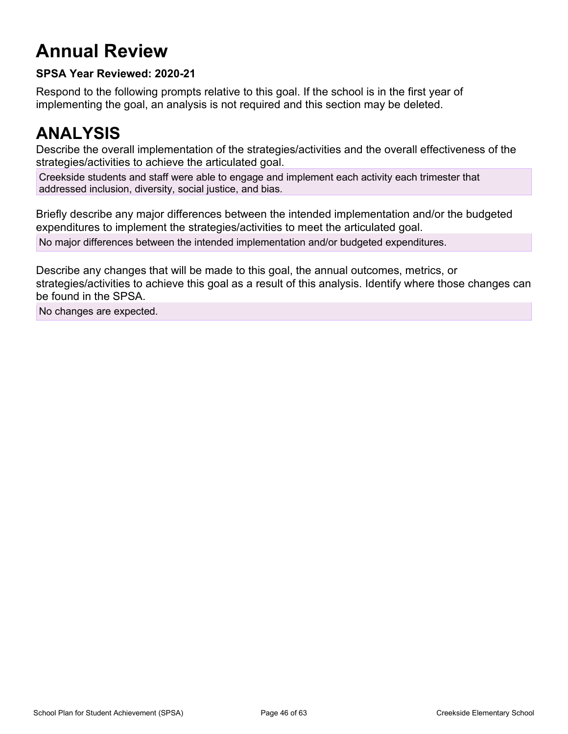# **Annual Review**

### **SPSA Year Reviewed: 2020-21**

Respond to the following prompts relative to this goal. If the school is in the first year of implementing the goal, an analysis is not required and this section may be deleted.

## **ANALYSIS**

Describe the overall implementation of the strategies/activities and the overall effectiveness of the strategies/activities to achieve the articulated goal.

Creekside students and staff were able to engage and implement each activity each trimester that addressed inclusion, diversity, social justice, and bias.

Briefly describe any major differences between the intended implementation and/or the budgeted expenditures to implement the strategies/activities to meet the articulated goal.

No major differences between the intended implementation and/or budgeted expenditures.

Describe any changes that will be made to this goal, the annual outcomes, metrics, or strategies/activities to achieve this goal as a result of this analysis. Identify where those changes can be found in the SPSA.

No changes are expected.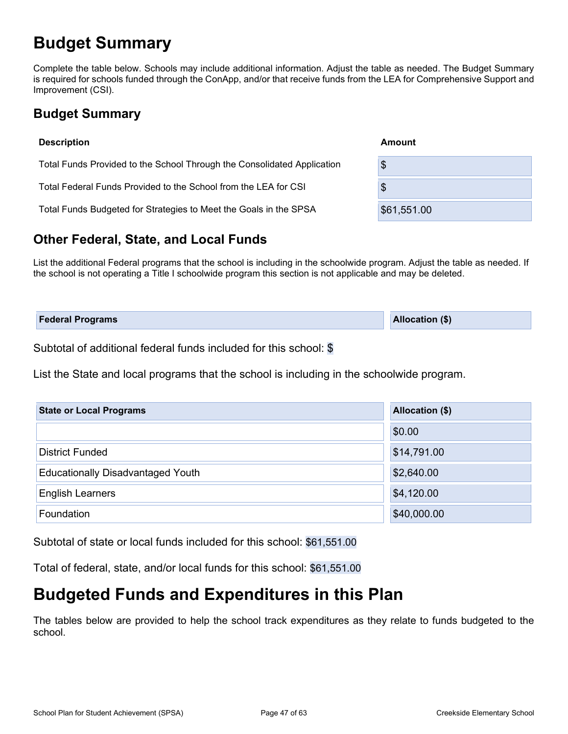## **Budget Summary**

Complete the table below. Schools may include additional information. Adjust the table as needed. The Budget Summary is required for schools funded through the ConApp, and/or that receive funds from the LEA for Comprehensive Support and Improvement (CSI).

## **Budget Summary**

| <b>Description</b>                                                      | Amount      |
|-------------------------------------------------------------------------|-------------|
| Total Funds Provided to the School Through the Consolidated Application | \$          |
| Total Federal Funds Provided to the School from the LEA for CSI         | \$          |
| Total Funds Budgeted for Strategies to Meet the Goals in the SPSA       | \$61,551.00 |

## **Other Federal, State, and Local Funds**

List the additional Federal programs that the school is including in the schoolwide program. Adjust the table as needed. If the school is not operating a Title I schoolwide program this section is not applicable and may be deleted.

| <b>Federal Programs</b> | Allocation (\$) |
|-------------------------|-----------------|
|                         |                 |

Subtotal of additional federal funds included for this school: \$

List the State and local programs that the school is including in the schoolwide program.

| <b>State or Local Programs</b>           | <b>Allocation (\$)</b> |
|------------------------------------------|------------------------|
|                                          | \$0.00                 |
| <b>District Funded</b>                   | \$14,791.00            |
| <b>Educationally Disadvantaged Youth</b> | \$2,640.00             |
| <b>English Learners</b>                  | \$4,120.00             |
| Foundation                               | \$40,000.00            |

Subtotal of state or local funds included for this school: \$61,551.00

Total of federal, state, and/or local funds for this school: \$61,551.00

## **Budgeted Funds and Expenditures in this Plan**

The tables below are provided to help the school track expenditures as they relate to funds budgeted to the school.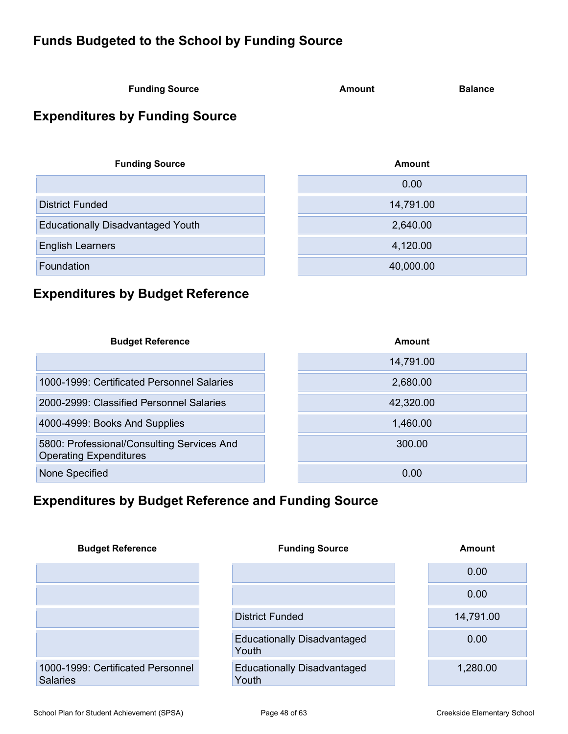## **Funds Budgeted to the School by Funding Source**

| <b>Funding Source</b> | Amount | <b>Balance</b> |
|-----------------------|--------|----------------|
|                       |        |                |

## **Expenditures by Funding Source**

| <b>Funding Source</b>                    | Amount    |
|------------------------------------------|-----------|
|                                          | 0.00      |
| <b>District Funded</b>                   | 14,791.00 |
| <b>Educationally Disadvantaged Youth</b> | 2,640.00  |
| <b>English Learners</b>                  | 4,120.00  |
| Foundation                               | 40,000.00 |

## **Expenditures by Budget Reference**

| <b>Budget Reference</b>                                                     | Amount    |
|-----------------------------------------------------------------------------|-----------|
|                                                                             | 14,791.00 |
| 1000-1999: Certificated Personnel Salaries                                  | 2,680.00  |
| 2000-2999: Classified Personnel Salaries                                    | 42,320.00 |
| 4000-4999: Books And Supplies                                               | 1,460.00  |
| 5800: Professional/Consulting Services And<br><b>Operating Expenditures</b> | 300.00    |
| None Specified                                                              | 0.00      |

## **Expenditures by Budget Reference and Funding Source**

| <b>Budget Reference</b>                              | <b>Funding Source</b>                       | Amount    |
|------------------------------------------------------|---------------------------------------------|-----------|
|                                                      |                                             | 0.00      |
|                                                      |                                             | 0.00      |
|                                                      | District Funded                             | 14,791.00 |
|                                                      | <b>Educationally Disadvantaged</b><br>Youth | 0.00      |
| 1000-1999: Certificated Personnel<br><b>Salaries</b> | <b>Educationally Disadvantaged</b><br>Youth | 1,280.00  |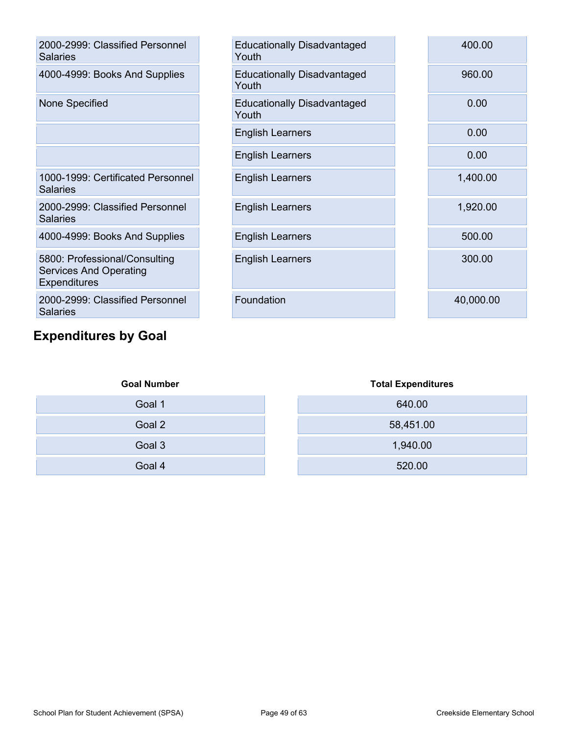| <b>Educationally Disadvantaged</b><br>Youth |
|---------------------------------------------|
| <b>Educationally Disadvantaged</b><br>Youth |
| <b>Educationally Disadvantaged</b><br>Youth |
| <b>English Learners</b>                     |
| <b>English Learners</b>                     |
| <b>English Learners</b>                     |
| <b>English Learners</b>                     |
| <b>English Learners</b>                     |
| <b>English Learners</b>                     |
| Foundation                                  |
|                                             |

## **Expenditures by Goal**

| 2000-2999: Classified Personnel<br><b>Salaries</b>                                    | <b>Educationally Disadvantaged</b><br>Youth | 400.00    |
|---------------------------------------------------------------------------------------|---------------------------------------------|-----------|
| 4000-4999: Books And Supplies                                                         | <b>Educationally Disadvantaged</b><br>Youth | 960.00    |
| <b>None Specified</b>                                                                 | <b>Educationally Disadvantaged</b><br>Youth | 0.00      |
|                                                                                       | <b>English Learners</b>                     | 0.00      |
|                                                                                       | <b>English Learners</b>                     | 0.00      |
| 1000-1999: Certificated Personnel<br>Salaries                                         | <b>English Learners</b>                     | 1,400.00  |
| 2000-2999: Classified Personnel<br><b>Salaries</b>                                    | <b>English Learners</b>                     | 1,920.00  |
| 4000-4999: Books And Supplies                                                         | <b>English Learners</b>                     | 500.00    |
| 5800: Professional/Consulting<br><b>Services And Operating</b><br><b>Expenditures</b> | <b>English Learners</b>                     | 300.00    |
| 2000-2999: Classified Personnel<br>Salaries                                           | Foundation                                  | 40,000.00 |

| <b>Goal Number</b> | <b>Total Expenditures</b> |
|--------------------|---------------------------|
| Goal 1             | 640.00                    |
| Goal 2             | 58,451.00                 |
| Goal 3             | 1,940.00                  |
| Goal 4             | 520.00                    |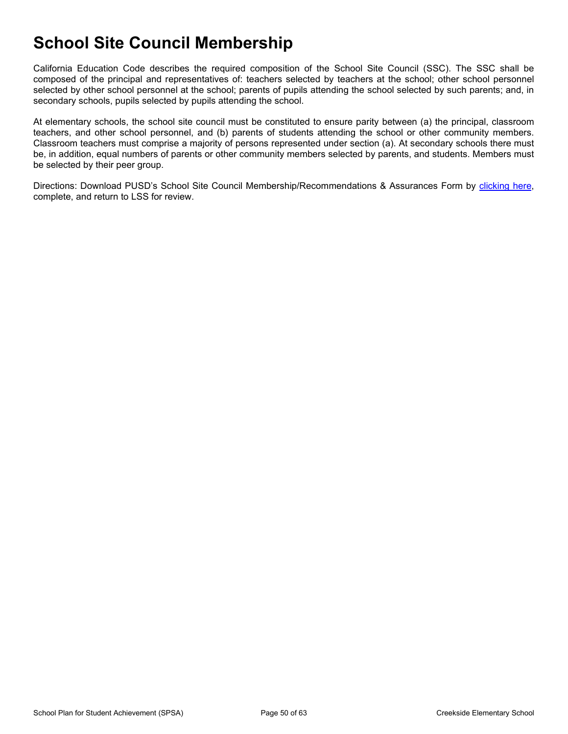## **School Site Council Membership**

California Education Code describes the required composition of the School Site Council (SSC). The SSC shall be composed of the principal and representatives of: teachers selected by teachers at the school; other school personnel selected by other school personnel at the school; parents of pupils attending the school selected by such parents; and, in secondary schools, pupils selected by pupils attending the school.

At elementary schools, the school site council must be constituted to ensure parity between (a) the principal, classroom teachers, and other school personnel, and (b) parents of students attending the school or other community members. Classroom teachers must comprise a majority of persons represented under section (a). At secondary schools there must be, in addition, equal numbers of parents or other community members selected by parents, and students. Members must be selected by their peer group.

Directions: Download PUSD's School Site Council Membership/Recommendations & Assurances Form by [clicking here,](http://www.doc-tracking.com/screenshots/Poway/2021-22_SPSA_Signature_Assurances%20Fillable.pdf) complete, and return to LSS for review.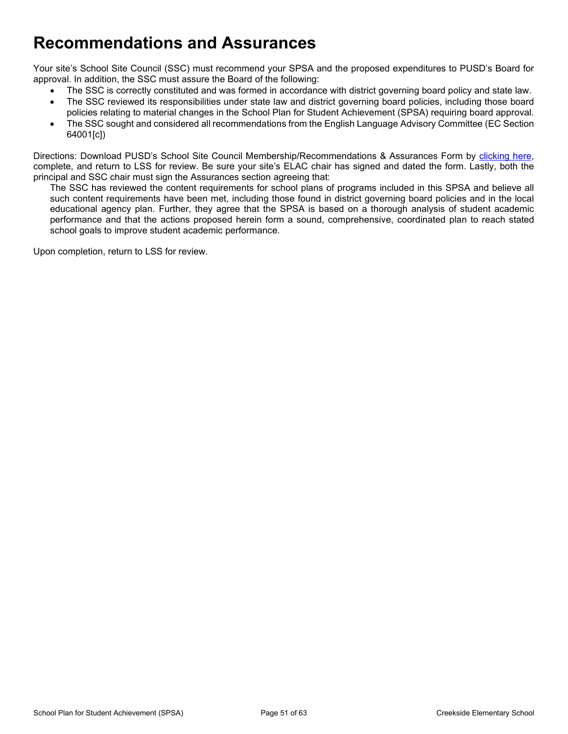## **Recommendations and Assurances**

Your site's School Site Council (SSC) must recommend your SPSA and the proposed expenditures to PUSD's Board for approval. In addition, the SSC must assure the Board of the following:

- The SSC is correctly constituted and was formed in accordance with district governing board policy and state law.
- The SSC reviewed its responsibilities under state law and district governing board policies, including those board policies relating to material changes in the School Plan for Student Achievement (SPSA) requiring board approval.
- The SSC sought and considered all recommendations from the English Language Advisory Committee (EC Section 64001[c])

Directions: Download PUSD's School Site Council Membership/Recommendations & Assurances Form by [clicking here,](http://www.doc-tracking.com/screenshots/Poway/2021-22_SPSA_Signature_Assurances%20Fillable.pdf) complete, and return to LSS for review. Be sure your site's ELAC chair has signed and dated the form. Lastly, both the principal and SSC chair must sign the Assurances section agreeing that:

The SSC has reviewed the content requirements for school plans of programs included in this SPSA and believe all such content requirements have been met, including those found in district governing board policies and in the local educational agency plan. Further, they agree that the SPSA is based on a thorough analysis of student academic performance and that the actions proposed herein form a sound, comprehensive, coordinated plan to reach stated school goals to improve student academic performance.

Upon completion, return to LSS for review.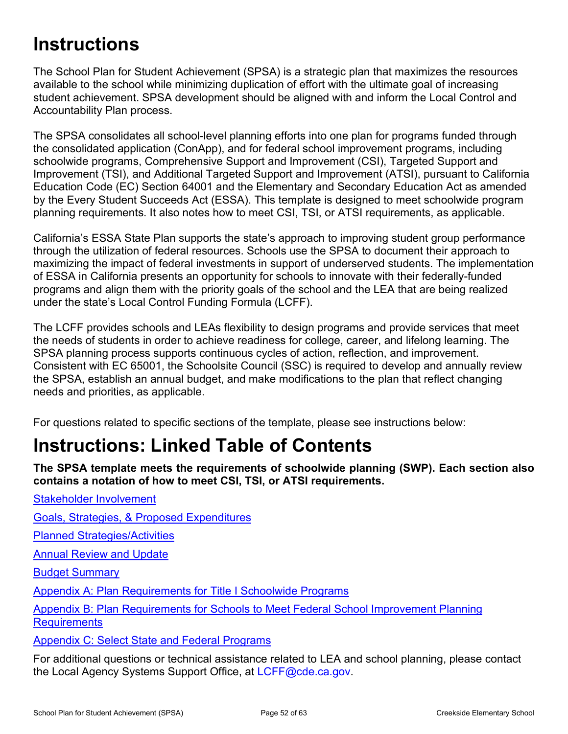# **Instructions**

The School Plan for Student Achievement (SPSA) is a strategic plan that maximizes the resources available to the school while minimizing duplication of effort with the ultimate goal of increasing student achievement. SPSA development should be aligned with and inform the Local Control and Accountability Plan process.

The SPSA consolidates all school-level planning efforts into one plan for programs funded through the consolidated application (ConApp), and for federal school improvement programs, including schoolwide programs, Comprehensive Support and Improvement (CSI), Targeted Support and Improvement (TSI), and Additional Targeted Support and Improvement (ATSI), pursuant to California Education Code (EC) Section 64001 and the Elementary and Secondary Education Act as amended by the Every Student Succeeds Act (ESSA). This template is designed to meet schoolwide program planning requirements. It also notes how to meet CSI, TSI, or ATSI requirements, as applicable.

California's ESSA State Plan supports the state's approach to improving student group performance through the utilization of federal resources. Schools use the SPSA to document their approach to maximizing the impact of federal investments in support of underserved students. The implementation of ESSA in California presents an opportunity for schools to innovate with their federally-funded programs and align them with the priority goals of the school and the LEA that are being realized under the state's Local Control Funding Formula (LCFF).

The LCFF provides schools and LEAs flexibility to design programs and provide services that meet the needs of students in order to achieve readiness for college, career, and lifelong learning. The SPSA planning process supports continuous cycles of action, reflection, and improvement. Consistent with EC 65001, the Schoolsite Council (SSC) is required to develop and annually review the SPSA, establish an annual budget, and make modifications to the plan that reflect changing needs and priorities, as applicable.

For questions related to specific sections of the template, please see instructions below:

# **Instructions: Linked Table of Contents**

**The SPSA template meets the requirements of schoolwide planning (SWP). Each section also contains a notation of how to meet CSI, TSI, or ATSI requirements.** 

[Stakeholder Involvement](#page-52-0) [Goals, Strategies, & Proposed Expenditures](#page-53-0) [Planned Strategies/Activities](#page-53-1) [Annual Review and Update](#page-54-0) [Budget Summary](#page-55-0)

[Appendix A: Plan Requirements for Title I Schoolwide Programs](#page-57-0)

[Appendix B: Plan Requirements for Schools to Meet Federal School Improvement Planning](#page-60-0)  **[Requirements](#page-60-0)** 

[Appendix C: Select State and Federal Programs](#page-62-0)

For additional questions or technical assistance related to LEA and school planning, please contact the Local Agency Systems Support Office, at [LCFF@cde.ca.gov.](mailto:LCFF@cde.ca.gov)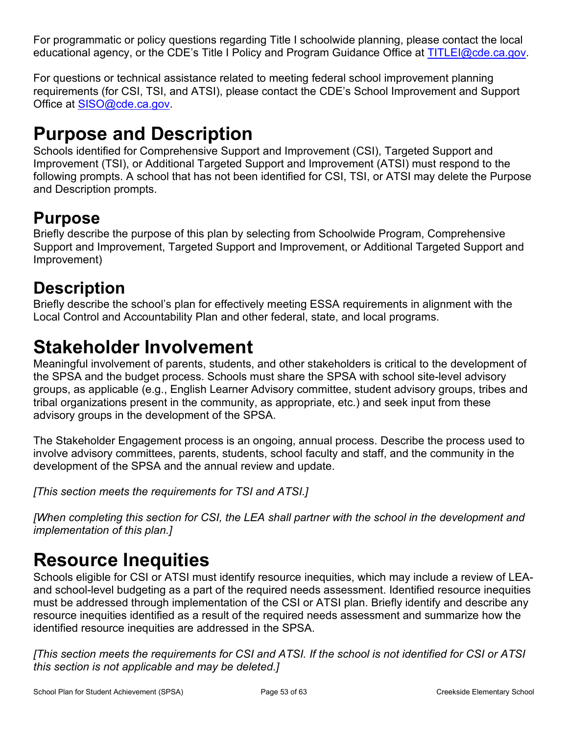For programmatic or policy questions regarding Title I schoolwide planning, please contact the local educational agency, or the CDE's Title I Policy and Program Guidance Office at [TITLEI@cde.ca.gov.](mailto:TITLEI@cde.ca.gov)

For questions or technical assistance related to meeting federal school improvement planning requirements (for CSI, TSI, and ATSI), please contact the CDE's School Improvement and Support Office at [SISO@cde.ca.gov.](mailto:SISO@cde.ca.gov)

# **Purpose and Description**

Schools identified for Comprehensive Support and Improvement (CSI), Targeted Support and Improvement (TSI), or Additional Targeted Support and Improvement (ATSI) must respond to the following prompts. A school that has not been identified for CSI, TSI, or ATSI may delete the Purpose and Description prompts.

## **Purpose**

Briefly describe the purpose of this plan by selecting from Schoolwide Program, Comprehensive Support and Improvement, Targeted Support and Improvement, or Additional Targeted Support and Improvement)

## **Description**

Briefly describe the school's plan for effectively meeting ESSA requirements in alignment with the Local Control and Accountability Plan and other federal, state, and local programs.

# <span id="page-52-0"></span>**Stakeholder Involvement**

Meaningful involvement of parents, students, and other stakeholders is critical to the development of the SPSA and the budget process. Schools must share the SPSA with school site-level advisory groups, as applicable (e.g., English Learner Advisory committee, student advisory groups, tribes and tribal organizations present in the community, as appropriate, etc.) and seek input from these advisory groups in the development of the SPSA.

The Stakeholder Engagement process is an ongoing, annual process. Describe the process used to involve advisory committees, parents, students, school faculty and staff, and the community in the development of the SPSA and the annual review and update.

*[This section meets the requirements for TSI and ATSI.]*

*[When completing this section for CSI, the LEA shall partner with the school in the development and implementation of this plan.]*

# **Resource Inequities**

Schools eligible for CSI or ATSI must identify resource inequities, which may include a review of LEAand school-level budgeting as a part of the required needs assessment. Identified resource inequities must be addressed through implementation of the CSI or ATSI plan. Briefly identify and describe any resource inequities identified as a result of the required needs assessment and summarize how the identified resource inequities are addressed in the SPSA.

*[This section meets the requirements for CSI and ATSI. If the school is not identified for CSI or ATSI this section is not applicable and may be deleted.]*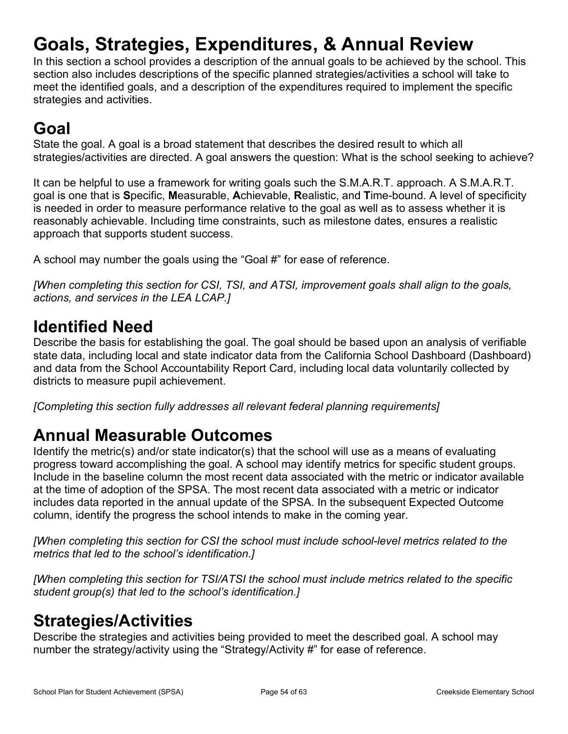# <span id="page-53-0"></span>**Goals, Strategies, Expenditures, & Annual Review**

In this section a school provides a description of the annual goals to be achieved by the school. This section also includes descriptions of the specific planned strategies/activities a school will take to meet the identified goals, and a description of the expenditures required to implement the specific strategies and activities.

## **Goal**

State the goal. A goal is a broad statement that describes the desired result to which all strategies/activities are directed. A goal answers the question: What is the school seeking to achieve?

It can be helpful to use a framework for writing goals such the S.M.A.R.T. approach. A S.M.A.R.T. goal is one that is **S**pecific, **M**easurable, **A**chievable, **R**ealistic, and **T**ime-bound. A level of specificity is needed in order to measure performance relative to the goal as well as to assess whether it is reasonably achievable. Including time constraints, such as milestone dates, ensures a realistic approach that supports student success.

A school may number the goals using the "Goal #" for ease of reference.

*[When completing this section for CSI, TSI, and ATSI, improvement goals shall align to the goals, actions, and services in the LEA LCAP.]*

## **Identified Need**

Describe the basis for establishing the goal. The goal should be based upon an analysis of verifiable state data, including local and state indicator data from the California School Dashboard (Dashboard) and data from the School Accountability Report Card, including local data voluntarily collected by districts to measure pupil achievement.

*[Completing this section fully addresses all relevant federal planning requirements]*

## **Annual Measurable Outcomes**

Identify the metric(s) and/or state indicator(s) that the school will use as a means of evaluating progress toward accomplishing the goal. A school may identify metrics for specific student groups. Include in the baseline column the most recent data associated with the metric or indicator available at the time of adoption of the SPSA. The most recent data associated with a metric or indicator includes data reported in the annual update of the SPSA. In the subsequent Expected Outcome column, identify the progress the school intends to make in the coming year.

*[When completing this section for CSI the school must include school-level metrics related to the metrics that led to the school's identification.]*

*[When completing this section for TSI/ATSI the school must include metrics related to the specific student group(s) that led to the school's identification.]* 

## <span id="page-53-1"></span>**Strategies/Activities**

Describe the strategies and activities being provided to meet the described goal. A school may number the strategy/activity using the "Strategy/Activity #" for ease of reference.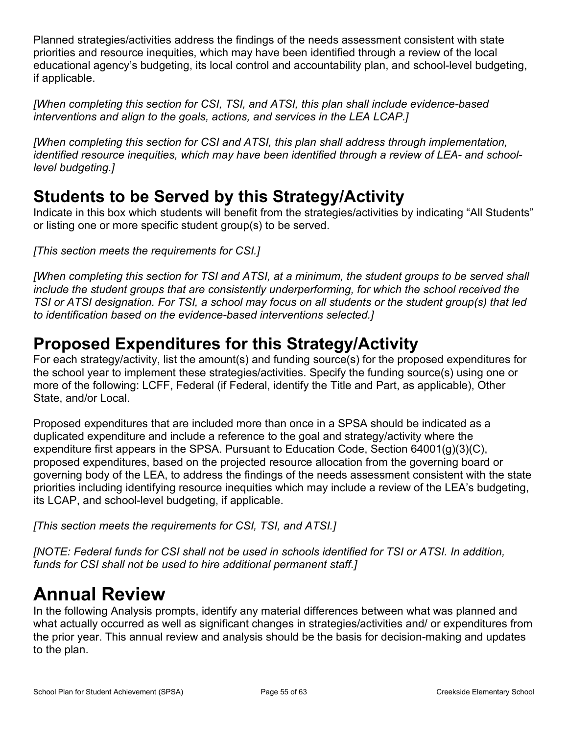Planned strategies/activities address the findings of the needs assessment consistent with state priorities and resource inequities, which may have been identified through a review of the local educational agency's budgeting, its local control and accountability plan, and school-level budgeting, if applicable.

*[When completing this section for CSI, TSI, and ATSI, this plan shall include evidence-based interventions and align to the goals, actions, and services in the LEA LCAP.]*

*[When completing this section for CSI and ATSI, this plan shall address through implementation, identified resource inequities, which may have been identified through a review of LEA- and schoollevel budgeting.]*

## **Students to be Served by this Strategy/Activity**

Indicate in this box which students will benefit from the strategies/activities by indicating "All Students" or listing one or more specific student group(s) to be served.

*[This section meets the requirements for CSI.]*

*[When completing this section for TSI and ATSI, at a minimum, the student groups to be served shall include the student groups that are consistently underperforming, for which the school received the TSI or ATSI designation. For TSI, a school may focus on all students or the student group(s) that led to identification based on the evidence-based interventions selected.]*

## **Proposed Expenditures for this Strategy/Activity**

For each strategy/activity, list the amount(s) and funding source(s) for the proposed expenditures for the school year to implement these strategies/activities. Specify the funding source(s) using one or more of the following: LCFF, Federal (if Federal, identify the Title and Part, as applicable), Other State, and/or Local.

Proposed expenditures that are included more than once in a SPSA should be indicated as a duplicated expenditure and include a reference to the goal and strategy/activity where the expenditure first appears in the SPSA. Pursuant to Education Code, Section 64001(g)(3)(C), proposed expenditures, based on the projected resource allocation from the governing board or governing body of the LEA, to address the findings of the needs assessment consistent with the state priorities including identifying resource inequities which may include a review of the LEA's budgeting, its LCAP, and school-level budgeting, if applicable.

*[This section meets the requirements for CSI, TSI, and ATSI.]*

*[NOTE: Federal funds for CSI shall not be used in schools identified for TSI or ATSI. In addition, funds for CSI shall not be used to hire additional permanent staff.]*

# <span id="page-54-0"></span>**Annual Review**

In the following Analysis prompts, identify any material differences between what was planned and what actually occurred as well as significant changes in strategies/activities and/ or expenditures from the prior year. This annual review and analysis should be the basis for decision-making and updates to the plan.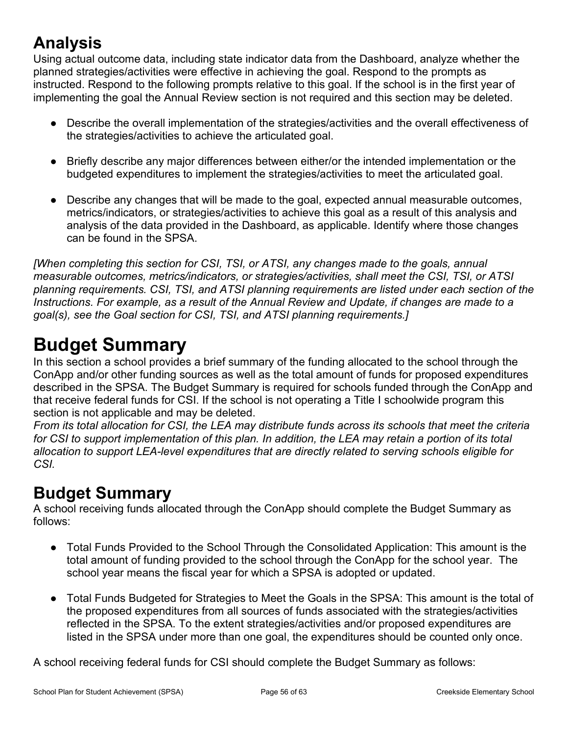## **Analysis**

Using actual outcome data, including state indicator data from the Dashboard, analyze whether the planned strategies/activities were effective in achieving the goal. Respond to the prompts as instructed. Respond to the following prompts relative to this goal. If the school is in the first year of implementing the goal the Annual Review section is not required and this section may be deleted.

- Describe the overall implementation of the strategies/activities and the overall effectiveness of the strategies/activities to achieve the articulated goal.
- Briefly describe any major differences between either/or the intended implementation or the budgeted expenditures to implement the strategies/activities to meet the articulated goal.
- Describe any changes that will be made to the goal, expected annual measurable outcomes, metrics/indicators, or strategies/activities to achieve this goal as a result of this analysis and analysis of the data provided in the Dashboard, as applicable. Identify where those changes can be found in the SPSA.

*[When completing this section for CSI, TSI, or ATSI, any changes made to the goals, annual measurable outcomes, metrics/indicators, or strategies/activities, shall meet the CSI, TSI, or ATSI planning requirements. CSI, TSI, and ATSI planning requirements are listed under each section of the Instructions. For example, as a result of the Annual Review and Update, if changes are made to a goal(s), see the Goal section for CSI, TSI, and ATSI planning requirements.]* 

# <span id="page-55-0"></span>**Budget Summary**

In this section a school provides a brief summary of the funding allocated to the school through the ConApp and/or other funding sources as well as the total amount of funds for proposed expenditures described in the SPSA. The Budget Summary is required for schools funded through the ConApp and that receive federal funds for CSI. If the school is not operating a Title I schoolwide program this section is not applicable and may be deleted.

*From its total allocation for CSI, the LEA may distribute funds across its schools that meet the criteria for CSI to support implementation of this plan. In addition, the LEA may retain a portion of its total allocation to support LEA-level expenditures that are directly related to serving schools eligible for CSI.*

## **Budget Summary**

A school receiving funds allocated through the ConApp should complete the Budget Summary as follows:

- Total Funds Provided to the School Through the Consolidated Application: This amount is the total amount of funding provided to the school through the ConApp for the school year. The school year means the fiscal year for which a SPSA is adopted or updated.
- Total Funds Budgeted for Strategies to Meet the Goals in the SPSA: This amount is the total of the proposed expenditures from all sources of funds associated with the strategies/activities reflected in the SPSA. To the extent strategies/activities and/or proposed expenditures are listed in the SPSA under more than one goal, the expenditures should be counted only once.

A school receiving federal funds for CSI should complete the Budget Summary as follows: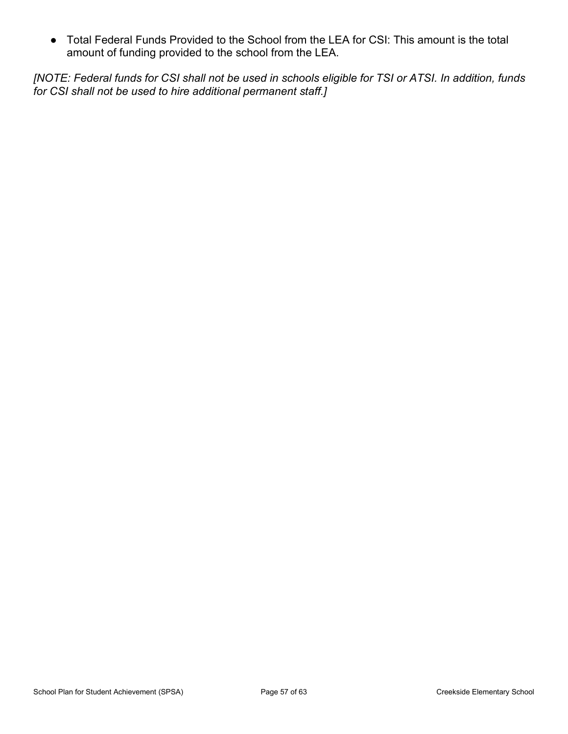● Total Federal Funds Provided to the School from the LEA for CSI: This amount is the total amount of funding provided to the school from the LEA.

*[NOTE: Federal funds for CSI shall not be used in schools eligible for TSI or ATSI. In addition, funds for CSI shall not be used to hire additional permanent staff.]*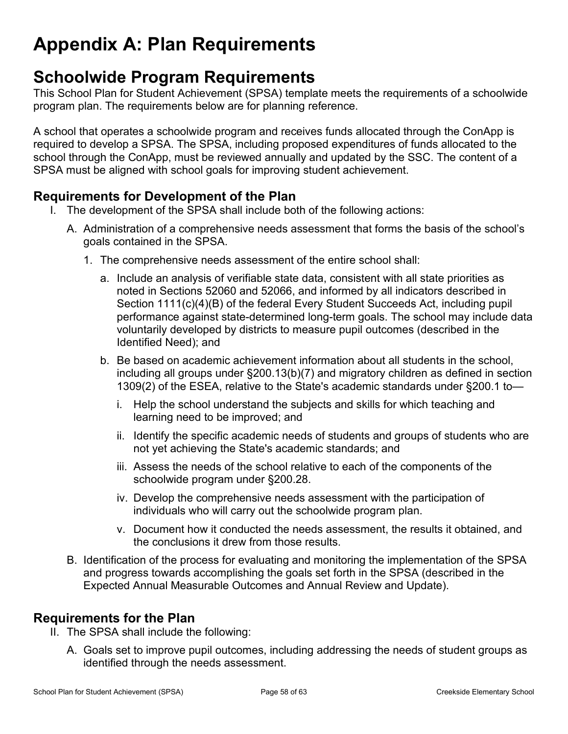# <span id="page-57-0"></span>**Appendix A: Plan Requirements**

## **Schoolwide Program Requirements**

This School Plan for Student Achievement (SPSA) template meets the requirements of a schoolwide program plan. The requirements below are for planning reference.

A school that operates a schoolwide program and receives funds allocated through the ConApp is required to develop a SPSA. The SPSA, including proposed expenditures of funds allocated to the school through the ConApp, must be reviewed annually and updated by the SSC. The content of a SPSA must be aligned with school goals for improving student achievement.

## **Requirements for Development of the Plan**

- I. The development of the SPSA shall include both of the following actions:
	- A. Administration of a comprehensive needs assessment that forms the basis of the school's goals contained in the SPSA.
		- 1. The comprehensive needs assessment of the entire school shall:
			- a. Include an analysis of verifiable state data, consistent with all state priorities as noted in Sections 52060 and 52066, and informed by all indicators described in Section 1111(c)(4)(B) of the federal Every Student Succeeds Act, including pupil performance against state-determined long-term goals. The school may include data voluntarily developed by districts to measure pupil outcomes (described in the Identified Need); and
			- b. Be based on academic achievement information about all students in the school, including all groups under §200.13(b)(7) and migratory children as defined in section 1309(2) of the ESEA, relative to the State's academic standards under §200.1 to
				- i. Help the school understand the subjects and skills for which teaching and learning need to be improved; and
				- ii. Identify the specific academic needs of students and groups of students who are not yet achieving the State's academic standards; and
				- iii. Assess the needs of the school relative to each of the components of the schoolwide program under §200.28.
				- iv. Develop the comprehensive needs assessment with the participation of individuals who will carry out the schoolwide program plan.
				- v. Document how it conducted the needs assessment, the results it obtained, and the conclusions it drew from those results.
	- B. Identification of the process for evaluating and monitoring the implementation of the SPSA and progress towards accomplishing the goals set forth in the SPSA (described in the Expected Annual Measurable Outcomes and Annual Review and Update).

## **Requirements for the Plan**

- II. The SPSA shall include the following:
	- A. Goals set to improve pupil outcomes, including addressing the needs of student groups as identified through the needs assessment.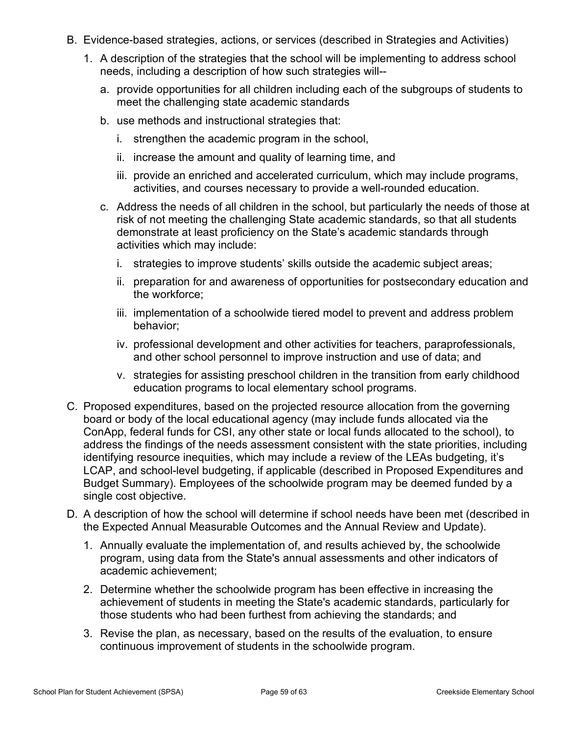- B. Evidence-based strategies, actions, or services (described in Strategies and Activities)
	- 1. A description of the strategies that the school will be implementing to address school needs, including a description of how such strategies will-
		- a. provide opportunities for all children including each of the subgroups of students to meet the challenging state academic standards
		- b. use methods and instructional strategies that:
			- i. strengthen the academic program in the school,
			- ii. increase the amount and quality of learning time, and
			- iii. provide an enriched and accelerated curriculum, which may include programs, activities, and courses necessary to provide a well-rounded education.
		- c. Address the needs of all children in the school, but particularly the needs of those at risk of not meeting the challenging State academic standards, so that all students demonstrate at least proficiency on the State's academic standards through activities which may include:
			- i. strategies to improve students' skills outside the academic subject areas;
			- ii. preparation for and awareness of opportunities for postsecondary education and the workforce;
			- iii. implementation of a schoolwide tiered model to prevent and address problem behavior;
			- iv. professional development and other activities for teachers, paraprofessionals, and other school personnel to improve instruction and use of data; and
			- v. strategies for assisting preschool children in the transition from early childhood education programs to local elementary school programs.
- C. Proposed expenditures, based on the projected resource allocation from the governing board or body of the local educational agency (may include funds allocated via the ConApp, federal funds for CSI, any other state or local funds allocated to the school), to address the findings of the needs assessment consistent with the state priorities, including identifying resource inequities, which may include a review of the LEAs budgeting, it's LCAP, and school-level budgeting, if applicable (described in Proposed Expenditures and Budget Summary). Employees of the schoolwide program may be deemed funded by a single cost objective.
- D. A description of how the school will determine if school needs have been met (described in the Expected Annual Measurable Outcomes and the Annual Review and Update).
	- 1. Annually evaluate the implementation of, and results achieved by, the schoolwide program, using data from the State's annual assessments and other indicators of academic achievement;
	- 2. Determine whether the schoolwide program has been effective in increasing the achievement of students in meeting the State's academic standards, particularly for those students who had been furthest from achieving the standards; and
	- 3. Revise the plan, as necessary, based on the results of the evaluation, to ensure continuous improvement of students in the schoolwide program.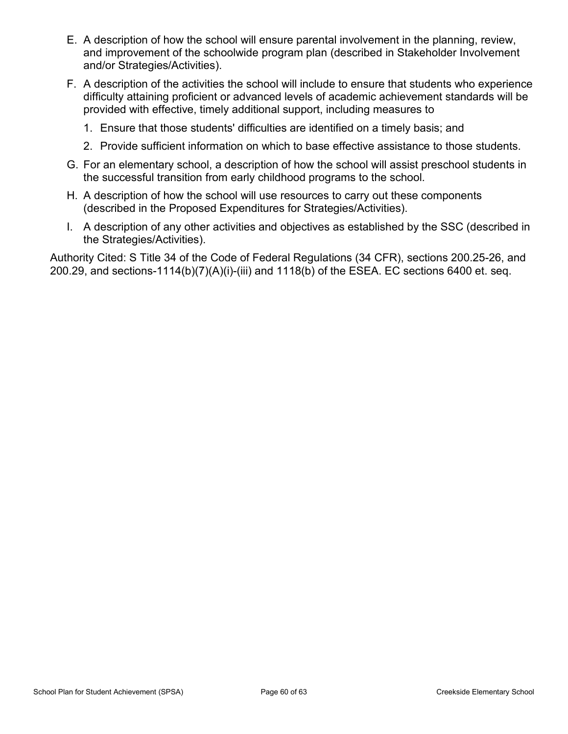- E. A description of how the school will ensure parental involvement in the planning, review, and improvement of the schoolwide program plan (described in Stakeholder Involvement and/or Strategies/Activities).
- F. A description of the activities the school will include to ensure that students who experience difficulty attaining proficient or advanced levels of academic achievement standards will be provided with effective, timely additional support, including measures to
	- 1. Ensure that those students' difficulties are identified on a timely basis; and
	- 2. Provide sufficient information on which to base effective assistance to those students.
- G. For an elementary school, a description of how the school will assist preschool students in the successful transition from early childhood programs to the school.
- H. A description of how the school will use resources to carry out these components (described in the Proposed Expenditures for Strategies/Activities).
- I. A description of any other activities and objectives as established by the SSC (described in the Strategies/Activities).

Authority Cited: S Title 34 of the Code of Federal Regulations (34 CFR), sections 200.25-26, and 200.29, and sections-1114(b)(7)(A)(i)-(iii) and 1118(b) of the ESEA. EC sections 6400 et. seq.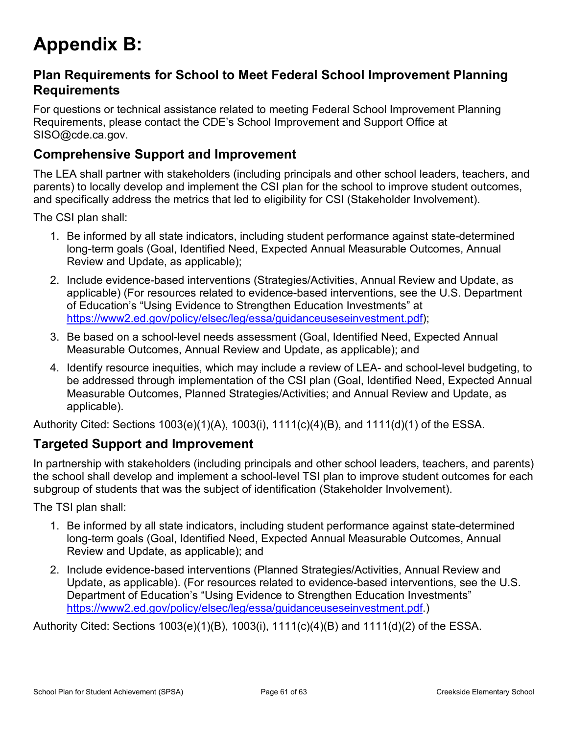# <span id="page-60-0"></span>**Appendix B:**

## **Plan Requirements for School to Meet Federal School Improvement Planning Requirements**

For questions or technical assistance related to meeting Federal School Improvement Planning Requirements, please contact the CDE's School Improvement and Support Office at SISO@cde.ca.gov.

### **Comprehensive Support and Improvement**

The LEA shall partner with stakeholders (including principals and other school leaders, teachers, and parents) to locally develop and implement the CSI plan for the school to improve student outcomes, and specifically address the metrics that led to eligibility for CSI (Stakeholder Involvement).

The CSI plan shall:

- 1. Be informed by all state indicators, including student performance against state-determined long-term goals (Goal, Identified Need, Expected Annual Measurable Outcomes, Annual Review and Update, as applicable);
- 2. Include evidence-based interventions (Strategies/Activities, Annual Review and Update, as applicable) (For resources related to evidence-based interventions, see the U.S. Department of Education's "Using Evidence to Strengthen Education Investments" at https://www2.ed.gov/policy/elsec/leg/essa/guidanceuseseinvestment.pdf);
- 3. Be based on a school-level needs assessment (Goal, Identified Need, Expected Annual Measurable Outcomes, Annual Review and Update, as applicable); and
- 4. Identify resource inequities, which may include a review of LEA- and school-level budgeting, to be addressed through implementation of the CSI plan (Goal, Identified Need, Expected Annual Measurable Outcomes, Planned Strategies/Activities; and Annual Review and Update, as applicable).

Authority Cited: Sections 1003(e)(1)(A), 1003(i), 1111(c)(4)(B), and 1111(d)(1) of the ESSA.

### **Targeted Support and Improvement**

In partnership with stakeholders (including principals and other school leaders, teachers, and parents) the school shall develop and implement a school-level TSI plan to improve student outcomes for each subgroup of students that was the subject of identification (Stakeholder Involvement).

The TSI plan shall:

- 1. Be informed by all state indicators, including student performance against state-determined long-term goals (Goal, Identified Need, Expected Annual Measurable Outcomes, Annual Review and Update, as applicable); and
- 2. Include evidence-based interventions (Planned Strategies/Activities, Annual Review and Update, as applicable). (For resources related to evidence-based interventions, see the U.S. Department of Education's "Using Evidence to Strengthen Education Investments" https://www2.ed.gov/policy/elsec/leg/essa/guidanceuseseinvestment.pdf.)

Authority Cited: Sections 1003(e)(1)(B), 1003(i), 1111(c)(4)(B) and 1111(d)(2) of the ESSA.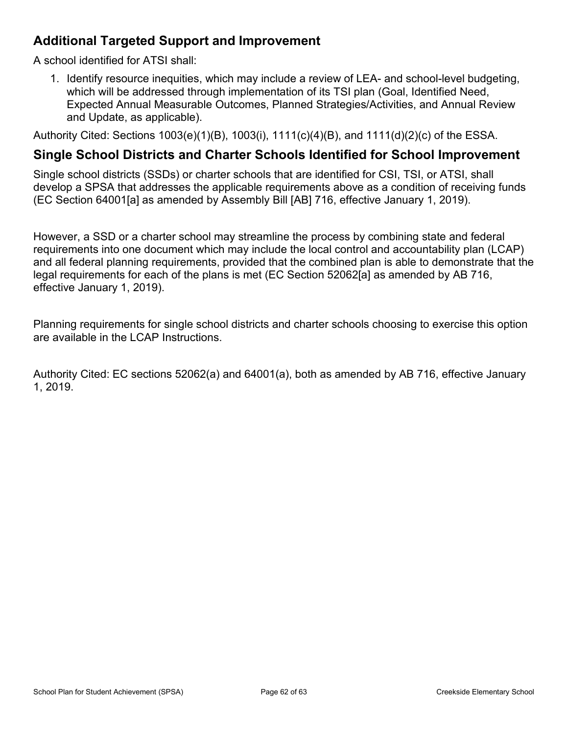## **Additional Targeted Support and Improvement**

A school identified for ATSI shall:

1. Identify resource inequities, which may include a review of LEA- and school-level budgeting, which will be addressed through implementation of its TSI plan (Goal, Identified Need, Expected Annual Measurable Outcomes, Planned Strategies/Activities, and Annual Review and Update, as applicable).

Authority Cited: Sections 1003(e)(1)(B), 1003(i), 1111(c)(4)(B), and 1111(d)(2)(c) of the ESSA.

### **Single School Districts and Charter Schools Identified for School Improvement**

Single school districts (SSDs) or charter schools that are identified for CSI, TSI, or ATSI, shall develop a SPSA that addresses the applicable requirements above as a condition of receiving funds (EC Section 64001[a] as amended by Assembly Bill [AB] 716, effective January 1, 2019).

However, a SSD or a charter school may streamline the process by combining state and federal requirements into one document which may include the local control and accountability plan (LCAP) and all federal planning requirements, provided that the combined plan is able to demonstrate that the legal requirements for each of the plans is met (EC Section 52062[a] as amended by AB 716, effective January 1, 2019).

Planning requirements for single school districts and charter schools choosing to exercise this option are available in the LCAP Instructions.

Authority Cited: EC sections 52062(a) and 64001(a), both as amended by AB 716, effective January 1, 2019.